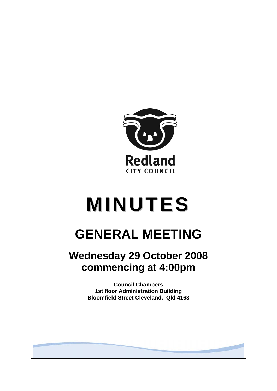

# **MINUTES**

# **GENERAL MEETING**

## **Wednesday 29 October 2008 commencing at 4:00pm**

**Council Chambers 1st floor Administration Building Bloomfield Street Cleveland. Qld 4163**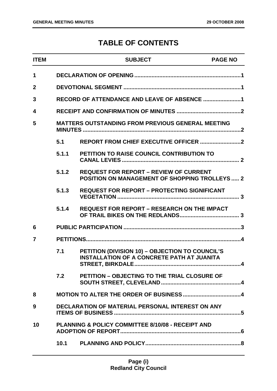### **TABLE OF CONTENTS**

| <b>ITEM</b>    |                                                          | <b>SUBJECT</b>                                                                                         | <b>PAGE NO</b> |
|----------------|----------------------------------------------------------|--------------------------------------------------------------------------------------------------------|----------------|
| 1              |                                                          |                                                                                                        |                |
| $\overline{2}$ |                                                          |                                                                                                        |                |
| 3              |                                                          |                                                                                                        |                |
| 4              |                                                          |                                                                                                        |                |
| 5              | <b>MATTERS OUTSTANDING FROM PREVIOUS GENERAL MEETING</b> |                                                                                                        |                |
|                | 5.1                                                      |                                                                                                        |                |
|                | 5.1.1                                                    | PETITION TO RAISE COUNCIL CONTRIBUTION TO                                                              |                |
|                | 5.1.2                                                    | <b>REQUEST FOR REPORT - REVIEW OF CURRENT</b><br><b>POSITION ON MANAGEMENT OF SHOPPING TROLLEYS  2</b> |                |
|                | 5.1.3                                                    | <b>REQUEST FOR REPORT - PROTECTING SIGNIFICANT</b>                                                     |                |
|                | 5.1.4                                                    | <b>REQUEST FOR REPORT - RESEARCH ON THE IMPACT</b>                                                     |                |
| 6              |                                                          |                                                                                                        |                |
| 7              |                                                          |                                                                                                        |                |
|                | 7.1                                                      | PETITION (DIVISION 10) - OBJECTION TO COUNCIL'S<br><b>INSTALLATION OF A CONCRETE PATH AT JUANITA</b>   |                |
|                | 7.2                                                      | PETITION - OBJECTING TO THE TRIAL CLOSURE OF                                                           |                |
| 8              |                                                          |                                                                                                        |                |
| 9              | DECLARATION OF MATERIAL PERSONAL INTEREST ON ANY         |                                                                                                        |                |
| 10             |                                                          | <b>PLANNING &amp; POLICY COMMITTEE 8/10/08 - RECEIPT AND</b>                                           |                |
|                |                                                          |                                                                                                        |                |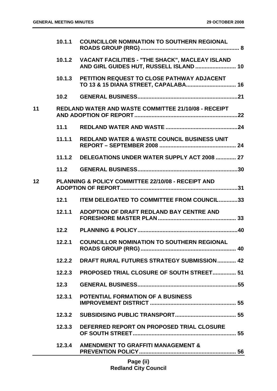|                                                          | 10.1.1 | <b>COUNCILLOR NOMINATION TO SOUTHERN REGIONAL</b>                                                 |
|----------------------------------------------------------|--------|---------------------------------------------------------------------------------------------------|
|                                                          | 10.1.2 | <b>VACANT FACILITIES - "THE SHACK", MACLEAY ISLAND</b><br>AND GIRL GUIDES HUT, RUSSELL ISLAND  10 |
|                                                          | 10.1.3 | PETITION REQUEST TO CLOSE PATHWAY ADJACENT                                                        |
|                                                          | 10.2   |                                                                                                   |
| 11                                                       |        | REDLAND WATER AND WASTE COMMITTEE 21/10/08 - RECEIPT                                              |
|                                                          | 11.1   |                                                                                                   |
|                                                          | 11.1.1 | <b>REDLAND WATER &amp; WASTE COUNCIL BUSINESS UNIT</b>                                            |
|                                                          |        | 11.1.2 DELEGATIONS UNDER WATER SUPPLY ACT 2008  27                                                |
|                                                          |        |                                                                                                   |
| 12<br>PLANNING & POLICY COMMITTEE 22/10/08 - RECEIPT AND |        |                                                                                                   |
|                                                          | 12.1   | <b>ITEM DELEGATED TO COMMITTEE FROM COUNCIL33</b>                                                 |
|                                                          | 12.1.1 | ADOPTION OF DRAFT REDLAND BAY CENTRE AND                                                          |
|                                                          | 12.2   |                                                                                                   |
|                                                          | 12.2.1 | <b>COUNCILLOR NOMINATION TO SOUTHERN REGIONAL</b>                                                 |
|                                                          | 12.2.2 | <b>DRAFT RURAL FUTURES STRATEGY SUBMISSION 42</b>                                                 |
|                                                          | 12.2.3 | <b>PROPOSED TRIAL CLOSURE OF SOUTH STREET 51</b>                                                  |
|                                                          | 12.3   |                                                                                                   |
|                                                          | 12.3.1 | <b>POTENTIAL FORMATION OF A BUSINESS</b>                                                          |
|                                                          |        |                                                                                                   |
|                                                          | 12.3.3 | DEFERRED REPORT ON PROPOSED TRIAL CLOSURE                                                         |
|                                                          | 12.3.4 | <b>AMENDMENT TO GRAFFITI MANAGEMENT &amp;</b>                                                     |
|                                                          |        | <b>Dogs</b> (ii)                                                                                  |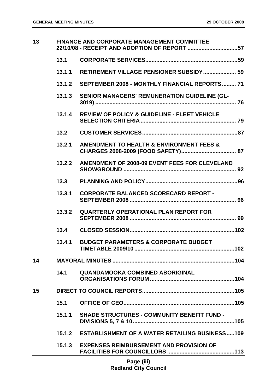| 13 | <b>FINANCE AND CORPORATE MANAGEMENT COMMITTEE</b><br>22/10/08 - RECEIPT AND ADOPTION OF REPORT 57 |                                                         |  |
|----|---------------------------------------------------------------------------------------------------|---------------------------------------------------------|--|
|    | 13.1                                                                                              |                                                         |  |
|    | 13.1.1                                                                                            | <b>RETIREMENT VILLAGE PENSIONER SUBSIDY 59</b>          |  |
|    | 13.1.2                                                                                            | SEPTEMBER 2008 - MONTHLY FINANCIAL REPORTS 71           |  |
|    | 13.1.3                                                                                            | <b>SENIOR MANAGERS' REMUNERATION GUIDELINE (GL-</b>     |  |
|    | 13.1.4                                                                                            | <b>REVIEW OF POLICY &amp; GUIDELINE - FLEET VEHICLE</b> |  |
|    | 13.2                                                                                              |                                                         |  |
|    | 13.2.1                                                                                            | AMENDMENT TO HEALTH & ENVIRONMENT FEES &                |  |
|    | 13.2.2                                                                                            | AMENDMENT OF 2008-09 EVENT FEES FOR CLEVELAND           |  |
|    | 13.3                                                                                              |                                                         |  |
|    | 13.3.1                                                                                            | <b>CORPORATE BALANCED SCORECARD REPORT -</b>            |  |
|    | 13.3.2                                                                                            | <b>QUARTERLY OPERATIONAL PLAN REPORT FOR</b>            |  |
|    | 13.4                                                                                              |                                                         |  |
|    | 13.4.1                                                                                            | <b>BUDGET PARAMETERS &amp; CORPORATE BUDGET</b>         |  |
| 14 |                                                                                                   |                                                         |  |
|    | 14.1                                                                                              | <b>QUANDAMOOKA COMBINED ABORIGINAL</b>                  |  |
| 15 |                                                                                                   |                                                         |  |
|    | 15.1                                                                                              |                                                         |  |
|    | 15.1.1                                                                                            | <b>SHADE STRUCTURES - COMMUNITY BENEFIT FUND -</b>      |  |
|    | 15.1.2                                                                                            | <b>ESTABLISHMENT OF A WATER RETAILING BUSINESS109</b>   |  |
|    | 15.1.3                                                                                            | <b>EXPENSES REIMBURSEMENT AND PROVISION OF</b>          |  |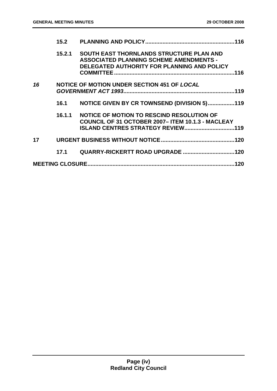|    | 15.2   |                                                                                                                                                  |
|----|--------|--------------------------------------------------------------------------------------------------------------------------------------------------|
|    | 15.2.1 | <b>SOUTH EAST THORNLANDS STRUCTURE PLAN AND</b><br><b>ASSOCIATED PLANNING SCHEME AMENDMENTS -</b><br>DELEGATED AUTHORITY FOR PLANNING AND POLICY |
| 16 |        | NOTICE OF MOTION UNDER SECTION 451 OF LOCAL                                                                                                      |
|    | 16.1   | NOTICE GIVEN BY CR TOWNSEND (DIVISION 5)119                                                                                                      |
|    | 16.1.1 | NOTICE OF MOTION TO RESCIND RESOLUTION OF<br><b>COUNCIL OF 31 OCTOBER 2007-ITEM 10.1.3 - MACLEAY</b><br><b>ISLAND CENTRES STRATEGY REVIEW119</b> |
| 17 |        |                                                                                                                                                  |
|    | 17.1   |                                                                                                                                                  |
|    |        |                                                                                                                                                  |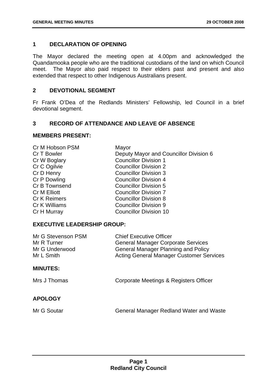#### **1 DECLARATION OF OPENING**

The Mayor declared the meeting open at 4.00pm and acknowledged the Quandamooka people who are the traditional custodians of the land on which Council meet. The Mayor also paid respect to their elders past and present and also extended that respect to other Indigenous Australians present.

#### **2 DEVOTIONAL SEGMENT**

Fr Frank O'Dea of the Redlands Ministers' Fellowship, led Council in a brief devotional segment.

#### **3 RECORD OF ATTENDANCE AND LEAVE OF ABSENCE**

#### **MEMBERS PRESENT:**

| Cr M Hobson PSM     | Mayor                                  |
|---------------------|----------------------------------------|
| Cr T Bowler         | Deputy Mayor and Councillor Division 6 |
| Cr W Boglary        | <b>Councillor Division 1</b>           |
| Cr C Ogilvie        | <b>Councillor Division 2</b>           |
| Cr D Henry          | <b>Councillor Division 3</b>           |
| Cr P Dowling        | <b>Councillor Division 4</b>           |
| Cr B Townsend       | <b>Councillor Division 5</b>           |
| <b>Cr M Elliott</b> | <b>Councillor Division 7</b>           |
| <b>Cr K Reimers</b> | <b>Councillor Division 8</b>           |
| Cr K Williams       | <b>Councillor Division 9</b>           |
| Cr H Murray         | <b>Councillor Division 10</b>          |

#### **EXECUTIVE LEADERSHIP GROUP:**

| Mr G Stevenson PSM<br>Mr R Turner<br>Mr G Underwood<br>Mr L Smith | <b>Chief Executive Officer</b><br><b>General Manager Corporate Services</b><br><b>General Manager Planning and Policy</b><br><b>Acting General Manager Customer Services</b> |
|-------------------------------------------------------------------|------------------------------------------------------------------------------------------------------------------------------------------------------------------------------|
| <b>MINUTES:</b>                                                   |                                                                                                                                                                              |
| Mrs J Thomas                                                      | Corporate Meetings & Registers Officer                                                                                                                                       |
| <b>APOLOGY</b>                                                    |                                                                                                                                                                              |
| Mr G Soutar                                                       | General Manager Redland Water and Waste                                                                                                                                      |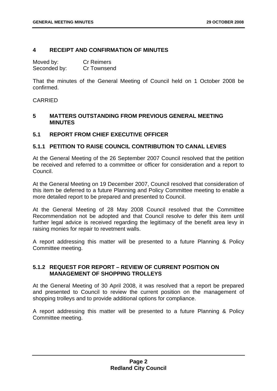#### **4 RECEIPT AND CONFIRMATION OF MINUTES**

| Moved by:    | <b>Cr Reimers</b> |
|--------------|-------------------|
| Seconded by: | Cr Townsend       |

That the minutes of the General Meeting of Council held on 1 October 2008 be confirmed.

#### **CARRIED**

#### **5 MATTERS OUTSTANDING FROM PREVIOUS GENERAL MEETING MINUTES**

#### **5.1 REPORT FROM CHIEF EXECUTIVE OFFICER**

#### **5.1.1 PETITION TO RAISE COUNCIL CONTRIBUTION TO CANAL LEVIES**

At the General Meeting of the 26 September 2007 Council resolved that the petition be received and referred to a committee or officer for consideration and a report to Council.

At the General Meeting on 19 December 2007, Council resolved that consideration of this item be deferred to a future Planning and Policy Committee meeting to enable a more detailed report to be prepared and presented to Council.

At the General Meeting of 28 May 2008 Council resolved that the Committee Recommendation not be adopted and that Council resolve to defer this item until further legal advice is received regarding the legitimacy of the benefit area levy in raising monies for repair to revetment walls.

A report addressing this matter will be presented to a future Planning & Policy Committee meeting.

#### **5.1.2 REQUEST FOR REPORT – REVIEW OF CURRENT POSITION ON MANAGEMENT OF SHOPPING TROLLEYS**

At the General Meeting of 30 April 2008, it was resolved that a report be prepared and presented to Council to review the current position on the management of shopping trolleys and to provide additional options for compliance.

A report addressing this matter will be presented to a future Planning & Policy Committee meeting.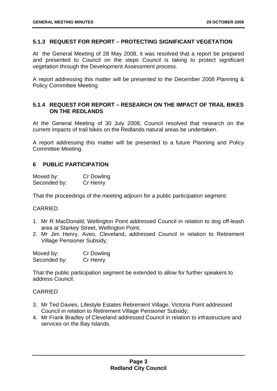#### **5.1.3 REQUEST FOR REPORT – PROTECTING SIGNIFICANT VEGETATION**

At the General Meeting of 28 May 2008, it was resolved that a report be prepared and presented to Council on the steps Council is taking to protect significant vegetation through the Development Assessment process.

A report addressing this matter will be presented to the December 2008 Planning & Policy Committee Meeting.

#### **5.1.4 REQUEST FOR REPORT – RESEARCH ON THE IMPACT OF TRAIL BIKES ON THE REDLANDS**

At the General Meeting of 30 July 2008, Council resolved that research on the current impacts of trail bikes on the Redlands natural areas be undertaken.

A report addressing this matter will be presented to a future Planning and Policy Committee Meeting.

#### **6 PUBLIC PARTICIPATION**

| Moved by:    | Cr Dowling |
|--------------|------------|
| Seconded by: | Cr Henry   |

That the proceedings of the meeting adjourn for a public participation segment.

#### CARRIED

- 1. Mr R MacDonald, Wellington Point addressed Council in relation to dog off-leash area at Starkey Street, Wellington Point;
- 2. Mr Jim Henry, Aveo, Cleveland, addressed Council in relation to Retirement Village Pensioner Subsidy;

| Moved by:    | <b>Cr Dowling</b> |
|--------------|-------------------|
| Seconded by: | Cr Henry          |

That the public participation segment be extended to allow for further speakers to address Council.

- 3. Mr Ted Davies, Lifestyle Estates Retirement Village, Victoria Point addressed Council in relation to Retirement Village Pensioner Subsidy;
- 4. Mr Frank Bradley of Cleveland addressed Council in relation to infrastructure and services on the Bay Islands.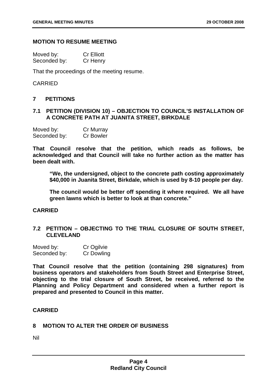#### **MOTION TO RESUME MEETING**

| Moved by:    | <b>Cr Elliott</b> |
|--------------|-------------------|
| Seconded by: | Cr Henry          |

That the proceedings of the meeting resume.

#### CARRIED

#### **7 PETITIONS**

#### **7.1 PETITION (DIVISION 10) – OBJECTION TO COUNCIL'S INSTALLATION OF A CONCRETE PATH AT JUANITA STREET, BIRKDALE**

| Moved by:    | Cr Murray        |
|--------------|------------------|
| Seconded by: | <b>Cr Bowler</b> |

**That Council resolve that the petition, which reads as follows, be acknowledged and that Council will take no further action as the matter has been dealt with.** 

**"We, the undersigned, object to the concrete path costing approximately \$40,000 in Juanita Street, Birkdale, which is used by 8-10 people per day.** 

**The council would be better off spending it where required. We all have green lawns which is better to look at than concrete."** 

#### **CARRIED**

#### **7.2 PETITION – OBJECTING TO THE TRIAL CLOSURE OF SOUTH STREET, CLEVELAND**

| Moved by:    | Cr Ogilvie        |
|--------------|-------------------|
| Seconded by: | <b>Cr Dowling</b> |

**That Council resolve that the petition (containing 298 signatures) from business operators and stakeholders from South Street and Enterprise Street, objecting to the trial closure of South Street, be received, referred to the Planning and Policy Department and considered when a further report is prepared and presented to Council in this matter.** 

#### **CARRIED**

#### **8 MOTION TO ALTER THE ORDER OF BUSINESS**

Nil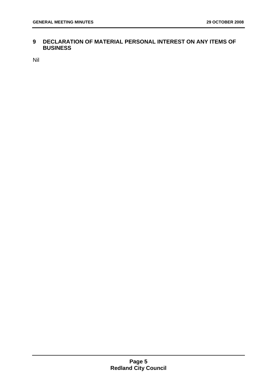#### **9 DECLARATION OF MATERIAL PERSONAL INTEREST ON ANY ITEMS OF BUSINESS**

Nil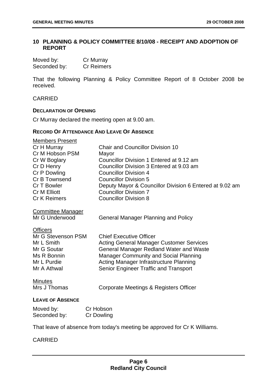#### **10 PLANNING & POLICY COMMITTEE 8/10/08 - RECEIPT AND ADOPTION OF REPORT**

| Moved by:    | Cr Murray         |
|--------------|-------------------|
| Seconded by: | <b>Cr Reimers</b> |

That the following Planning & Policy Committee Report of 8 October 2008 be received.

#### CARRIED

#### **DECLARATION OF OPENING**

Cr Murray declared the meeting open at 9.00 am.

#### **RECORD OF ATTENDANCE AND LEAVE OF ABSENCE**

| <b>Members Present</b>   |                                                                           |
|--------------------------|---------------------------------------------------------------------------|
| Cr H Murray              | <b>Chair and Councillor Division 10</b>                                   |
| Cr M Hobson PSM          | Mayor                                                                     |
| Cr W Boglary             | Councillor Division 1 Entered at 9.12 am                                  |
| Cr D Henry               | Councillor Division 3 Entered at 9.03 am                                  |
| Cr P Dowling             | <b>Councillor Division 4</b>                                              |
| Cr B Townsend            | <b>Councillor Division 5</b>                                              |
| Cr T Bowler              | Deputy Mayor & Councillor Division 6 Entered at 9.02 am                   |
| <b>Cr M Elliott</b>      | <b>Councillor Division 7</b>                                              |
| <b>Cr K Reimers</b>      | <b>Councillor Division 8</b>                                              |
|                          |                                                                           |
| <b>Committee Manager</b> |                                                                           |
| Mr G Underwood           | <b>General Manager Planning and Policy</b>                                |
| <b>Officers</b>          |                                                                           |
| Mr G Stevenson PSM       | <b>Chief Executive Officer</b>                                            |
| Mr L Smith               | <b>Acting General Manager Customer Services</b>                           |
| Mr G Soutar              | <b>General Manager Redland Water and Waste</b>                            |
| Ms R Bonnin              | <b>Manager Community and Social Planning</b>                              |
| Mr L Purdie              | Acting Manager Infrastructure Planning                                    |
| Mr A Athwal              | Senior Engineer Traffic and Transport                                     |
|                          |                                                                           |
| <b>Minutes</b>           |                                                                           |
| Mrs J Thomas             | Corporate Meetings & Registers Officer                                    |
| <b>LEAVE OF ABSENCE</b>  |                                                                           |
|                          |                                                                           |
| Moved by:                | Cr Hobson                                                                 |
| Seconded by:             | Cr Dowling                                                                |
|                          | That leave of absence from today's meeting be approved for Cr K Williams. |
|                          |                                                                           |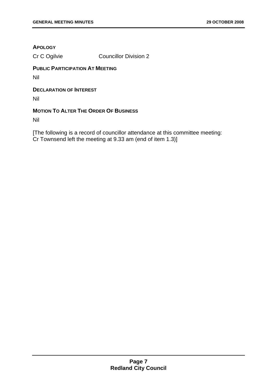#### **APOLOGY**

Cr C Ogilvie Councillor Division 2

#### **PUBLIC PARTICIPATION AT MEETING**

Nil

#### **DECLARATION OF INTEREST**

Nil

#### **MOTION TO ALTER THE ORDER OF BUSINESS**

Nil

[The following is a record of councillor attendance at this committee meeting: Cr Townsend left the meeting at 9.33 am (end of item 1.3)]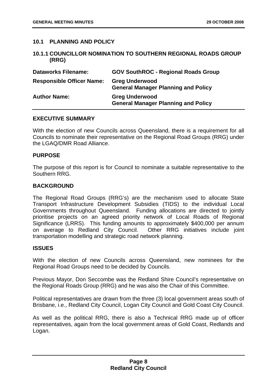#### **10.1 PLANNING AND POLICY**

#### **10.1.1 COUNCILLOR NOMINATION TO SOUTHERN REGIONAL ROADS GROUP (RRG)**

| <b>Dataworks Filename:</b>       | <b>GOV SouthROC - Regional Roads Group</b>                          |
|----------------------------------|---------------------------------------------------------------------|
| <b>Responsible Officer Name:</b> | <b>Greg Underwood</b><br><b>General Manager Planning and Policy</b> |
| <b>Author Name:</b>              | <b>Greg Underwood</b><br><b>General Manager Planning and Policy</b> |

#### **EXECUTIVE SUMMARY**

With the election of new Councils across Queensland, there is a requirement for all Councils to nominate their representative on the Regional Road Groups (RRG) under the LGAQ/DMR Road Alliance.

#### **PURPOSE**

The purpose of this report is for Council to nominate a suitable representative to the Southern RRG.

#### **BACKGROUND**

The Regional Road Groups (RRG's) are the mechanism used to allocate State Transport Infrastructure Development Subsidies (TIDS) to the individual Local Governments throughout Queensland. Funding allocations are directed to jointly prioritise projects on an agreed priority network of Local Roads of Regional Significance (LRRS). This funding amounts to approximately \$400,000 per annum on average to Redland City Council. Other RRG initiatives include joint transportation modelling and strategic road network planning.

#### **ISSUES**

With the election of new Councils across Queensland, new nominees for the Regional Road Groups need to be decided by Councils.

Previous Mayor, Don Seccombe was the Redland Shire Council's representative on the Regional Roads Group (RRG) and he was also the Chair of this Committee.

Political representatives are drawn from the three (3) local government areas south of Brisbane, i.e., Redland City Council, Logan City Council and Gold Coast City Council.

As well as the political RRG, there is also a Technical RRG made up of officer representatives, again from the local government areas of Gold Coast, Redlands and Logan.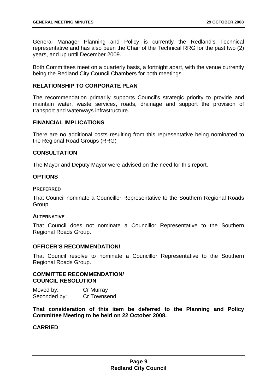General Manager Planning and Policy is currently the Redland's Technical representative and has also been the Chair of the Technical RRG for the past two (2) years, and up until December 2009.

Both Committees meet on a quarterly basis, a fortnight apart, with the venue currently being the Redland City Council Chambers for both meetings.

#### **RELATIONSHIP TO CORPORATE PLAN**

The recommendation primarily supports Council's strategic priority to provide and maintain water, waste services, roads, drainage and support the provision of transport and waterways infrastructure.

#### **FINANCIAL IMPLICATIONS**

There are no additional costs resulting from this representative being nominated to the Regional Road Groups (RRG)

#### **CONSULTATION**

The Mayor and Deputy Mayor were advised on the need for this report.

#### **OPTIONS**

#### **PREFERRED**

That Council nominate a Councillor Representative to the Southern Regional Roads Group.

#### **ALTERNATIVE**

That Council does not nominate a Councillor Representative to the Southern Regional Roads Group.

#### **OFFICER'S RECOMMENDATION/**

That Council resolve to nominate a Councillor Representative to the Southern Regional Roads Group.

#### **COMMITTEE RECOMMENDATION/ COUNCIL RESOLUTION**

| Moved by:    | Cr Murray   |
|--------------|-------------|
| Seconded by: | Cr Townsend |

**That consideration of this item be deferred to the Planning and Policy Committee Meeting to be held on 22 October 2008.**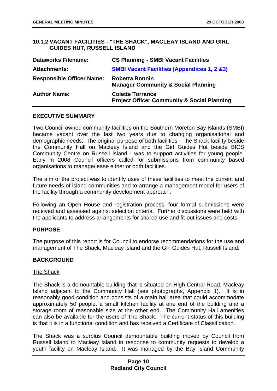#### **10.1.2 VACANT FACILITIES - "THE SHACK", MACLEAY ISLAND AND GIRL GUIDES HUT, RUSSELL ISLAND**

| <b>Dataworks Filename:</b>       | <b>CS Planning - SMBI Vacant Facilities</b>                                       |
|----------------------------------|-----------------------------------------------------------------------------------|
| <b>Attachments:</b>              | <b>SMBI Vacant Facilities (Appendices 1, 2 &amp;3)</b>                            |
| <b>Responsible Officer Name:</b> | <b>Roberta Bonnin</b><br><b>Manager Community &amp; Social Planning</b>           |
| <b>Author Name:</b>              | <b>Colette Torrance</b><br><b>Project Officer Community &amp; Social Planning</b> |

#### **EXECUTIVE SUMMARY**

Two Council owned community facilities on the Southern Moreton Bay Islands (SMBI) became vacant over the last two years due to changing organisational and demographic needs. The original purpose of both facilities - The Shack facility beside the Community Hall on Macleay Island and the Girl Guides Hut beside BICS Community Centre on Russell Island - was to support activities for young people. Early in 2008 Council officers called for submissions from community based organisations to manage/lease either or both facilities.

The aim of the project was to identify uses of these facilities to meet the current and future needs of island communities and to arrange a management model for users of the facility through a community development approach.

Following an Open House and registration process, four formal submissions were received and assessed against selection criteria. Further discussions were held with the applicants to address arrangements for shared use and fit-out issues and costs.

#### **PURPOSE**

The purpose of this report is for Council to endorse recommendations for the use and management of The Shack, Macleay Island and the Girl Guides Hut, Russell Island.

#### **BACKGROUND**

#### The Shack

The Shack is a demountable building that is situated on High Central Road, Macleay Island adjacent to the Community Hall (see photographs, Appendix 1). It is in reasonably good condition and consists of a main hall area that could accommodate approximately 50 people, a small kitchen facility at one end of the building and a storage room of reasonable size at the other end. The Community Hall amenities can also be available for the users of The Shack. The current status of this building is that it is in a functional condition and has received a Certificate of Classification.

The Shack was a surplus Council demountable building moved by Council from Russell Island to Macleay Island in response to community requests to develop a youth facility on Macleay Island. It was managed by the Bay Island Community

#### **Page 10 Redland City Council**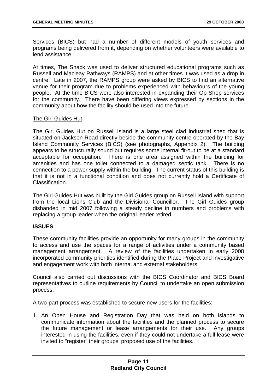Services (BICS) but had a number of different models of youth services and programs being delivered from it, depending on whether volunteers were available to lend assistance.

At times, The Shack was used to deliver structured educational programs such as Russell and Macleay Pathways (RAMPS) and at other times it was used as a drop in centre. Late in 2007, the RAMPS group were asked by BICS to find an alternative venue for their program due to problems experienced with behaviours of the young people. At the time BICS were also interested in expanding their Op Shop services for the community. There have been differing views expressed by sections in the community about how the facility should be used into the future.

#### The Girl Guides Hut

The Girl Guides Hut on Russell Island is a large steel clad industrial shed that is situated on Jackson Road directly beside the community centre operated by the Bay Island Community Services (BICS) (see photographs, Appendix 2). The building appears to be structurally sound but requires some internal fit-out to be at a standard acceptable for occupation. There is one area assigned within the building for amenities and has one toilet connected to a damaged septic tank. There is no connection to a power supply within the building. The current status of this building is that it is not in a functional condition and does not currently hold a Certificate of Classification.

The Girl Guides Hut was built by the Girl Guides group on Russell Island with support from the local Lions Club and the Divisional Councillor. The Girl Guides group disbanded in mid 2007 following a steady decline in numbers and problems with replacing a group leader when the original leader retired.

#### **ISSUES**

These community facilities provide an opportunity for many groups in the community to access and use the spaces for a range of activities under a community based management arrangement. A review of the facilities undertaken in early 2008 incorporated community priorities identified during the Place Project and investigative and engagement work with both internal and external stakeholders.

Council also carried out discussions with the BICS Coordinator and BICS Board representatives to outline requirements by Council to undertake an open submission process.

A two-part process was established to secure new users for the facilities:

1. An Open House and Registration Day that was held on both islands to communicate information about the facilities and the planned process to secure the future management or lease arrangements for their use. Any groups interested in using the facilities, even if they could not undertake a full lease were invited to "register" their groups' proposed use of the facilities.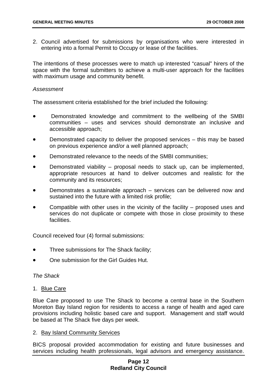2. Council advertised for submissions by organisations who were interested in entering into a formal Permit to Occupy or lease of the facilities.

The intentions of these processes were to match up interested "casual" hirers of the space with the formal submitters to achieve a multi-user approach for the facilities with maximum usage and community benefit.

#### *Assessment*

The assessment criteria established for the brief included the following:

- Demonstrated knowledge and commitment to the wellbeing of the SMBI communities – uses and services should demonstrate an inclusive and accessible approach;
- Demonstrated capacity to deliver the proposed services this may be based on previous experience and/or a well planned approach;
- Demonstrated relevance to the needs of the SMBI communities;
- Demonstrated viability proposal needs to stack up, can be implemented, appropriate resources at hand to deliver outcomes and realistic for the community and its resources;
- Demonstrates a sustainable approach services can be delivered now and sustained into the future with a limited risk profile;
- Compatible with other uses in the vicinity of the facility  $-$  proposed uses and services do not duplicate or compete with those in close proximity to these facilities.

Council received four (4) formal submissions:

- Three submissions for The Shack facility;
- One submission for the Girl Guides Hut.

#### *The Shack*

1. Blue Care

Blue Care proposed to use The Shack to become a central base in the Southern Moreton Bay Island region for residents to access a range of health and aged care provisions including holistic based care and support. Management and staff would be based at The Shack five days per week.

#### 2. Bay Island Community Services

BICS proposal provided accommodation for existing and future businesses and services including health professionals, legal advisors and emergency assistance.

#### **Page 12 Redland City Council**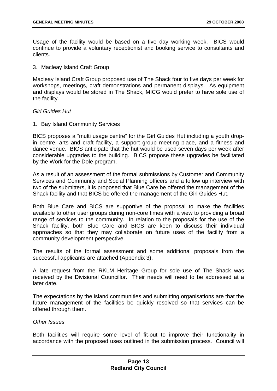Usage of the facility would be based on a five day working week. BICS would continue to provide a voluntary receptionist and booking service to consultants and clients.

#### 3. Macleay Island Craft Group

Macleay Island Craft Group proposed use of The Shack four to five days per week for workshops, meetings, craft demonstrations and permanent displays. As equipment and displays would be stored in The Shack, MICG would prefer to have sole use of the facility.

#### *Girl Guides Hut*

#### 1. Bay Island Community Services

BICS proposes a "multi usage centre" for the Girl Guides Hut including a youth dropin centre, arts and craft facility, a support group meeting place, and a fitness and dance venue. BICS anticipate that the hut would be used seven days per week after considerable upgrades to the building. BICS propose these upgrades be facilitated by the Work for the Dole program.

As a result of an assessment of the formal submissions by Customer and Community Services and Community and Social Planning officers and a follow up interview with two of the submitters, it is proposed that Blue Care be offered the management of the Shack facility and that BICS be offered the management of the Girl Guides Hut.

Both Blue Care and BICS are supportive of the proposal to make the facilities available to other user groups during non-core times with a view to providing a broad range of services to the community. In relation to the proposals for the use of the Shack facility, both Blue Care and BICS are keen to discuss their individual approaches so that they may collaborate on future uses of the facility from a community development perspective.

The results of the formal assessment and some additional proposals from the successful applicants are attached (Appendix 3).

A late request from the RKLM Heritage Group for sole use of The Shack was received by the Divisional Councillor. Their needs will need to be addressed at a later date.

The expectations by the island communities and submitting organisations are that the future management of the facilities be quickly resolved so that services can be offered through them.

#### *Other Issues*

Both facilities will require some level of fit-out to improve their functionality in accordance with the proposed uses outlined in the submission process. Council will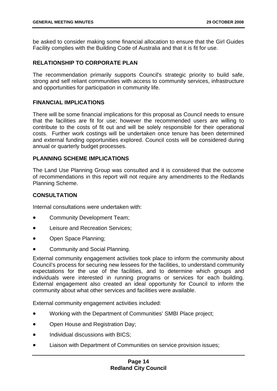be asked to consider making some financial allocation to ensure that the Girl Guides Facility complies with the Building Code of Australia and that it is fit for use.

#### **RELATIONSHIP TO CORPORATE PLAN**

The recommendation primarily supports Council's strategic priority to build safe, strong and self reliant communities with access to community services, infrastructure and opportunities for participation in community life.

#### **FINANCIAL IMPLICATIONS**

There will be some financial implications for this proposal as Council needs to ensure that the facilities are fit for use; however the recommended users are willing to contribute to the costs of fit out and will be solely responsible for their operational costs. Further work costings will be undertaken once tenure has been determined and external funding opportunities explored. Council costs will be considered during annual or quarterly budget processes.

#### **PLANNING SCHEME IMPLICATIONS**

The Land Use Planning Group was consulted and it is considered that the outcome of recommendations in this report will not require any amendments to the Redlands Planning Scheme.

#### **CONSULTATION**

Internal consultations were undertaken with:

- Community Development Team;
- Leisure and Recreation Services:
- Open Space Planning;
- Community and Social Planning.

External community engagement activities took place to inform the community about Council's process for securing new lessees for the facilities, to understand community expectations for the use of the facilities, and to determine which groups and individuals were interested in running programs or services for each building. External engagement also created an ideal opportunity for Council to inform the community about what other services and facilities were available.

External community engagement activities included:

- Working with the Department of Communities' SMBI Place project;
- Open House and Registration Day;
- Individual discussions with BICS:
- Liaison with Department of Communities on service provision issues;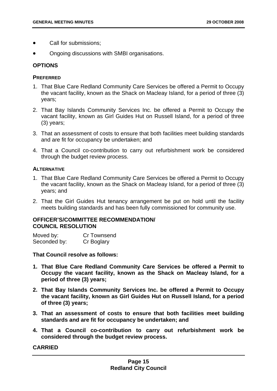- Call for submissions;
- Ongoing discussions with SMBI organisations.

#### **OPTIONS**

#### **PREFERRED**

- 1. That Blue Care Redland Community Care Services be offered a Permit to Occupy the vacant facility, known as the Shack on Macleay Island, for a period of three (3) years;
- 2. That Bay Islands Community Services Inc. be offered a Permit to Occupy the vacant facility, known as Girl Guides Hut on Russell Island, for a period of three (3) years;
- 3. That an assessment of costs to ensure that both facilities meet building standards and are fit for occupancy be undertaken; and
- 4. That a Council co-contribution to carry out refurbishment work be considered through the budget review process.

#### **ALTERNATIVE**

- 1. That Blue Care Redland Community Care Services be offered a Permit to Occupy the vacant facility, known as the Shack on Macleay Island, for a period of three (3) years; and
- 2. That the Girl Guides Hut tenancy arrangement be put on hold until the facility meets building standards and has been fully commissioned for community use.

#### **OFFICER'S/COMMITTEE RECOMMENDATION/ COUNCIL RESOLUTION**

| Moved by:    | Cr Townsend |
|--------------|-------------|
| Seconded by: | Cr Boglary  |

**That Council resolve as follows:** 

- **1. That Blue Care Redland Community Care Services be offered a Permit to Occupy the vacant facility, known as the Shack on Macleay Island, for a period of three (3) years;**
- **2. That Bay Islands Community Services Inc. be offered a Permit to Occupy the vacant facility, known as Girl Guides Hut on Russell Island, for a period of three (3) years;**
- **3. That an assessment of costs to ensure that both facilities meet building standards and are fit for occupancy be undertaken; and**
- **4. That a Council co-contribution to carry out refurbishment work be considered through the budget review process.**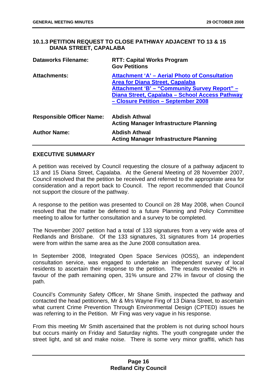#### **10.1.3 PETITION REQUEST TO CLOSE PATHWAY ADJACENT TO 13 & 15 DIANA STREET, CAPALABA**

| <b>Dataworks Filename:</b>       | <b>RTT: Capital Works Program</b><br><b>Gov Petitions</b>                                                                                                                                                                               |
|----------------------------------|-----------------------------------------------------------------------------------------------------------------------------------------------------------------------------------------------------------------------------------------|
| <b>Attachments:</b>              | Attachment 'A' - Aerial Photo of Consultation<br><b>Area for Diana Street, Capalaba</b><br><b>Attachment 'B' - "Community Survey Report" -</b><br>Diana Street, Capalaba - School Access Pathway<br>- Closure Petition - September 2008 |
| <b>Responsible Officer Name:</b> | <b>Abdish Athwal</b><br><b>Acting Manager Infrastructure Planning</b>                                                                                                                                                                   |
| <b>Author Name:</b>              | <b>Abdish Athwal</b><br><b>Acting Manager Infrastructure Planning</b>                                                                                                                                                                   |

#### **EXECUTIVE SUMMARY**

A petition was received by Council requesting the closure of a pathway adjacent to 13 and 15 Diana Street, Capalaba. At the General Meeting of 28 November 2007, Council resolved that the petition be received and referred to the appropriate area for consideration and a report back to Council. The report recommended that Council not support the closure of the pathway.

A response to the petition was presented to Council on 28 May 2008, when Council resolved that the matter be deferred to a future Planning and Policy Committee meeting to allow for further consultation and a survey to be completed.

The November 2007 petition had a total of 133 signatures from a very wide area of Redlands and Brisbane. Of the 133 signatures, 31 signatures from 14 properties were from within the same area as the June 2008 consultation area.

In September 2008, Integrated Open Space Services (IOSS), an independent consultation service, was engaged to undertake an independent survey of local residents to ascertain their response to the petition. The results revealed 42% in favour of the path remaining open, 31% unsure and 27% in favour of closing the path.

Council's Community Safety Officer, Mr Shane Smith, inspected the pathway and contacted the head petitioners, Mr & Mrs Wayne Fing of 13 Diana Street, to ascertain what current Crime Prevention Through Environmental Design (CPTED) issues he was referring to in the Petition. Mr Fing was very vague in his response.

From this meeting Mr Smith ascertained that the problem is not during school hours but occurs mainly on Friday and Saturday nights. The youth congregate under the street light, and sit and make noise. There is some very minor graffiti, which has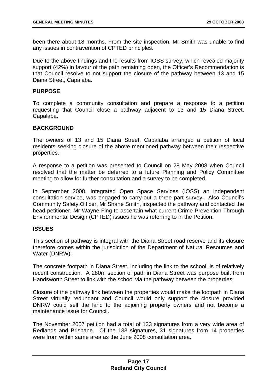been there about 18 months. From the site inspection, Mr Smith was unable to find any issues in contravention of CPTED principles.

Due to the above findings and the results from IOSS survey, which revealed majority support (42%) in favour of the path remaining open, the Officer's Recommendation is that Council resolve to not support the closure of the pathway between 13 and 15 Diana Street, Capalaba.

#### **PURPOSE**

To complete a community consultation and prepare a response to a petition requesting that Council close a pathway adjacent to 13 and 15 Diana Street, Capalaba.

#### **BACKGROUND**

The owners of 13 and 15 Diana Street, Capalaba arranged a petition of local residents seeking closure of the above mentioned pathway between their respective properties.

A response to a petition was presented to Council on 28 May 2008 when Council resolved that the matter be deferred to a future Planning and Policy Committee meeting to allow for further consultation and a survey to be completed.

In September 2008, Integrated Open Space Services (IOSS) an independent consultation service, was engaged to carry-out a three part survey. Also Council's Community Safety Officer, Mr Shane Smith, inspected the pathway and contacted the head petitioner, Mr Wayne Fing to ascertain what current Crime Prevention Through Environmental Design (CPTED) issues he was referring to in the Petition.

#### **ISSUES**

This section of pathway is integral with the Diana Street road reserve and its closure therefore comes within the jurisdiction of the Department of Natural Resources and Water (DNRW);

The concrete footpath in Diana Street, including the link to the school, is of relatively recent construction. A 280m section of path in Diana Street was purpose built from Handsworth Street to link with the school via the pathway between the properties;

Closure of the pathway link between the properties would make the footpath in Diana Street virtually redundant and Council would only support the closure provided DNRW could sell the land to the adjoining property owners and not become a maintenance issue for Council.

The November 2007 petition had a total of 133 signatures from a very wide area of Redlands and Brisbane. Of the 133 signatures, 31 signatures from 14 properties were from within same area as the June 2008 consultation area.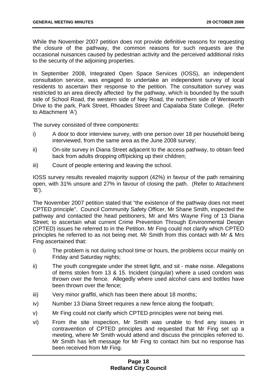While the November 2007 petition does not provide definitive reasons for requesting the closure of the pathway, the common reasons for such requests are the occasional nuisances caused by pedestrian activity and the perceived additional risks to the security of the adjoining properties.

In September 2008, Integrated Open Space Services (IOSS), an independent consultation service, was engaged to undertake an independent survey of local residents to ascertain their response to the petition. The consultation survey was restricted to an area directly affected by the pathway, which is bounded by the south side of School Road, the western side of Ney Road, the northern side of Wentworth Drive to the park, Park Street, Rhoades Street and Capalaba State College. (Refer to Attachment 'A')

The survey consisted of three components:

- i) A door to door interview survey, with one person over 18 per household being interviewed, from the same area as the June 2008 survey;
- ii) On-site survey in Diana Street adjacent to the access pathway, to obtain feed back from adults dropping off/picking up their children;
- iii) Count of people entering and leaving the school.

IOSS survey results revealed majority support (42%) in favour of the path remaining open, with 31% unsure and 27% in favour of closing the path. (Refer to Attachment 'B').

The November 2007 petition stated that "the existence of the pathway does not meet CPTED principle". Council Community Safety Officer, Mr Shane Smith, inspected the pathway and contacted the head petitioners, Mr and Mrs Wayne Fing of 13 Diana Street; to ascertain what current Crime Prevention Through Environmental Design (CPTED) issues he referred to in the Petition. Mr Fing could not clarify which CPTED principles he referred to as not being met. Mr Smith from this contact with Mr & Mrs Fing ascertained that:

- i) The problem is not during school time or hours, the problems occur mainly on Friday and Saturday nights;
- ii) The youth congregate under the street light, and sit make noise. Allegations of items stolen from 13 & 15. Incident (singular) where a used condom was thrown over the fence. Allegedly where used alcohol cans and bottles have been thrown over the fence;
- iii) Very minor graffiti, which has been there about 18 months;
- iv) Number 13 Diana Street requires a new fence along the footpath;
- v) Mr Fing could not clarify which CPTED principles were not being met.
- vi) From the site inspection, Mr Smith was unable to find any issues in contravention of CPTED principles and requested that Mr Fing set up a meeting, where Mr Smith would attend and discuss the principles referred to. Mr Smith has left message for Mr Fing to contact him but no response has been received from Mr Fing.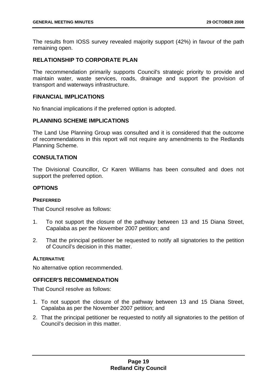The results from IOSS survey revealed majority support (42%) in favour of the path remaining open.

#### **RELATIONSHIP TO CORPORATE PLAN**

The recommendation primarily supports Council's strategic priority to provide and maintain water, waste services, roads, drainage and support the provision of transport and waterways infrastructure.

#### **FINANCIAL IMPLICATIONS**

No financial implications if the preferred option is adopted.

#### **PLANNING SCHEME IMPLICATIONS**

The Land Use Planning Group was consulted and it is considered that the outcome of recommendations in this report will not require any amendments to the Redlands Planning Scheme.

#### **CONSULTATION**

The Divisional Councillor, Cr Karen Williams has been consulted and does not support the preferred option.

#### **OPTIONS**

#### **PREFERRED**

That Council resolve as follows:

- 1. To not support the closure of the pathway between 13 and 15 Diana Street, Capalaba as per the November 2007 petition; and
- 2. That the principal petitioner be requested to notify all signatories to the petition of Council's decision in this matter.

#### **ALTERNATIVE**

No alternative option recommended.

#### **OFFICER'S RECOMMENDATION**

That Council resolve as follows:

- 1. To not support the closure of the pathway between 13 and 15 Diana Street, Capalaba as per the November 2007 petition; and
- 2. That the principal petitioner be requested to notify all signatories to the petition of Council's decision in this matter.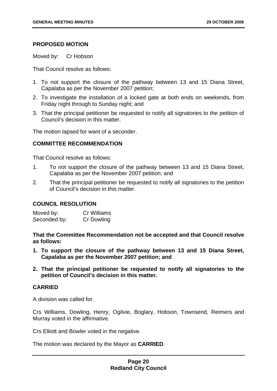#### **PROPOSED MOTION**

Moved by: Cr Hobson

That Council resolve as follows:

- 1. To not support the closure of the pathway between 13 and 15 Diana Street, Capalaba as per the November 2007 petition;
- 2. To investigate the installation of a locked gate at both ends on weekends, from Friday night through to Sunday night; and
- 3. That the principal petitioner be requested to notify all signatories to the petition of Council's decision in this matter.

The motion lapsed for want of a seconder.

#### **COMMITTEE RECOMMENDATION**

That Council resolve as follows:

- 1. To not support the closure of the pathway between 13 and 15 Diana Street, Capalaba as per the November 2007 petition; and
- 2. That the principal petitioner be requested to notify all signatories to the petition of Council's decision in this matter.

#### **COUNCIL RESOLUTION**

Moved by: Cr Williams Seconded by: Cr Dowling

**That the Committee Recommendation not be accepted and that Council resolve as follows:** 

- **1. To support the closure of the pathway between 13 and 15 Diana Street, Capalaba as per the November 2007 petition; and**
- **2. That the principal petitioner be requested to notify all signatories to the petition of Council's decision in this matter.**

#### **CARRIED**

A division was called for.

Crs Williams, Dowling, Henry, Ogilvie, Boglary, Hobson, Townsend, Reimers and Murray voted in the affirmative.

Crs Elliott and Bowler voted in the negative.

The motion was declared by the Mayor as **CARRIED**.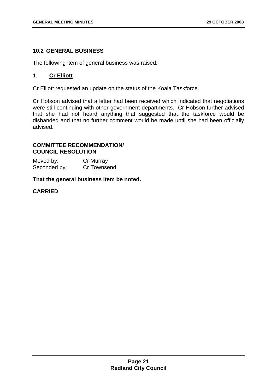#### **10.2 GENERAL BUSINESS**

The following item of general business was raised:

#### 1. **Cr Elliott**

Cr Elliott requested an update on the status of the Koala Taskforce.

Cr Hobson advised that a letter had been received which indicated that negotiations were still continuing with other government departments. Cr Hobson further advised that she had not heard anything that suggested that the taskforce would be disbanded and that no further comment would be made until she had been officially advised.

#### **COMMITTEE RECOMMENDATION/ COUNCIL RESOLUTION**

Moved by: Cr Murray Seconded by: Cr Townsend

**That the general business item be noted.**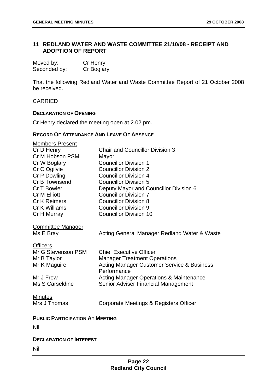#### **11 REDLAND WATER AND WASTE COMMITTEE 21/10/08 - RECEIPT AND ADOPTION OF REPORT**

| Moved by:    | Cr Henry   |
|--------------|------------|
| Seconded by: | Cr Boglary |

That the following Redland Water and Waste Committee Report of 21 October 2008 be received.

CARRIED

#### **DECLARATION OF OPENING**

Cr Henry declared the meeting open at 2.02 pm.

#### **RECORD OF ATTENDANCE AND LEAVE OF ABSENCE**

| <b>Members Present</b><br>Cr D Henry<br>Cr M Hobson PSM<br>Cr W Boglary<br>Cr C Ogilvie<br>Cr P Dowling<br>Cr B Townsend<br>Cr T Bowler<br><b>Cr M Elliott</b><br><b>Cr K Reimers</b><br>Cr K Williams<br>Cr H Murray | <b>Chair and Councillor Division 3</b><br>Mayor<br><b>Councillor Division 1</b><br><b>Councillor Division 2</b><br><b>Councillor Division 4</b><br><b>Councillor Division 5</b><br>Deputy Mayor and Councillor Division 6<br><b>Councillor Division 7</b><br><b>Councillor Division 8</b><br><b>Councillor Division 9</b><br><b>Councillor Division 10</b> |
|-----------------------------------------------------------------------------------------------------------------------------------------------------------------------------------------------------------------------|------------------------------------------------------------------------------------------------------------------------------------------------------------------------------------------------------------------------------------------------------------------------------------------------------------------------------------------------------------|
| <b>Committee Manager</b><br>Ms E Bray                                                                                                                                                                                 | Acting General Manager Redland Water & Waste                                                                                                                                                                                                                                                                                                               |
| <b>Officers</b><br>Mr G Stevenson PSM<br>Mr B Taylor<br>Mr K Maguire                                                                                                                                                  | <b>Chief Executive Officer</b><br><b>Manager Treatment Operations</b><br><b>Acting Manager Customer Service &amp; Business</b><br>Performance                                                                                                                                                                                                              |
| Mr J Frew<br>Ms S Carseldine                                                                                                                                                                                          | <b>Acting Manager Operations &amp; Maintenance</b><br>Senior Adviser Financial Management                                                                                                                                                                                                                                                                  |
| <b>Minutes</b><br>Mrs J Thomas                                                                                                                                                                                        | Corporate Meetings & Registers Officer                                                                                                                                                                                                                                                                                                                     |
| <b>PUBLIC PARTICIPATION AT MEETING</b><br>Nil                                                                                                                                                                         |                                                                                                                                                                                                                                                                                                                                                            |
| <b>DECLARATION OF INTEREST</b><br>Nil                                                                                                                                                                                 |                                                                                                                                                                                                                                                                                                                                                            |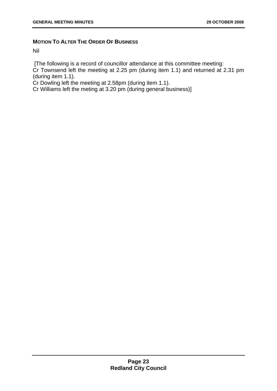#### **MOTION TO ALTER THE ORDER OF BUSINESS**

Nil

[The following is a record of councillor attendance at this committee meeting:

Cr Townsend left the meeting at 2.25 pm (during item 1.1) and returned at 2.31 pm (during item 1.1).

Cr Dowling left the meeting at 2.58pm (during item 1.1).

Cr Williams left the meting at 3.20 pm (during general business)]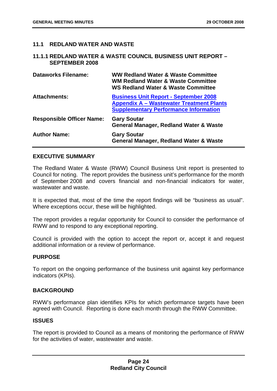#### **11.1 REDLAND WATER AND WASTE**

#### **11.1.1 REDLAND WATER & WASTE COUNCIL BUSINESS UNIT REPORT – SEPTEMBER 2008**

| <b>Dataworks Filename:</b>       | <b>WW Redland Water &amp; Waste Committee</b><br><b>WM Redland Water &amp; Waste Committee</b><br><b>WS Redland Water &amp; Waste Committee</b> |
|----------------------------------|-------------------------------------------------------------------------------------------------------------------------------------------------|
| <b>Attachments:</b>              | <b>Business Unit Report - September 2008</b><br><b>Appendix A – Wastewater Treatment Plants</b><br><b>Supplementary Performance Information</b> |
| <b>Responsible Officer Name:</b> | <b>Gary Soutar</b><br><b>General Manager, Redland Water &amp; Waste</b>                                                                         |
| <b>Author Name:</b>              | <b>Gary Soutar</b><br><b>General Manager, Redland Water &amp; Waste</b>                                                                         |

#### **EXECUTIVE SUMMARY**

The Redland Water & Waste (RWW) Council Business Unit report is presented to Council for noting. The report provides the business unit's performance for the month of September 2008 and covers financial and non-financial indicators for water, wastewater and waste.

It is expected that, most of the time the report findings will be "business as usual". Where exceptions occur, these will be highlighted.

The report provides a regular opportunity for Council to consider the performance of RWW and to respond to any exceptional reporting.

Council is provided with the option to accept the report or, accept it and request additional information or a review of performance.

#### **PURPOSE**

To report on the ongoing performance of the business unit against key performance indicators (KPIs).

#### **BACKGROUND**

RWW's performance plan identifies KPIs for which performance targets have been agreed with Council. Reporting is done each month through the RWW Committee.

#### **ISSUES**

The report is provided to Council as a means of monitoring the performance of RWW for the activities of water, wastewater and waste.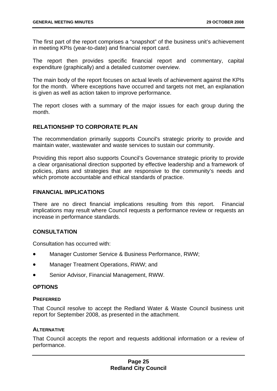The first part of the report comprises a "snapshot" of the business unit's achievement in meeting KPIs (year-to-date) and financial report card.

The report then provides specific financial report and commentary, capital expenditure (graphically) and a detailed customer overview.

The main body of the report focuses on actual levels of achievement against the KPIs for the month. Where exceptions have occurred and targets not met, an explanation is given as well as action taken to improve performance.

The report closes with a summary of the major issues for each group during the month.

#### **RELATIONSHIP TO CORPORATE PLAN**

The recommendation primarily supports Council's strategic priority to provide and maintain water, wastewater and waste services to sustain our community.

Providing this report also supports Council's Governance strategic priority to provide a clear organisational direction supported by effective leadership and a framework of policies, plans and strategies that are responsive to the community's needs and which promote accountable and ethical standards of practice.

#### **FINANCIAL IMPLICATIONS**

There are no direct financial implications resulting from this report. Financial implications may result where Council requests a performance review or requests an increase in performance standards.

#### **CONSULTATION**

Consultation has occurred with:

- Manager Customer Service & Business Performance, RWW;
- Manager Treatment Operations, RWW; and
- Senior Advisor, Financial Management, RWW.

#### **OPTIONS**

#### **PREFERRED**

That Council resolve to accept the Redland Water & Waste Council business unit report for September 2008, as presented in the attachment.

#### **ALTERNATIVE**

That Council accepts the report and requests additional information or a review of performance.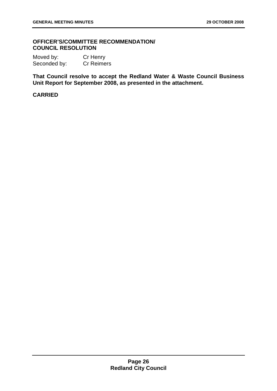#### **OFFICER'S/COMMITTEE RECOMMENDATION/ COUNCIL RESOLUTION**

Moved by: Cr Henry Seconded by: Cr Reimers

**That Council resolve to accept the Redland Water & Waste Council Business Unit Report for September 2008, as presented in the attachment.**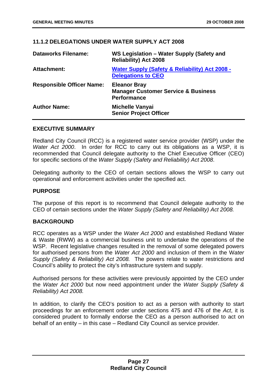#### **11.1.2 DELEGATIONS UNDER WATER SUPPLY ACT 2008**

| <b>Dataworks Filename:</b>       | WS Legislation - Water Supply (Safety and<br><b>Reliability) Act 2008</b>                   |
|----------------------------------|---------------------------------------------------------------------------------------------|
| <b>Attachment:</b>               | <b>Water Supply (Safety &amp; Reliability) Act 2008 -</b><br><b>Delegations to CEO</b>      |
| <b>Responsible Officer Name:</b> | <b>Eleanor Bray</b><br><b>Manager Customer Service &amp; Business</b><br><b>Performance</b> |
| <b>Author Name:</b>              | <b>Michelle Vanyai</b><br><b>Senior Project Officer</b>                                     |

#### **EXECUTIVE SUMMARY**

Redland City Council (RCC) is a registered water service provider (WSP) under the *Water Act 2000*. In order for RCC to carry out its obligations as a WSP, it is recommended that Council delegate authority to the Chief Executive Officer (CEO) for specific sections of the *Water Supply (Safety and Reliability) Act 2008*.

Delegating authority to the CEO of certain sections allows the WSP to carry out operational and enforcement activities under the specified act.

#### **PURPOSE**

The purpose of this report is to recommend that Council delegate authority to the CEO of certain sections under the *Water Supply (Safety and Reliability) Act 2008.*

#### **BACKGROUND**

RCC operates as a WSP under the *Water Act 2000* and established Redland Water & Waste (RWW) as a commercial business unit to undertake the operations of the WSP. Recent legislative changes resulted in the removal of some delegated powers for authorised persons from the *Water Act 2000* and inclusion of them in the W*ater Supply (Safety & Reliability) Act 2008.* The powers relate to water restrictions and Council's ability to protect the city's infrastructure system and supply.

Authorised persons for these activities were previously appointed by the CEO under the *Water Act 2000* but now need appointment under the *Water Supply (Safety & Reliability) Act 2008.* 

In addition, to clarify the CEO's position to act as a person with authority to start proceedings for an enforcement order under sections 475 and 476 of the *Act*, it is considered prudent to formally endorse the CEO as a person authorised to act on behalf of an entity – in this case – Redland City Council as service provider.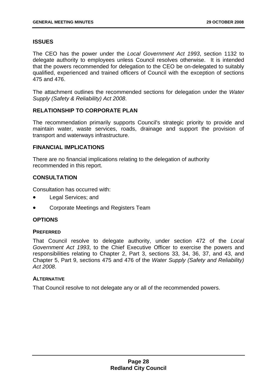#### **ISSUES**

The CEO has the power under the *Local Government Act 1993*, section 1132 to delegate authority to employees unless Council resolves otherwise. It is intended that the powers recommended for delegation to the CEO be on-delegated to suitably qualified, experienced and trained officers of Council with the exception of sections 475 and 476.

The attachment outlines the recommended sections for delegation under the *Water Supply (Safety & Reliability) Act 2008*.

#### **RELATIONSHIP TO CORPORATE PLAN**

The recommendation primarily supports Council's strategic priority to provide and maintain water, waste services, roads, drainage and support the provision of transport and waterways infrastructure.

#### **FINANCIAL IMPLICATIONS**

There are no financial implications relating to the delegation of authority recommended in this report.

#### **CONSULTATION**

Consultation has occurred with:

- Legal Services; and
- Corporate Meetings and Registers Team

#### **OPTIONS**

#### **PREFERRED**

That Council resolve to delegate authority, under section 472 of the *Local Government Act 1993*, to the Chief Executive Officer to exercise the powers and responsibilities relating to Chapter 2, Part 3, sections 33, 34, 36, 37, and 43, and Chapter 5, Part 9, sections 475 and 476 of the *Water Supply (Safety and Reliability) Act 2008*.

#### **ALTERNATIVE**

That Council resolve to not delegate any or all of the recommended powers.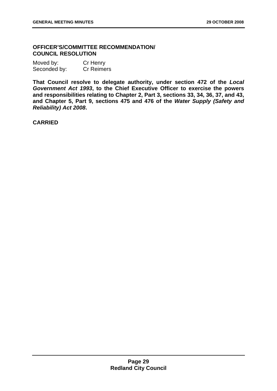#### **OFFICER'S/COMMITTEE RECOMMENDATION/ COUNCIL RESOLUTION**

| Moved by:    | Cr Henry          |
|--------------|-------------------|
| Seconded by: | <b>Cr Reimers</b> |

**That Council resolve to delegate authority, under section 472 of the** *Local Government Act 1993***, to the Chief Executive Officer to exercise the powers and responsibilities relating to Chapter 2, Part 3, sections 33, 34, 36, 37, and 43, and Chapter 5, Part 9, sections 475 and 476 of the** *Water Supply (Safety and Reliability) Act 2008***.**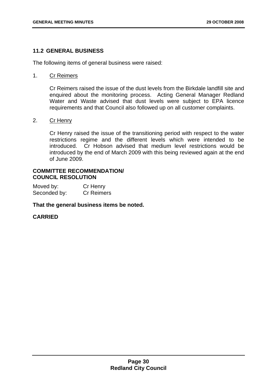#### **11.2 GENERAL BUSINESS**

The following items of general business were raised:

#### 1. Cr Reimers

Cr Reimers raised the issue of the dust levels from the Birkdale landfill site and enquired about the monitoring process. Acting General Manager Redland Water and Waste advised that dust levels were subject to EPA licence requirements and that Council also followed up on all customer complaints.

#### 2. Cr Henry

Cr Henry raised the issue of the transitioning period with respect to the water restrictions regime and the different levels which were intended to be introduced. Cr Hobson advised that medium level restrictions would be introduced by the end of March 2009 with this being reviewed again at the end of June 2009.

#### **COMMITTEE RECOMMENDATION/ COUNCIL RESOLUTION**

Moved by: Cr Henry Seconded by: Cr Reimers

**That the general business items be noted.**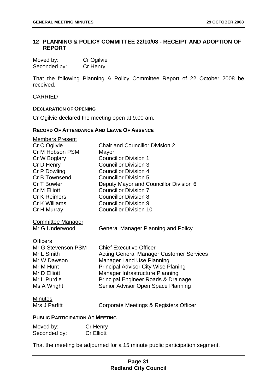#### **12 PLANNING & POLICY COMMITTEE 22/10/08 - RECEIPT AND ADOPTION OF REPORT**

| Moved by:    | Cr Ogilvie |
|--------------|------------|
| Seconded by: | Cr Henry   |

That the following Planning & Policy Committee Report of 22 October 2008 be received.

#### CARRIED

#### **DECLARATION OF OPENING**

Cr Ogilvie declared the meeting open at 9.00 am.

#### **RECORD OF ATTENDANCE AND LEAVE OF ABSENCE**

| <b>Members Present</b>                 |                                                 |  |
|----------------------------------------|-------------------------------------------------|--|
| Cr C Ogilvie                           | <b>Chair and Councillor Division 2</b>          |  |
| Cr M Hobson PSM                        | Mayor                                           |  |
| Cr W Boglary                           | <b>Councillor Division 1</b>                    |  |
| Cr D Henry                             | <b>Councillor Division 3</b>                    |  |
| Cr P Dowling                           | <b>Councillor Division 4</b>                    |  |
| Cr B Townsend                          | <b>Councillor Division 5</b>                    |  |
| Cr T Bowler                            | Deputy Mayor and Councillor Division 6          |  |
| <b>Cr M Elliott</b>                    | <b>Councillor Division 7</b>                    |  |
| <b>Cr K Reimers</b>                    | <b>Councillor Division 8</b>                    |  |
| Cr K Williams                          | <b>Councillor Division 9</b>                    |  |
| Cr H Murray                            | <b>Councillor Division 10</b>                   |  |
| <b>Committee Manager</b>               |                                                 |  |
| Mr G Underwood                         | <b>General Manager Planning and Policy</b>      |  |
| <b>Officers</b>                        |                                                 |  |
| Mr G Stevenson PSM                     | <b>Chief Executive Officer</b>                  |  |
| Mr L Smith                             | <b>Acting General Manager Customer Services</b> |  |
| Mr W Dawson                            | <b>Manager Land Use Planning</b>                |  |
| Mr M Hunt                              | <b>Principal Advisor City Wise Planing</b>      |  |
| Mr D Elliott                           | Manager Infrastructure Planning                 |  |
| Mr L Purdie                            | Principal Engineer Roads & Drainage             |  |
| Ms A Wright                            | Senior Advisor Open Space Planning              |  |
| <b>Minutes</b>                         |                                                 |  |
| Mrs J Parfitt                          | Corporate Meetings & Registers Officer          |  |
| <b>PUBLIC PARTICIPATION AT MEETING</b> |                                                 |  |
| $Cr$ Honny<br>$M$ ovod bystu           |                                                 |  |

| Moved by:    | Cr Henry          |
|--------------|-------------------|
| Seconded by: | <b>Cr Elliott</b> |

That the meeting be adjourned for a 15 minute public participation segment.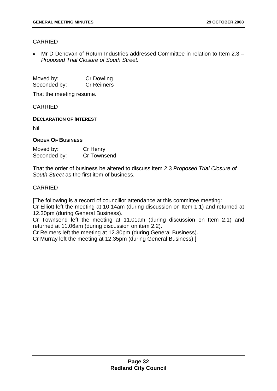# CARRIED

• Mr D Denovan of Roturn Industries addressed Committee in relation to Item 2.3 – *Proposed Trial Closure of South Street.*

Moved by: Cr Dowling Seconded by: Cr Reimers

That the meeting resume.

CARRIED

**DECLARATION OF INTEREST**

Nil

### **ORDER OF BUSINESS**

| Moved by:    | Cr Henry    |
|--------------|-------------|
| Seconded by: | Cr Townsend |

That the order of business be altered to discuss item 2.3 *Proposed Trial Closure of South Street* as the first item of business.

## CARRIED

[The following is a record of councillor attendance at this committee meeting:

Cr Elliott left the meeting at 10.14am (during discussion on Item 1.1) and returned at 12.30pm (during General Business).

Cr Townsend left the meeting at 11.01am (during discussion on Item 2.1) and returned at 11.06am (during discussion on item 2.2).

Cr Reimers left the meeting at 12.30pm (during General Business).

Cr Murray left the meeting at 12.35pm (during General Business).]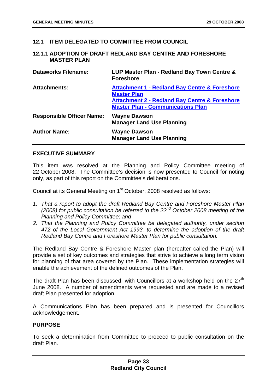## **12.1 ITEM DELEGATED TO COMMITTEE FROM COUNCIL**

## **12.1.1 ADOPTION OF DRAFT REDLAND BAY CENTRE AND FORESHORE MASTER PLAN**

| <b>Dataworks Filename:</b>       | LUP Master Plan - Redland Bay Town Centre &<br><b>Foreshore</b>                                                                                                                        |
|----------------------------------|----------------------------------------------------------------------------------------------------------------------------------------------------------------------------------------|
| <b>Attachments:</b>              | <b>Attachment 1 - Redland Bay Centre &amp; Foreshore</b><br><b>Master Plan</b><br><b>Attachment 2 - Redland Bay Centre &amp; Foreshore</b><br><b>Master Plan - Communications Plan</b> |
| <b>Responsible Officer Name:</b> | <b>Wayne Dawson</b><br><b>Manager Land Use Planning</b>                                                                                                                                |
| <b>Author Name:</b>              | <b>Wayne Dawson</b><br><b>Manager Land Use Planning</b>                                                                                                                                |

## **EXECUTIVE SUMMARY**

This item was resolved at the Planning and Policy Committee meeting of 22 October 2008. The Committee's decision is now presented to Council for noting only, as part of this report on the Committee's deliberations.

Council at its General Meeting on 1<sup>st</sup> October, 2008 resolved as follows:

- *1. That a report to adopt the draft Redland Bay Centre and Foreshore Master Plan (2008) for public consultation be referred to the 22nd October 2008 meeting of the Planning and Policy Committee; and*
- *2. That the Planning and Policy Committee be delegated authority, under section 472 of the Local Government Act 1993, to determine the adoption of the draft Redland Bay Centre and Foreshore Master Plan for public consultation.*

The Redland Bay Centre & Foreshore Master plan (hereafter called the Plan) will provide a set of key outcomes and strategies that strive to achieve a long term vision for planning of that area covered by the Plan. These implementation strategies will enable the achievement of the defined outcomes of the Plan.

The draft Plan has been discussed, with Councillors at a workshop held on the  $27<sup>th</sup>$ June 2008. A number of amendments were requested and are made to a revised draft Plan presented for adoption.

A Communications Plan has been prepared and is presented for Councillors acknowledgement.

#### **PURPOSE**

To seek a determination from Committee to proceed to public consultation on the draft Plan.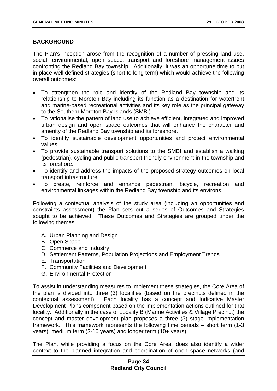## **BACKGROUND**

The Plan's inception arose from the recognition of a number of pressing land use, social, environmental, open space, transport and foreshore management issues confronting the Redland Bay township. Additionally, it was an opportune time to put in place well defined strategies (short to long term) which would achieve the following overall outcomes:

- To strengthen the role and identity of the Redland Bay township and its relationship to Moreton Bay including its function as a destination for waterfront and marine-based recreational activities and its key role as the principal gateway to the Southern Moreton Bay Islands (SMBI).
- To rationalise the pattern of land use to achieve efficient, integrated and improved urban design and open space outcomes that will enhance the character and amenity of the Redland Bay township and its foreshore.
- To identify sustainable development opportunities and protect environmental values.
- To provide sustainable transport solutions to the SMBI and establish a walking (pedestrian), cycling and public transport friendly environment in the township and its foreshore.
- To identify and address the impacts of the proposed strategy outcomes on local transport infrastructure.
- To create, reinforce and enhance pedestrian, bicycle, recreation and environmental linkages within the Redland Bay township and its environs.

Following a contextual analysis of the study area (including an opportunities and constraints assessment) the Plan sets out a series of Outcomes and Strategies sought to be achieved. These Outcomes and Strategies are grouped under the following themes:

- A. Urban Planning and Design
- B. Open Space
- C. Commerce and Industry
- D. Settlement Patterns, Population Projections and Employment Trends
- E. Transportation
- F. Community Facilities and Development
- G. Environmental Protection

To assist in understanding measures to implement these strategies, the Core Area of the plan is divided into three (3) localities (based on the precincts defined in the contextual assessment). Each locality has a concept and Indicative Master Development Plans component based on the implementation actions outlined for that locality. Additionally in the case of Locality B (Marine Activities & Village Precinct) the concept and master development plan proposes a three (3) stage implementation framework. This framework represents the following time periods – short term (1-3 years), medium term (3-10 years) and longer term (10+ years).

The Plan, while providing a focus on the Core Area, does also identify a wider context to the planned integration and coordination of open space networks (and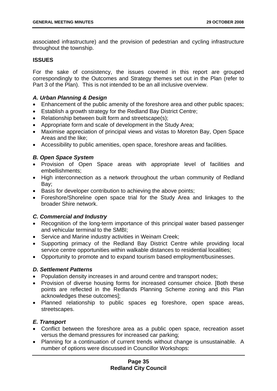associated infrastructure) and the provision of pedestrian and cycling infrastructure throughout the township.

## **ISSUES**

For the sake of consistency, the issues covered in this report are grouped correspondingly to the Outcomes and Strategy themes set out in the Plan (refer to Part 3 of the Plan). This is not intended to be an all inclusive overview.

## *A. Urban Planning & Design*

- Enhancement of the public amenity of the foreshore area and other public spaces;
- Establish a growth strategy for the Redland Bay District Centre;
- Relationship between built form and streetscape(s);
- Appropriate form and scale of development in the Study Area;
- Maximise appreciation of principal views and vistas to Moreton Bay, Open Space Areas and the like;
- Accessibility to public amenities, open space, foreshore areas and facilities.

# *B. Open Space System*

- Provision of Open Space areas with appropriate level of facilities and embellishments;
- High interconnection as a network throughout the urban community of Redland Bay;
- Basis for developer contribution to achieving the above points;
- Foreshore/Shoreline open space trial for the Study Area and linkages to the broader Shire network.

# *C. Commercial and Industry*

- Recognition of the long-term importance of this principal water based passenger and vehicular terminal to the SMBI;
- Service and Marine industry activities in Weinam Creek;
- Supporting primacy of the Redland Bay District Centre while providing local service centre opportunities within walkable distances to residential localities;
- Opportunity to promote and to expand tourism based employment/businesses.

## *D. Settlement Patterns*

- Population density increases in and around centre and transport nodes;
- Provision of diverse housing forms for increased consumer choice. [Both these points are reflected in the Redlands Planning Scheme zoning and this Plan acknowledges these outcomes];
- Planned relationship to public spaces eg foreshore, open space areas, streetscapes.

# *E. Transport*

- Conflict between the foreshore area as a public open space, recreation asset versus the demand pressures for increased car parking;
- Planning for a continuation of current trends without change is unsustainable. A number of options were discussed in Councillor Workshops: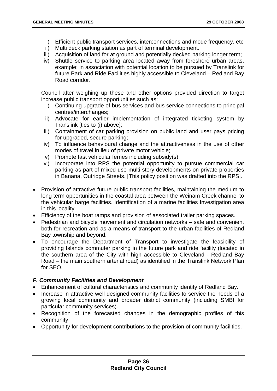- i) Efficient public transport services, interconnections and mode frequency, etc
- ii) Multi deck parking station as part of terminal development.
- iii) Acquisition of land for at ground and potentially decked parking longer term;
- iv) Shuttle service to parking area located away from foreshore urban areas, example: in association with potential location to be pursued by Translink for future Park and Ride Facilities highly accessible to Cleveland – Redland Bay Road corridor.

Council after weighing up these and other options provided direction to target increase public transport opportunities such as:

- i) Continuing upgrade of bus services and bus service connections to principal centres/interchanges;
- ii) Advocate for earlier implementation of integrated ticketing system by Translink [ties to (i) above];
- iii) Containment of car parking provision on public land and user pays pricing for upgraded, secure parking;
- iv) To influence behavioural change and the attractiveness in the use of other modes of travel in lieu of private motor vehicle;
- v) Promote fast vehicular ferries including subsidy(s);
- vi) Incorporate into RPS the potential opportunity to pursue commercial car parking as part of mixed use multi-story developments on private properties in Banana, Outridge Streets. [This policy position was drafted into the RPS].
- Provision of attractive future public transport facilities, maintaining the medium to long term opportunities in the coastal area between the Weinam Creek channel to the vehicular barge facilities. Identification of a marine facilities Investigation area in this locality.
- Efficiency of the boat ramps and provision of associated trailer parking spaces.
- Pedestrian and bicycle movement and circulation networks safe and convenient both for recreation and as a means of transport to the urban facilities of Redland Bay township and beyond.
- To encourage the Department of Transport to investigate the feasibility of providing Islands commuter parking in the future park and ride facility (located in the southern area of the City with high accessible to Cleveland - Redland Bay Road – the main southern arterial road) as identified in the Translink Network Plan for SEQ.

# *F. Community Facilities and Development*

- Enhancement of cultural characteristics and community identity of Redland Bay.
- Increase in attractive well designed community facilities to service the needs of a growing local community and broader district community (including SMBI for particular community services).
- Recognition of the forecasted changes in the demographic profiles of this community.
- Opportunity for development contributions to the provision of community facilities.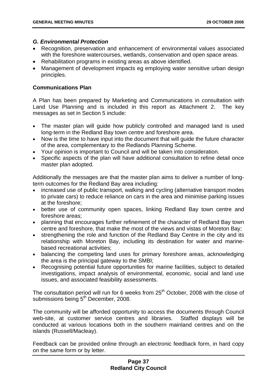## *G. Environmental Protection*

- Recognition, preservation and enhancement of environmental values associated with the foreshore watercourses, wetlands, conservation and open space areas.
- Rehabilitation programs in existing areas as above identified.
- Management of development impacts eg employing water sensitive urban design principles.

# **Communications Plan**

A Plan has been prepared by Marketing and Communications in consultation with Land Use Planning and is included in this report as Attachment 2. The key messages as set in Section 5 include:

- The master plan will guide how publicly controlled and managed land is used long-term in the Redland Bay town centre and foreshore area.
- Now is the time to have input into the document that will guide the future character of the area, complementary to the Redlands Planning Scheme.
- Your opinion is important to Council and will be taken into consideration.
- Specific aspects of the plan will have additional consultation to refine detail once master plan adopted.

Additionally the messages are that the master plan aims to deliver a number of longterm outcomes for the Redland Bay area including:

- increased use of public transport, walking and cycling (alternative transport modes to private cars) to reduce reliance on cars in the area and minimise parking issues at the foreshore;
- better use of community open spaces, linking Redland Bay town centre and foreshore areas;
- planning that encourages further refinement of the character of Redland Bay town centre and foreshore, that make the most of the views and vistas of Moreton Bay;
- strengthening the role and function of the Redland Bay Centre in the city and its relationship with Moreton Bay, including its destination for water and marinebased recreational activities;
- balancing the competing land uses for primary foreshore areas, acknowledging the area is the principal gateway to the SMBI;
- Recognising potential future opportunities for marine facilities, subject to detailed investigations, impact analysis of environmental, economic, social and land use issues, and associated feasibility assessments.

The consultation period will run for 6 weeks from  $25<sup>th</sup>$  October, 2008 with the close of submissions being 5<sup>th</sup> December, 2008.

The community will be afforded opportunity to access the documents through Council web-site, at customer service centres and libraries. Staffed displays will be conducted at various locations both in the southern mainland centres and on the islands (Russell/Macleay).

Feedback can be provided online through an electronic feedback form, in hard copy on the same form or by letter.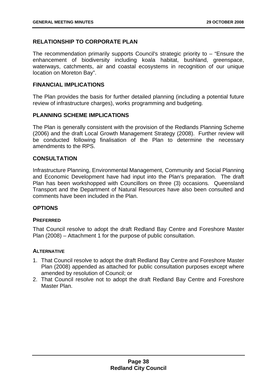# **RELATIONSHIP TO CORPORATE PLAN**

The recommendation primarily supports Council's strategic priority to – "Ensure the enhancement of biodiversity including koala habitat, bushland, greenspace, waterways, catchments, air and coastal ecosystems in recognition of our unique location on Moreton Bay".

## **FINANCIAL IMPLICATIONS**

The Plan provides the basis for further detailed planning (including a potential future review of infrastructure charges), works programming and budgeting.

## **PLANNING SCHEME IMPLICATIONS**

The Plan is generally consistent with the provision of the Redlands Planning Scheme (2006) and the draft Local Growth Management Strategy (2008). Further review will be conducted following finalisation of the Plan to determine the necessary amendments to the RPS.

# **CONSULTATION**

Infrastructure Planning, Environmental Management, Community and Social Planning and Economic Development have had input into the Plan's preparation. The draft Plan has been workshopped with Councillors on three (3) occasions. Queensland Transport and the Department of Natural Resources have also been consulted and comments have been included in the Plan.

## **OPTIONS**

## **PREFERRED**

That Council resolve to adopt the draft Redland Bay Centre and Foreshore Master Plan (2008) – Attachment 1 for the purpose of public consultation.

## **ALTERNATIVE**

- 1. That Council resolve to adopt the draft Redland Bay Centre and Foreshore Master Plan (2008) appended as attached for public consultation purposes except where amended by resolution of Council; or
- 2. That Council resolve not to adopt the draft Redland Bay Centre and Foreshore Master Plan.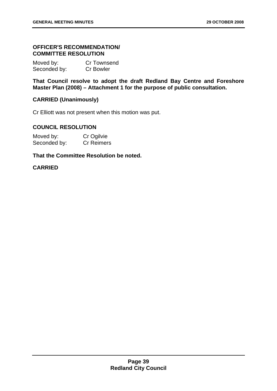## **OFFICER'S RECOMMENDATION/ COMMITTEE RESOLUTION**

| Moved by:    | <b>Cr Townsend</b> |
|--------------|--------------------|
| Seconded by: | <b>Cr Bowler</b>   |

**That Council resolve to adopt the draft Redland Bay Centre and Foreshore Master Plan (2008) – Attachment 1 for the purpose of public consultation.** 

# **CARRIED (Unanimously)**

Cr Elliott was not present when this motion was put.

## **COUNCIL RESOLUTION**

| Moved by:    | Cr Ogilvie        |
|--------------|-------------------|
| Seconded by: | <b>Cr Reimers</b> |

## **That the Committee Resolution be noted.**

## **CARRIED**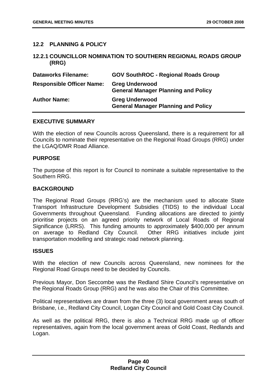## **12.2 PLANNING & POLICY**

## **12.2.1 COUNCILLOR NOMINATION TO SOUTHERN REGIONAL ROADS GROUP (RRG)**

| <b>Dataworks Filename:</b>       | <b>GOV SouthROC - Regional Roads Group</b>                          |
|----------------------------------|---------------------------------------------------------------------|
| <b>Responsible Officer Name:</b> | <b>Greg Underwood</b><br><b>General Manager Planning and Policy</b> |
| <b>Author Name:</b>              | <b>Greg Underwood</b><br><b>General Manager Planning and Policy</b> |

### **EXECUTIVE SUMMARY**

With the election of new Councils across Queensland, there is a requirement for all Councils to nominate their representative on the Regional Road Groups (RRG) under the LGAQ/DMR Road Alliance.

### **PURPOSE**

The purpose of this report is for Council to nominate a suitable representative to the Southern RRG.

### **BACKGROUND**

The Regional Road Groups (RRG's) are the mechanism used to allocate State Transport Infrastructure Development Subsidies (TIDS) to the individual Local Governments throughout Queensland. Funding allocations are directed to jointly prioritise projects on an agreed priority network of Local Roads of Regional Significance (LRRS). This funding amounts to approximately \$400,000 per annum on average to Redland City Council. Other RRG initiatives include joint transportation modelling and strategic road network planning.

#### **ISSUES**

With the election of new Councils across Queensland, new nominees for the Regional Road Groups need to be decided by Councils.

Previous Mayor, Don Seccombe was the Redland Shire Council's representative on the Regional Roads Group (RRG) and he was also the Chair of this Committee.

Political representatives are drawn from the three (3) local government areas south of Brisbane, i.e., Redland City Council, Logan City Council and Gold Coast City Council.

As well as the political RRG, there is also a Technical RRG made up of officer representatives, again from the local government areas of Gold Coast, Redlands and Logan.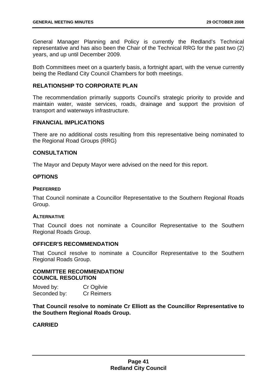General Manager Planning and Policy is currently the Redland's Technical representative and has also been the Chair of the Technical RRG for the past two (2) years, and up until December 2009.

Both Committees meet on a quarterly basis, a fortnight apart, with the venue currently being the Redland City Council Chambers for both meetings.

## **RELATIONSHIP TO CORPORATE PLAN**

The recommendation primarily supports Council's strategic priority to provide and maintain water, waste services, roads, drainage and support the provision of transport and waterways infrastructure.

## **FINANCIAL IMPLICATIONS**

There are no additional costs resulting from this representative being nominated to the Regional Road Groups (RRG)

## **CONSULTATION**

The Mayor and Deputy Mayor were advised on the need for this report.

# **OPTIONS**

## **PREFERRED**

That Council nominate a Councillor Representative to the Southern Regional Roads Group.

## **ALTERNATIVE**

That Council does not nominate a Councillor Representative to the Southern Regional Roads Group.

## **OFFICER'S RECOMMENDATION**

That Council resolve to nominate a Councillor Representative to the Southern Regional Roads Group.

# **COMMITTEE RECOMMENDATION/ COUNCIL RESOLUTION**

Moved by: Cr Ogilvie Seconded by: Cr Reimers

**That Council resolve to nominate Cr Elliott as the Councillor Representative to the Southern Regional Roads Group.** 

# **CARRIED**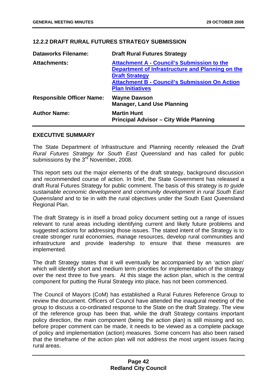# **12.2.2 DRAFT RURAL FUTURES STRATEGY SUBMISSION**

| <b>Dataworks Filename:</b>       | <b>Draft Rural Futures Strategy</b>                                                                                                                                                                               |
|----------------------------------|-------------------------------------------------------------------------------------------------------------------------------------------------------------------------------------------------------------------|
| <b>Attachments:</b>              | <b>Attachment A - Council's Submission to the</b><br>Department of Infrastructure and Planning on the<br><b>Draft Strategy</b><br><b>Attachment B - Council's Submission On Action</b><br><b>Plan Initiatives</b> |
| <b>Responsible Officer Name:</b> | <b>Wayne Dawson</b><br><b>Manager, Land Use Planning</b>                                                                                                                                                          |
| <b>Author Name:</b>              | <b>Martin Hunt</b><br><b>Principal Advisor – City Wide Planning</b>                                                                                                                                               |

## **EXECUTIVE SUMMARY**

The State Department of Infrastructure and Planning recently released the *Draft Rural Futures Strategy for South East Queensland* and has called for public submissions by the  $3<sup>rd</sup>$  November, 2008.

This report sets out the major elements of the draft strategy, background discussion and recommended course of action. In brief, the State Government has released a draft Rural Futures Strategy for public comment. The basis of this strategy is *to guide sustainable economic development and community development in rural South East Queensland* and to tie in with the rural objectives under the South East Queensland Regional Plan.

The draft Strategy is in itself a broad policy document setting out a range of issues relevant to rural areas including identifying current and likely future problems and suggested actions for addressing those issues. The stated intent of the Strategy is to create stronger rural economies, manage resources, develop rural communities and infrastructure and provide leadership to ensure that these measures are implemented.

The draft Strategy states that it will eventually be accompanied by an 'action plan' which will identify short and medium term priorities for implementation of the strategy over the next three to five years. At this stage the action plan, which is the central component for putting the Rural Strategy into place, has not been commenced.

The Council of Mayors (CoM) has established a Rural Futures Reference Group to review the document. Officers of Council have attended the inaugural meeting of the group to discuss a co-ordinated response to the State on the draft Strategy. The view of the reference group has been that, while the draft Strategy contains important policy direction, the main component (being the action plan) is still missing and so, before proper comment can be made, it needs to be viewed as a complete package of policy and implementation (action) measures. Some concern has also been raised that the timeframe of the action plan will not address the most urgent issues facing rural areas.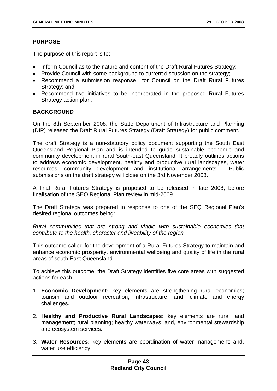## **PURPOSE**

The purpose of this report is to:

- Inform Council as to the nature and content of the Draft Rural Futures Strategy;
- Provide Council with some background to current discussion on the strategy;
- Recommend a submission response for Council on the Draft Rural Futures Strategy; and,
- Recommend two initiatives to be incorporated in the proposed Rural Futures Strategy action plan.

# **BACKGROUND**

On the 8th September 2008, the State Department of Infrastructure and Planning (DIP) released the Draft Rural Futures Strategy (Draft Strategy) for public comment.

The draft Strategy is a non-statutory policy document supporting the South East Queensland Regional Plan and is intended to guide sustainable economic and community development in rural South-east Queensland. It broadly outlines actions to address economic development, healthy and productive rural landscapes, water resources, community development and institutional arrangements. Public submissions on the draft strategy will close on the 3rd November 2008.

A final Rural Futures Strategy is proposed to be released in late 2008, before finalisation of the SEQ Regional Plan review in mid-2009.

The Draft Strategy was prepared in response to one of the SEQ Regional Plan's desired regional outcomes being:

*Rural communities that are strong and viable with sustainable economies that contribute to the health, character and liveability of the region.* 

This outcome called for the development of a Rural Futures Strategy to maintain and enhance economic prosperity, environmental wellbeing and quality of life in the rural areas of south East Queensland.

To achieve this outcome, the Draft Strategy identifies five core areas with suggested actions for each:

- 1. **Economic Development:** key elements are strengthening rural economies; tourism and outdoor recreation; infrastructure; and, climate and energy challenges.
- 2. **Healthy and Productive Rural Landscapes:** key elements are rural land management; rural planning; healthy waterways; and, environmental stewardship and ecosystem services.
- 3. **Water Resources:** key elements are coordination of water management; and, water use efficiency.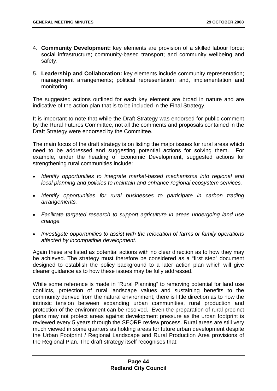- 4. **Community Development:** key elements are provision of a skilled labour force; social infrastructure; community-based transport; and community wellbeing and safety.
- 5. **Leadership and Collaboration:** key elements include community representation; management arrangements; political representation; and, implementation and monitoring.

The suggested actions outlined for each key element are broad in nature and are indicative of the action plan that is to be included in the Final Strategy.

It is important to note that while the Draft Strategy was endorsed for public comment by the Rural Futures Committee, not all the comments and proposals contained in the Draft Strategy were endorsed by the Committee.

The main focus of the draft strategy is on listing the major issues for rural areas which need to be addressed and suggesting potential actions for solving them. For example, under the heading of Economic Development, suggested actions for strengthening rural communities include:

- *Identify opportunities to integrate market-based mechanisms into regional and local planning and policies to maintain and enhance regional ecosystem services.*
- *Identify opportunities for rural businesses to participate in carbon trading arrangements.*
- *Facilitate targeted research to support agriculture in areas undergoing land use change.*
- *Investigate opportunities to assist with the relocation of farms or family operations affected by incompatible development.*

Again these are listed as potential actions with no clear direction as to how they may be achieved. The strategy must therefore be considered as a "first step" document designed to establish the policy background to a later action plan which will give clearer guidance as to how these issues may be fully addressed.

While some reference is made in "Rural Planning" to removing potential for land use conflicts, protection of rural landscape values and sustaining benefits to the community derived from the natural environment; there is little direction as to how the intrinsic tension between expanding urban communities, rural production and protection of the environment can be resolved. Even the preparation of rural precinct plans may not protect areas against development pressure as the urban footprint is reviewed every 5 years through the SEQRP review process. Rural areas are still very much viewed in some quarters as holding areas for future urban development despite the Urban Footprint / Regional Landscape and Rural Production Area provisions of the Regional Plan. The draft strategy itself recognises that: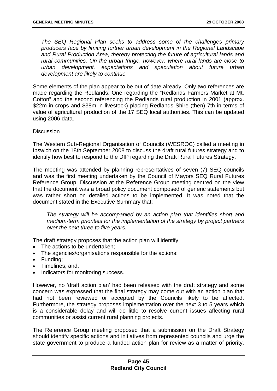*The SEQ Regional Plan seeks to address some of the challenges primary producers face by limiting further urban development in the Regional Landscape and Rural Production Area, thereby protecting the future of agricultural lands and rural communities. On the urban fringe, however, where rural lands are close to urban development, expectations and speculation about future urban development are likely to continue.* 

Some elements of the plan appear to be out of date already. Only two references are made regarding the Redlands. One regarding the "Redlands Farmers Market at Mt. Cotton" and the second referencing the Redlands rural production in 2001 (approx. \$22m in crops and \$38m in livestock) placing Redlands Shire (then) 7th in terms of value of agricultural production of the 17 SEQ local authorities. This can be updated using 2006 data.

### **Discussion**

The Western Sub-Regional Organisation of Councils (WESROC) called a meeting in Ipswich on the 18th September 2008 to discuss the draft rural futures strategy and to identify how best to respond to the DIP regarding the Draft Rural Futures Strategy.

The meeting was attended by planning representatives of seven (7) SEQ councils and was the first meeting undertaken by the Council of Mayors SEQ Rural Futures Reference Group. Discussion at the Reference Group meeting centred on the view that the document was a broad policy document composed of generic statements but was rather short on detailed actions to be implemented. It was noted that the document stated in the Executive Summary that:

*The strategy will be accompanied by an action plan that identifies short and medium-term priorities for the implementation of the strategy by project partners over the next three to five years.* 

The draft strategy proposes that the action plan will identify:

- The actions to be undertaken;
- The agencies/organisations responsible for the actions;
- Funding;
- Timelines: and.
- Indicators for monitoring success.

However, no 'draft action plan' had been released with the draft strategy and some concern was expressed that the final strategy may come out with an action plan that had not been reviewed or accepted by the Councils likely to be affected. Furthermore, the strategy proposes implementation over the next 3 to 5 years which is a considerable delay and will do little to resolve current issues affecting rural communities or assist current rural planning projects.

The Reference Group meeting proposed that a submission on the Draft Strategy should identify specific actions and initiatives from represented councils and urge the state government to produce a funded action plan for review as a matter of priority.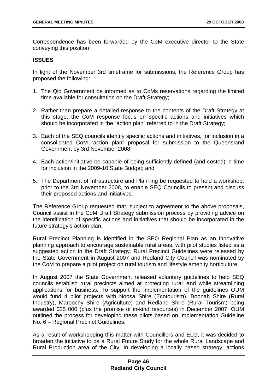Correspondence has been forwarded by the CoM executive director to the State conveying this position

## **ISSUES**

In light of the November 3rd timeframe for submissions, the Reference Group has proposed the following:

- 1. The Qld Government be informed as to CoMs reservations regarding the limited time available for consultation on the Draft Strategy;
- 2. Rather than prepare a detailed response to the contents of the Draft Strategy at this stage, the CoM response focus on specific actions and initiatives which should be incorporated in the "action plan" referred to in the Draft Strategy;
- 3. Each of the SEQ councils identify specific actions and initiatives, for inclusion in a consolidated CoM "action plan" proposal for submission to the Queensland Government by 3rd November 2008'
- 4. Each action/initiative be capable of being sufficiently defined (and costed) in time for inclusion in the 2009-10 State Budget; and
- 5. The Department of Infrastructure and Planning be requested to hold a workshop, prior to the 3rd November 2008, to enable SEQ Councils to present and discuss their proposed actions and initiatives.

The Reference Group requested that, subject to agreement to the above proposals, Council assist in the CoM Draft Strategy submission process by providing advice on the identification of specific actions and initiatives that should be incorporated in the future strategy's action plan.

Rural Precinct Planning is identified in the SEQ Regional Plan as an innovative planning approach to encourage sustainable rural areas, with pilot studies listed as a suggested action in the Draft Strategy. Rural Precinct Guidelines were released by the State Government in August 2007 and Redland City Council was nominated by the CoM to prepare a pilot project on rural tourism and lifestyle amenity horticulture.

In August 2007 the State Government released voluntary guidelines to help SEQ councils establish rural precincts aimed at protecting rural land while streamlining applications for business. To support the implementation of the guidelines OUM would fund 4 pilot projects with Noosa Shire (Ecotourism), Boonah Shire (Rural Industry), Maroochy Shire (Agriculture) and Redland Shire (Rural Tourism) being awarded \$25 000 (plus the promise of in-kind resources) in December 2007. OUM outlined the process for developing these pilots based on Implementation Guideline No. 6 – Regional Precinct Guidelines:

As a result of workshopping this matter with Councillors and ELG, it was decided to broaden the initiative to be a Rural Future Study for the whole Rural Landscape and Rural Production area of the City. In developing a locally based strategy, actions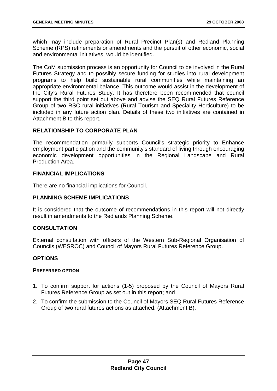which may include preparation of Rural Precinct Plan(s) and Redland Planning Scheme (RPS) refinements or amendments and the pursuit of other economic, social and environmental initiatives, would be identified.

The CoM submission process is an opportunity for Council to be involved in the Rural Futures Strategy and to possibly secure funding for studies into rural development programs to help build sustainable rural communities while maintaining an appropriate environmental balance. This outcome would assist in the development of the City's Rural Futures Study. It has therefore been recommended that council support the third point set out above and advise the SEQ Rural Futures Reference Group of two RSC rural initiatives (Rural Tourism and Speciality Horticulture) to be included in any future action plan. Details of these two initiatives are contained in Attachment B to this report.

# **RELATIONSHIP TO CORPORATE PLAN**

The recommendation primarily supports Council's strategic priority to Enhance employment participation and the community's standard of living through encouraging economic development opportunities in the Regional Landscape and Rural Production Area.

## **FINANCIAL IMPLICATIONS**

There are no financial implications for Council.

# **PLANNING SCHEME IMPLICATIONS**

It is considered that the outcome of recommendations in this report will not directly result in amendments to the Redlands Planning Scheme.

## **CONSULTATION**

External consultation with officers of the Western Sub-Regional Organisation of Councils (WESROC) and Council of Mayors Rural Futures Reference Group.

# **OPTIONS**

## **PREFERRED OPTION**

- 1. To confirm support for actions (1-5) proposed by the Council of Mayors Rural Futures Reference Group as set out in this report; and
- 2. To confirm the submission to the Council of Mayors SEQ Rural Futures Reference Group of two rural futures actions as attached. (Attachment B).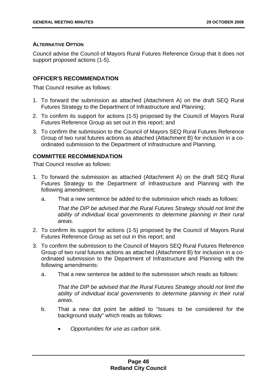## **ALTERNATIVE OPTION**

Council advise the Council of Mayors Rural Futures Reference Group that it does not support proposed actions (1-5).

## **OFFICER'S RECOMMENDATION**

That Council resolve as follows:

- 1. To forward the submission as attached (Attachment A) on the draft SEQ Rural Futures Strategy to the Department of Infrastructure and Planning;
- 2. To confirm its support for actions (1-5) proposed by the Council of Mayors Rural Futures Reference Group as set out in this report; and
- 3. To confirm the submission to the Council of Mayors SEQ Rural Futures Reference Group of two rural futures actions as attached (Attachment B) for inclusion in a coordinated submission to the Department of Infrastructure and Planning.

## **COMMITTEE RECOMMENDATION**

That Council resolve as follows:

- 1. To forward the submission as attached (Attachment A) on the draft SEQ Rural Futures Strategy to the Department of Infrastructure and Planning with the following amendment;
	- a. That a new sentence be added to the submission which reads as follows:

*That the DIP be advised that the Rural Futures Strategy should not limit the*  ability of individual local governments to determine planning in their rural *areas.* 

- 2. To confirm its support for actions (1-5) proposed by the Council of Mayors Rural Futures Reference Group as set out in this report; and
- 3. To confirm the submission to the Council of Mayors SEQ Rural Futures Reference Group of two rural futures actions as attached (Attachment B) for inclusion in a coordinated submission to the Department of Infrastructure and Planning with the following amendments:
	- a. That a new sentence be added to the submission which reads as follows:

*That the DIP be advised that the Rural Futures Strategy should not limit the ability of individual local governments to determine planning in their rural areas.* 

- b. That a new dot point be added to "Issues to be considered for the background study" which reads as follows:
	- *Opportunities for use as carbon sink.*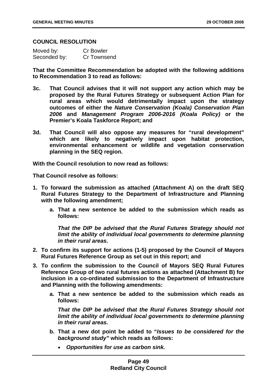### **COUNCIL RESOLUTION**

| Moved by:    | <b>Cr Bowler</b> |
|--------------|------------------|
| Seconded by: | Cr Townsend      |

**That the Committee Recommendation be adopted with the following additions to Recommendation 3 to read as follows:** 

- **3c. That Council advises that it will not support any action which may be proposed by the Rural Futures Strategy or subsequent Action Plan for rural areas which would detrimentally impact upon the strategy outcomes of either the** *Nature Conservation (Koala) Conservation Plan 2006* **and** *Management Program 2006-2016 (Koala Policy)* **or the Premier's Koala Taskforce Report; and**
- **3d. That Council will also oppose any measures for "rural development" which are likely to negatively impact upon habitat protection, environmental enhancement or wildlife and vegetation conservation planning in the SEQ region.**

**With the Council resolution to now read as follows:** 

**That Council resolve as follows:** 

- **1. To forward the submission as attached (Attachment A) on the draft SEQ Rural Futures Strategy to the Department of Infrastructure and Planning with the following amendment;** 
	- **a. That a new sentence be added to the submission which reads as follows:**

*That the DIP be advised that the Rural Futures Strategy should not limit the ability of individual local governments to determine planning in their rural areas.* 

- **2. To confirm its support for actions (1-5) proposed by the Council of Mayors Rural Futures Reference Group as set out in this report; and**
- **3. To confirm the submission to the Council of Mayors SEQ Rural Futures Reference Group of two rural futures actions as attached (Attachment B) for inclusion in a co-ordinated submission to the Department of Infrastructure and Planning with the following amendments:** 
	- **a. That a new sentence be added to the submission which reads as follows:**

*That the DIP be advised that the Rural Futures Strategy should not limit the ability of individual local governments to determine planning in their rural areas.* 

- **b. That a new dot point be added to "***Issues to be considered for the background study"* **which reads as follows:** 
	- *Opportunities for use as carbon sink.*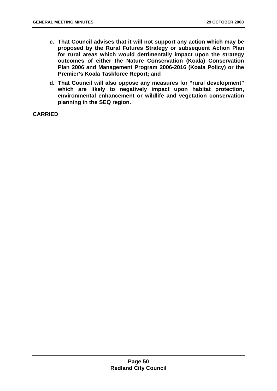- **c. That Council advises that it will not support any action which may be proposed by the Rural Futures Strategy or subsequent Action Plan for rural areas which would detrimentally impact upon the strategy outcomes of either the Nature Conservation (Koala) Conservation Plan 2006 and Management Program 2006-2016 (Koala Policy) or the Premier's Koala Taskforce Report; and**
- **d. That Council will also oppose any measures for "rural development" which are likely to negatively impact upon habitat protection, environmental enhancement or wildlife and vegetation conservation planning in the SEQ region.**

**CARRIED**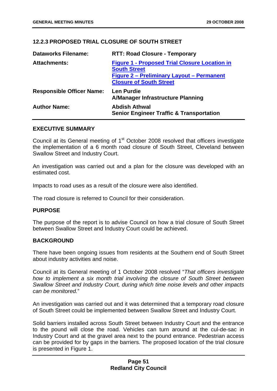# **12.2.3 PROPOSED TRIAL CLOSURE OF SOUTH STREET**

| <b>Dataworks Filename:</b>       | <b>RTT: Road Closure - Temporary</b>                                                                                                                              |
|----------------------------------|-------------------------------------------------------------------------------------------------------------------------------------------------------------------|
| <b>Attachments:</b>              | <b>Figure 1 - Proposed Trial Closure Location in</b><br><b>South Street</b><br><b>Figure 2 - Preliminary Layout - Permanent</b><br><b>Closure of South Street</b> |
| <b>Responsible Officer Name:</b> | <b>Len Purdie</b><br>A/Manager Infrastructure Planning                                                                                                            |
| <b>Author Name:</b>              | <b>Abdish Athwal</b><br><b>Senior Engineer Traffic &amp; Transportation</b>                                                                                       |

### **EXECUTIVE SUMMARY**

Council at its General meeting of 1<sup>st</sup> October 2008 resolved that officers investigate the implementation of a 6 month road closure of South Street, Cleveland between Swallow Street and Industry Court.

An investigation was carried out and a plan for the closure was developed with an estimated cost.

Impacts to road uses as a result of the closure were also identified.

The road closure is referred to Council for their consideration.

## **PURPOSE**

The purpose of the report is to advise Council on how a trial closure of South Street between Swallow Street and Industry Court could be achieved.

## **BACKGROUND**

There have been ongoing issues from residents at the Southern end of South Street about industry activities and noise.

Council at its General meeting of 1 October 2008 resolved "*That officers investigate how to implement a six month trial involving the closure of South Street between Swallow Street and Industry Court, during which time noise levels and other impacts can be monitored.*"

An investigation was carried out and it was determined that a temporary road closure of South Street could be implemented between Swallow Street and Industry Court.

Solid barriers installed across South Street between Industry Court and the entrance to the pound will close the road. Vehicles can turn around at the cul-de-sac in Industry Court and at the gravel area next to the pound entrance. Pedestrian access can be provided for by gaps in the barriers. The proposed location of the trial closure is presented in Figure 1.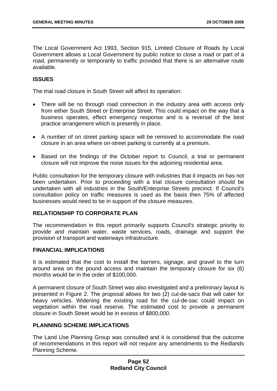The Local Government Act 1993, Section 915, Limited Closure of Roads by Local Government allows a Local Government by public notice to close a road or part of a road, permanently or temporarily to traffic provided that there is an alternative route available.

## **ISSUES**

The trial road closure in South Street will affect its operation:

- There will be no through road connection in the industry area with access only from either South Street or Enterprise Street. This could impact on the way that a business operates, effect emergency response and is a reversal of the best practice arrangement which is presently in place.
- A number of on street parking space will be removed to accommodate the road closure in an area where on-street parking is currently at a premium.
- Based on the findings of the October report to Council, a trial or permanent closure will not improve the noise issues for the adjoining residential area.

Public consultation for the temporary closure with industries that it impacts on has not been undertaken. Prior to proceeding with a trial closure consultation should be undertaken with all industries in the South/Enterprise Streets precinct. If Council's consultation policy on traffic measures is used as the basis then 75% of affected businesses would need to be in support of the closure measures.

## **RELATIONSHIP TO CORPORATE PLAN**

The recommendation in this report primarily supports Council's strategic priority to provide and maintain water, waste services, roads, drainage and support the provision of transport and waterways infrastructure.

## **FINANCIAL IMPLICATIONS**

It is estimated that the cost to install the barriers, signage, and gravel to the turn around area on the pound access and maintain the temporary closure for six (6) months would be in the order of \$100,000.

A permanent closure of South Street was also investigated and a preliminary layout is presented in Figure 2. The proposal allows for two (2) cul-de-sacs that will cater for heavy vehicles. Widening the existing road for the cul-de-sac could impact on vegetation within the road reserve. The estimated cost to provide a permanent closure in South Street would be in excess of \$800,000.

# **PLANNING SCHEME IMPLICATIONS**

The Land Use Planning Group was consulted and it is considered that the outcome of recommendations in this report will not require any amendments to the Redlands Planning Scheme.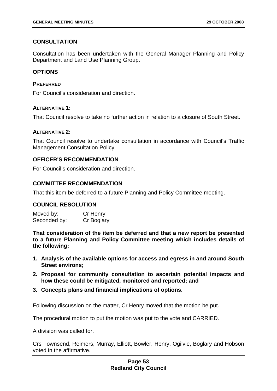## **CONSULTATION**

Consultation has been undertaken with the General Manager Planning and Policy Department and Land Use Planning Group.

## **OPTIONS**

### **PREFERRED**

For Council's consideration and direction.

## **ALTERNATIVE 1:**

That Council resolve to take no further action in relation to a closure of South Street.

### **ALTERNATIVE 2:**

That Council resolve to undertake consultation in accordance with Council's Traffic Management Consultation Policy.

## **OFFICER'S RECOMMENDATION**

For Council's consideration and direction.

## **COMMITTEE RECOMMENDATION**

That this item be deferred to a future Planning and Policy Committee meeting.

## **COUNCIL RESOLUTION**

Moved by: Cr Henry Seconded by: Cr Boglary

**That consideration of the item be deferred and that a new report be presented to a future Planning and Policy Committee meeting which includes details of the following:** 

- **1. Analysis of the available options for access and egress in and around South Street environs;**
- **2. Proposal for community consultation to ascertain potential impacts and how these could be mitigated, monitored and reported; and**
- **3. Concepts plans and financial implications of options.**

Following discussion on the matter, Cr Henry moved that the motion be put.

The procedural motion to put the motion was put to the vote and CARRIED.

A division was called for.

Crs Townsend, Reimers, Murray, Elliott, Bowler, Henry, Ogilvie, Boglary and Hobson voted in the affirmative.

## **Page 53 Redland City Council**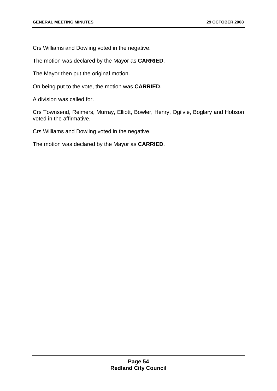Crs Williams and Dowling voted in the negative.

The motion was declared by the Mayor as **CARRIED**.

The Mayor then put the original motion.

On being put to the vote, the motion was **CARRIED**.

A division was called for.

Crs Townsend, Reimers, Murray, Elliott, Bowler, Henry, Ogilvie, Boglary and Hobson voted in the affirmative.

Crs Williams and Dowling voted in the negative.

The motion was declared by the Mayor as **CARRIED**.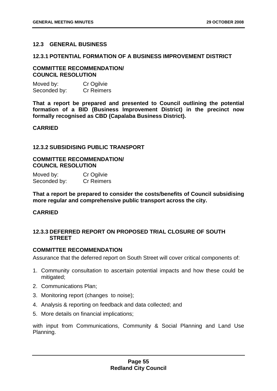## **12.3 GENERAL BUSINESS**

### **12.3.1 POTENTIAL FORMATION OF A BUSINESS IMPROVEMENT DISTRICT**

## **COMMITTEE RECOMMENDATION/ COUNCIL RESOLUTION**

| Moved by:    | Cr Ogilvie        |
|--------------|-------------------|
| Seconded by: | <b>Cr Reimers</b> |

**That a report be prepared and presented to Council outlining the potential formation of a BID (Business Improvement District) in the precinct now formally recognised as CBD (Capalaba Business District).** 

## **CARRIED**

## **12.3.2 SUBSIDISING PUBLIC TRANSPORT**

## **COMMITTEE RECOMMENDATION/ COUNCIL RESOLUTION**

| Moved by:    | Cr Ogilvie        |
|--------------|-------------------|
| Seconded by: | <b>Cr Reimers</b> |

**That a report be prepared to consider the costs/benefits of Council subsidising more regular and comprehensive public transport across the city.** 

# **CARRIED**

## **12.3.3 DEFERRED REPORT ON PROPOSED TRIAL CLOSURE OF SOUTH STREET**

## **COMMITTEE RECOMMENDATION**

Assurance that the deferred report on South Street will cover critical components of:

- 1. Community consultation to ascertain potential impacts and how these could be mitigated:
- 2. Communications Plan;
- 3. Monitoring report (changes to noise);
- 4. Analysis & reporting on feedback and data collected; and
- 5. More details on financial implications;

with input from Communications, Community & Social Planning and Land Use Planning.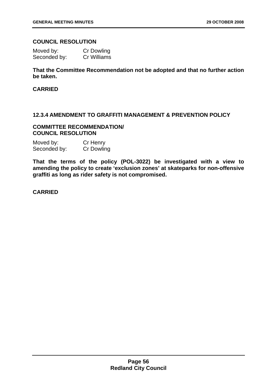## **COUNCIL RESOLUTION**

| Moved by:    | <b>Cr Dowling</b> |
|--------------|-------------------|
| Seconded by: | Cr Williams       |

# **That the Committee Recommendation not be adopted and that no further action be taken.**

## **CARRIED**

## **12.3.4 AMENDMENT TO GRAFFITI MANAGEMENT & PREVENTION POLICY**

## **COMMITTEE RECOMMENDATION/ COUNCIL RESOLUTION**

| Moved by:    | Cr Henry          |
|--------------|-------------------|
| Seconded by: | <b>Cr Dowling</b> |

**That the terms of the policy (POL-3022) be investigated with a view to amending the policy to create 'exclusion zones' at skateparks for non-offensive graffiti as long as rider safety is not compromised.** 

**CARRIED**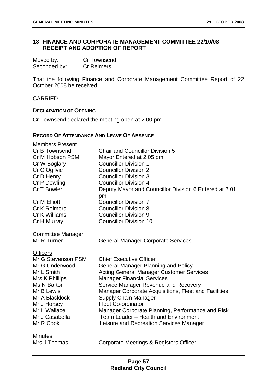# **13 FINANCE AND CORPORATE MANAGEMENT COMMITTEE 22/10/08 - RECEIPT AND ADOPTION OF REPORT**

| Moved by:    | <b>Cr Townsend</b> |
|--------------|--------------------|
| Seconded by: | <b>Cr Reimers</b>  |

That the following Finance and Corporate Management Committee Report of 22 October 2008 be received.

### CARRIED

### **DECLARATION OF OPENING**

Cr Townsend declared the meeting open at 2.00 pm.

## **RECORD OF ATTENDANCE AND LEAVE OF ABSENCE**

| <b>Members Present</b>   |                                                              |
|--------------------------|--------------------------------------------------------------|
| Cr B Townsend            | <b>Chair and Councillor Division 5</b>                       |
| Cr M Hobson PSM          | Mayor Entered at 2.05 pm                                     |
| Cr W Boglary             | <b>Councillor Division 1</b>                                 |
| Cr C Ogilvie             | <b>Councillor Division 2</b>                                 |
| Cr D Henry               | <b>Councillor Division 3</b>                                 |
| Cr P Dowling             | <b>Councillor Division 4</b>                                 |
| Cr T Bowler              | Deputy Mayor and Councillor Division 6 Entered at 2.01<br>pm |
| <b>Cr M Elliott</b>      | <b>Councillor Division 7</b>                                 |
| <b>Cr K Reimers</b>      | <b>Councillor Division 8</b>                                 |
| Cr K Williams            | <b>Councillor Division 9</b>                                 |
| Cr H Murray              | <b>Councillor Division 10</b>                                |
| <b>Committee Manager</b> |                                                              |
| Mr R Turner              | <b>General Manager Corporate Services</b>                    |
| <b>Officers</b>          |                                                              |
| Mr G Stevenson PSM       | <b>Chief Executive Officer</b>                               |
| Mr G Underwood           | <b>General Manager Planning and Policy</b>                   |
| Mr L Smith               | <b>Acting General Manager Customer Services</b>              |
| Mrs K Phillips           | <b>Manager Financial Services</b>                            |
| Ms N Barton              | Service Manager Revenue and Recovery                         |
| Mr B Lewis               | Manager Corporate Acquisitions, Fleet and Facilities         |
| Mr A Blacklock           | <b>Supply Chain Manager</b>                                  |
| Mr J Horsey              | <b>Fleet Co-ordinator</b>                                    |
| Mr L Wallace             | Manager Corporate Planning, Performance and Risk             |
| Mr J Casabella           | Team Leader - Health and Environment                         |
| Mr R Cook                | Leisure and Recreation Services Manager                      |
| <b>Minutes</b>           |                                                              |
| Mrs J Thomas             | Corporate Meetings & Registers Officer                       |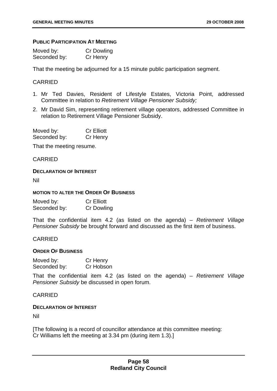### **PUBLIC PARTICIPATION AT MEETING**

| Moved by:    | Cr Dowling |
|--------------|------------|
| Seconded by: | Cr Henry   |

That the meeting be adjourned for a 15 minute public participation segment.

## CARRIED

- 1. Mr Ted Davies, Resident of Lifestyle Estates, Victoria Point, addressed Committee in relation to *Retirement Village Pensioner Subsidy;*
- 2. Mr David Sim, representing retirement village operators, addressed Committee in relation to Retirement Village Pensioner Subsidy.

| Moved by:    | <b>Cr Elliott</b> |
|--------------|-------------------|
| Seconded by: | Cr Henry          |

That the meeting resume.

CARRIED

### **DECLARATION OF INTEREST**

Nil

### **MOTION TO ALTER THE ORDER OF BUSINESS**

| Moved by:    | <b>Cr Elliott</b> |
|--------------|-------------------|
| Seconded by: | <b>Cr Dowling</b> |

That the confidential item 4.2 (as listed on the agenda) – *Retirement Village Pensioner Subsidy* be brought forward and discussed as the first item of business.

## CARRIED

#### **ORDER OF BUSINESS**

| Moved by:    | Cr Henry  |
|--------------|-----------|
| Seconded by: | Cr Hobson |

That the confidential item 4.2 (as listed on the agenda) – *Retirement Village Pensioner Subsidy* be discussed in open forum.

## CARRIED

## **DECLARATION OF INTEREST**

Nil

[The following is a record of councillor attendance at this committee meeting: Cr Williams left the meeting at 3.34 pm (during item 1.3).]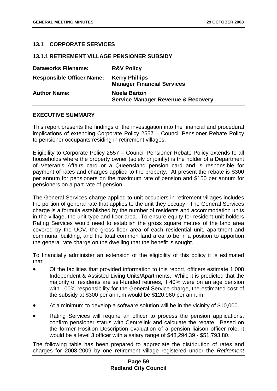# **13.1 CORPORATE SERVICES**

## **13.1.1 RETIREMENT VILLAGE PENSIONER SUBSIDY**

| <b>Dataworks Filename:</b>       | <b>R&amp;V Policy</b>                                                |
|----------------------------------|----------------------------------------------------------------------|
| <b>Responsible Officer Name:</b> | <b>Kerry Phillips</b><br><b>Manager Financial Services</b>           |
| <b>Author Name:</b>              | <b>Noela Barton</b><br><b>Service Manager Revenue &amp; Recovery</b> |

## **EXECUTIVE SUMMARY**

This report presents the findings of the investigation into the financial and procedural implications of extending Corporate Policy 2557 – Council Pensioner Rebate Policy to pensioner occupants residing in retirement villages.

Eligibility to Corporate Policy 2557 – Council Pensioner Rebate Policy extends to all households where the property owner (solely or jointly) is the holder of a Department of Veteran's Affairs card or a Queensland pension card and is responsible for payment of rates and charges applied to the property. At present the rebate is \$300 per annum for pensioners on the maximum rate of pension and \$150 per annum for pensioners on a part rate of pension.

The General Services charge applied to unit occupiers in retirement villages includes the portion of general rate that applies to the unit they occupy. The General Services charge is a formula established by the number of residents and accommodation units in the village, the unit type and floor area. To ensure equity for resident unit holders Rating Services would need to establish the gross square metres of the land area covered by the UCV, the gross floor area of each residential unit, apartment and communal building, and the total common land area to be in a position to apportion the general rate charge on the dwelling that the benefit is sought.

To financially administer an extension of the eligibility of this policy it is estimated that:

- Of the facilities that provided information to this report, officers estimate 1,008 Independent & Assisted Living Units/Apartments. While it is predicted that the majority of residents are self-funded retirees, if 40% were on an age pension with 100% responsibility for the General Service charge, the estimated cost of the subsidy at \$300 per annum would be \$120,960 per annum.
- At a minimum to develop a software solution will be in the vicinity of \$10,000.
- Rating Services will require an officer to process the pension applications, confirm pensioner status with Centrelink and calculate the rebate. Based on the former Position Description evaluation of a pension liaison officer role, it would be a level 3 officer with a salary range of \$48,294.39 - \$51,793.80.

The following table has been prepared to appreciate the distribution of rates and charges for 2008-2009 by one retirement village registered under the *Retirement*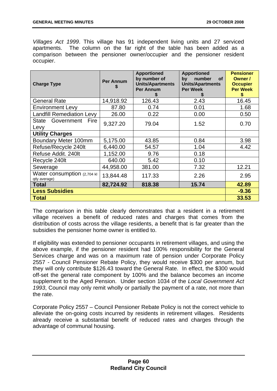*Villages Act 1999*. This village has 91 independent living units and 27 serviced apartments. The column on the far right of the table has been added as a comparison between the pensioner owner/occupier and the pensioner resident occupier.

| <b>Charge Type</b>                           | <b>Per Annum</b> | <b>Apportioned</b><br>by number of<br><b>Units/Apartments</b><br><b>Per Annum</b> | <b>Apportioned</b><br>number<br>by<br><b>of</b><br><b>Units/Apartments</b><br><b>Per Week</b> | <b>Pensioner</b><br>Owner /<br><b>Occupier</b><br><b>Per Week</b><br>\$ |
|----------------------------------------------|------------------|-----------------------------------------------------------------------------------|-----------------------------------------------------------------------------------------------|-------------------------------------------------------------------------|
| <b>General Rate</b>                          | 14,918.92        | 126.43                                                                            | 2.43                                                                                          | 16.45                                                                   |
| <b>Environment Levy</b>                      | 87.80            | 0.74                                                                              | 0.01                                                                                          | 1.68                                                                    |
| <b>Landfill Remediation Levy</b>             | 26.00            | 0.22                                                                              | 0.00                                                                                          | 0.50                                                                    |
| Government<br>State<br>Fire<br>Levy          | 9,327.20         | 79.04                                                                             | 1.52                                                                                          | 0.70                                                                    |
| <b>Utility Charges</b>                       |                  |                                                                                   |                                                                                               |                                                                         |
| Boundary Meter 100mm                         | 5,175.00         | 43.85                                                                             | 0.84                                                                                          | 3.98                                                                    |
| Refuse/Recycle 240lt                         | 6,440.00         | 54.57                                                                             | 1.04                                                                                          | 4.42                                                                    |
| Refuse Addit. 240lt                          | 1,152.00         | 9.76                                                                              | 0.18                                                                                          |                                                                         |
| Recycle 240lt                                | 640.00           | 5.42                                                                              | 0.10                                                                                          |                                                                         |
| Sewerage                                     | 44,958.00        | 381.00                                                                            | 7.32                                                                                          | 12.21                                                                   |
| Water consumption (2,704 kl<br>qtly average) | 13,844.48        | 117.33                                                                            | 2.26                                                                                          | 2.95                                                                    |
| Total                                        | 82,724.92        | 818.38                                                                            | 15.74                                                                                         | 42.89                                                                   |
| <b>Less Subsidies</b>                        |                  |                                                                                   | $-9.36$                                                                                       |                                                                         |
| <b>Total</b>                                 |                  |                                                                                   |                                                                                               | 33.53                                                                   |

The comparison in this table clearly demonstrates that a resident in a retirement village receives a benefit of reduced rates and charges that comes from the distribution of costs across the village residents, a benefit that is far greater than the subsidies the pensioner home owner is entitled to.

If eligibility was extended to pensioner occupants in retirement villages, and using the above example, if the pensioner resident had 100% responsibility for the General Services charge and was on a maximum rate of pension under Corporate Policy 2557 - Council Pensioner Rebate Policy, they would receive \$300 per annum, but they will only contribute \$126.43 toward the General Rate. In effect, the \$300 would off-set the general rate component by 100% and the balance becomes an income supplement to the Aged Pension. Under section 1034 of the *Local Government Act 1993*, Council may only remit wholly or partially the payment of a rate, not more than the rate.

Corporate Policy 2557 – Council Pensioner Rebate Policy is not the correct vehicle to alleviate the on-going costs incurred by residents in retirement villages. Residents already receive a substantial benefit of reduced rates and charges through the advantage of communal housing.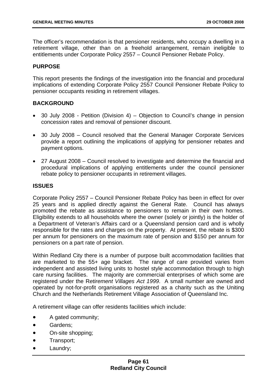The officer's recommendation is that pensioner residents, who occupy a dwelling in a retirement village, other than on a freehold arrangement, remain ineligible to entitlements under Corporate Policy 2557 – Council Pensioner Rebate Policy.

## **PURPOSE**

This report presents the findings of the investigation into the financial and procedural implications of extending Corporate Policy 2557 Council Pensioner Rebate Policy to pensioner occupants residing in retirement villages.

# **BACKGROUND**

- 30 July 2008 Petition (Division 4) Objection to Council's change in pension concession rates and removal of pensioner discount.
- 30 July 2008 Council resolved that the General Manager Corporate Services provide a report outlining the implications of applying for pensioner rebates and payment options.
- 27 August 2008 Council resolved to investigate and determine the financial and procedural implications of applying entitlements under the council pensioner rebate policy to pensioner occupants in retirement villages.

## **ISSUES**

Corporate Policy 2557 – Council Pensioner Rebate Policy has been in effect for over 25 years and is applied directly against the General Rate. Council has always promoted the rebate as assistance to pensioners to remain in their own homes. Eligibility extends to all households where the owner (solely or jointly) is the holder of a Department of Veteran's Affairs card or a Queensland pension card and is wholly responsible for the rates and charges on the property. At present, the rebate is \$300 per annum for pensioners on the maximum rate of pension and \$150 per annum for pensioners on a part rate of pension.

Within Redland City there is a number of purpose built accommodation facilities that are marketed to the 55+ age bracket. The range of care provided varies from independent and assisted living units to hostel style accommodation through to high care nursing facilities. The majority are commercial enterprises of which some are registered under the R*etirement Villages Act 1999*. A small number are owned and operated by not-for-profit organisations registered as a charity such as the Uniting Church and the Netherlands Retirement Village Association of Queensland Inc.

A retirement village can offer residents facilities which include:

- A gated community;
- Gardens:
- On-site shopping:
- Transport;
- Laundry: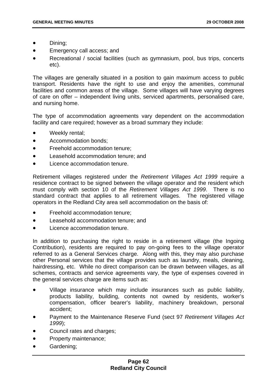- Dining;
- Emergency call access; and
- Recreational / social facilities (such as gymnasium, pool, bus trips, concerts etc).

The villages are generally situated in a position to gain maximum access to public transport. Residents have the right to use and enjoy the amenities, communal facilities and common areas of the village. Some villages will have varying degrees of care on offer – independent living units, serviced apartments, personalised care, and nursing home.

The type of accommodation agreements vary dependent on the accommodation facility and care required; however as a broad summary they include:

- Weekly rental;
- Accommodation bonds;
- Freehold accommodation tenure;
- Leasehold accommodation tenure; and
- Licence accommodation tenure.

Retirement villages registered under the *Retirement Villages Act 1999* require a residence contract to be signed between the village operator and the resident which must comply with section 10 of the *Retirement Villages Act 1999*. There is no standard contract that applies to all retirement villages. The registered village operators in the Redland City area sell accommodation on the basis of:

- Freehold accommodation tenure;
- Leasehold accommodation tenure; and
- Licence accommodation tenure.

In addition to purchasing the right to reside in a retirement village (the Ingoing Contribution), residents are required to pay on-going fees to the village operator referred to as a General Services charge. Along with this, they may also purchase other Personal services that the village provides such as laundry, meals, cleaning, hairdressing, etc. While no direct comparison can be drawn between villages, as all schemes, contracts and service agreements vary, the type of expenses covered in the general services charge are items such as:

- Village insurance which may include insurances such as public liability, products liability, building, contents not owned by residents, worker's compensation, officer bearer's liability, machinery breakdown, personal accident;
- Payment to the Maintenance Reserve Fund (sect 97 *Retirement Villages Act 1999*);
- Council rates and charges:
- Property maintenance:
- Gardening;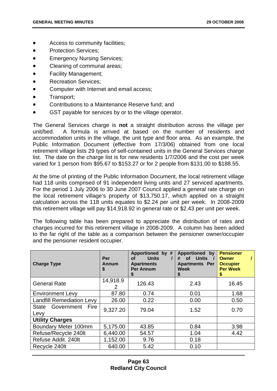- Access to community facilities;
- Protection Services:
- **Emergency Nursing Services;**
- Cleaning of communal areas;
- Facility Management;
- Recreation Services;
- Computer with Internet and email access;
- Transport;
- Contributions to a Maintenance Reserve fund; and
- GST payable for services by or to the village operator.

The General Services charge is **not** a straight distribution across the village per unit/bed. A formula is arrived at based on the number of residents and accommodation units in the village, the unit type and floor area. As an example, the Public Information Document (effective from 17/3/06) obtained from one local retirement village lists 29 types of self-contained units in the General Services charge list. The date on the charge list is for new residents 1/7/2006 and the cost per week varied for 1 person from \$95.67 to \$153.27 or for 2 people from \$131.00 to \$188.55.

At the time of printing of the Public Information Document, the local retirement village had 118 units comprised of 91 independent living units and 27 serviced apartments. For the period 1 July 2006 to 30 June 2007 Council applied a general rate charge on the local retirement village's property of \$13,750.17, which applied on a straight calculation across the 118 units equates to \$2.24 per unit per week. In 2008-2009 this retirement village will pay \$14,918.92 in general rate or \$2.43 per unit per week.

The following table has been prepared to appreciate the distribution of rates and charges incurred for this retirement village in 2008-2009. A column has been added to the far right of the table as a comparison between the pensioner owner/occupier and the pensioner resident occupier.

| <b>Charge Type</b>               | Per<br>Annum<br>\$ | Apportioned by #<br><b>Units</b><br><b>of</b><br><b>Apartments</b><br><b>Per Annum</b><br>S | Apportioned by<br>of Units /<br>#<br><b>Apartments Per</b><br><b>Week</b><br>S | <b>Pensioner</b><br><b>Owner</b><br><b>Occupier</b><br><b>Per Week</b> |
|----------------------------------|--------------------|---------------------------------------------------------------------------------------------|--------------------------------------------------------------------------------|------------------------------------------------------------------------|
| <b>General Rate</b>              | 14,918.9<br>2      | 126.43                                                                                      | 2.43                                                                           | 16.45                                                                  |
| <b>Environment Levy</b>          | 87.80              | 0.74                                                                                        | 0.01                                                                           | 1.68                                                                   |
| <b>Landfill Remediation Levy</b> | 26.00              | 0.22                                                                                        | 0.00                                                                           | 0.50                                                                   |
| State Government Fire<br>Levy    | 9,327.20           | 79.04                                                                                       | 1.52                                                                           | 0.70                                                                   |
| <b>Utility Charges</b>           |                    |                                                                                             |                                                                                |                                                                        |
| Boundary Meter 100mm             | 5,175.00           | 43.85                                                                                       | 0.84                                                                           | 3.98                                                                   |
| Refuse/Recycle 240lt             | 6,440.00           | 54.57                                                                                       | 1.04                                                                           | 4.42                                                                   |
| Refuse Addit. 240lt              | 1,152.00           | 9.76                                                                                        | 0.18                                                                           |                                                                        |
| Recycle 240lt                    | 640.00             | 5.42                                                                                        | 0.10                                                                           |                                                                        |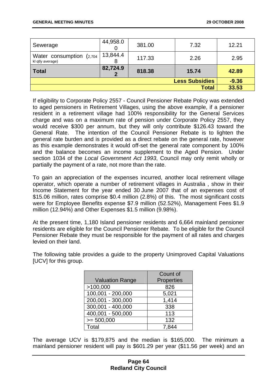| Sewerage                                     | 44,958.0      | 381.00 | 7.32         | 12.21   |
|----------------------------------------------|---------------|--------|--------------|---------|
| Water consumption (2,704<br>kl qtly average) | 13,844.4<br>8 | 117.33 | 2.26         | 2.95    |
| Total                                        | 82,724.9      | 818.38 | 15.74        | 42.89   |
| <b>Less Subsidies</b>                        |               |        |              | $-9.36$ |
|                                              |               |        | <b>Total</b> | 33.53   |

If eligibility to Corporate Policy 2557 - Council Pensioner Rebate Policy was extended to aged pensioners in Retirement Villages, using the above example, if a pensioner resident in a retirement village had 100% responsibility for the General Services charge and was on a maximum rate of pension under Corporate Policy 2557, they would receive \$300 per annum, but they will only contribute \$126.43 toward the General Rate. The intention of the Council Pensioner Rebate is to lighten the general rate burden and is provided as a direct rebate on the general rate, however as this example demonstrates it would off-set the general rate component by 100% and the balance becomes an income supplement to the Aged Pension. Under section 1034 of the *Local Government Act 1993*, Council may only remit wholly or partially the payment of a rate, not more than the rate.

To gain an appreciation of the expenses incurred, another local retirement village operator, which operate a number of retirement villages in Australia , show in their Income Statement for the year ended 30 June 2007 that of an expenses cost of \$15.06 million, rates comprise \$0.4 million (2.8%) of this. The most significant costs were for Employee Benefits expense \$7.9 million (52.52%), Management Fees \$1.9 million (12.94%) and Other Expenses \$1.5 million (9.98%).

At the present time, 1,180 Island pensioner residents and 6,664 mainland pensioner residents are eligible for the Council Pensioner Rebate. To be eligible for the Council Pensioner Rebate they must be responsible for the payment of all rates and charges levied on their land.

|                        | Count of   |
|------------------------|------------|
| <b>Valuation Range</b> | Properties |
| >100,000               | 826        |
| 100,001 - 200,000      | 5,021      |
| 200,001 - 300,000      | 1,414      |
| 300,001 - 400,000      | 338        |
| 400,001 - 500,000      | 113        |
| $>= 500,000$           | 132        |
| Total                  |            |

The following table provides a guide to the property Unimproved Capital Valuations [UCV] for this group.

The average UCV is \$179,875 and the median is \$165,000. The minimum a mainland pensioner resident will pay is \$601.29 per year (\$11.56 per week) and an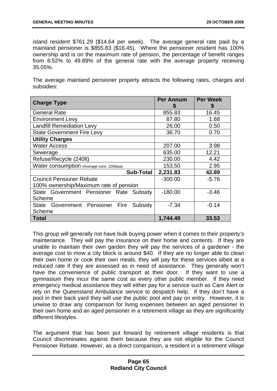island resident \$761.29 (\$14.64 per week). The average general rate paid by a mainland pensioner is \$855.83 (\$16.45). Where the pensioner resident has 100% ownership and is on the maximum rate of pension, the percentage of benefit ranges from 6.52% to 49.89% of the general rate with the average property receiving 35.05%.

The average mainland pensioner property attracts the following rates, charges and subsidies:

| <b>Charge Type</b>                                   | <b>Per Annum</b> | <b>Per Week</b> |
|------------------------------------------------------|------------------|-----------------|
| <b>General Rate</b>                                  | 855.83           | 16.45           |
| <b>Environment Levy</b>                              | 87.80            | 1.68            |
| <b>Landfill Remediation Levy</b>                     | 26.00            | 0.50            |
| <b>State Government Fire Levy</b>                    | 36.70            | 0.70            |
| <b>Utility Charges</b>                               |                  |                 |
| <b>Water Access</b>                                  | 207.00           | 3.98            |
| Sewerage                                             | 635.00           | 12.21           |
| Refuse/Recycle (240lt)                               | 230.00           | 4.42            |
| Water consumption (Average cons. 200klpa)            | 153.50           | 2.95            |
| <b>Sub-Total</b>                                     | 2,231.83         | 42.89           |
| <b>Council Pensioner Rebate</b>                      | $-300.00$        | $-5.76$         |
| 100% ownership/Maximum rate of pension               |                  |                 |
| State Government Pensioner Rate Subsidy              | $-180.00$        | $-3.46$         |
| <b>Scheme</b>                                        |                  |                 |
| Government Pensioner Fire<br><b>State</b><br>Subsidy | $-7.34$          | $-0.14$         |
| <b>Scheme</b>                                        |                  |                 |
| <b>Total</b>                                         | 1,744.49         | 33.53           |

This group will generally not have bulk buying power when it comes to their property's maintenance. They will pay the insurance on their home and contents. If they are unable to maintain their own garden they will pay the services of a gardener - the average cost to mow a city block is around \$40. If they are no longer able to clean their own home or cook their own meals, they will pay for these services albeit at a reduced rate if they are assessed as in need of assistance. They generally won't have the convenience of public transport at their door. If they want to use a gymnasium they incur the same cost as every other public member. If they need emergency medical assistance they will either pay for a service such as Care Alert or rely on the Queensland Ambulance service to despatch help. If they don't have a pool in their back yard they will use the public pool and pay on entry. However, it is unwise to draw any comparison for living expenses between an aged pensioner in their own home and an aged pensioner in a retirement village as they are significantly different lifestyles.

The argument that has been put forward by retirement village residents is that Council discriminates against them because they are not eligible for the Council Pensioner Rebate. However, as a direct comparison, a resident in a retirement village

# **Page 65 Redland City Council**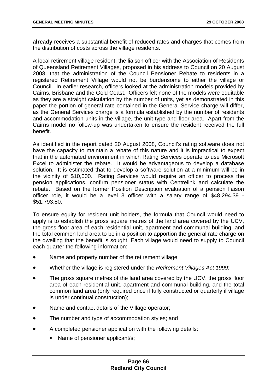**already** receives a substantial benefit of reduced rates and charges that comes from the distribution of costs across the village residents.

A local retirement village resident, the liaison officer with the Association of Residents of Queensland Retirement Villages, proposed in his address to Council on 20 August 2008, that the administration of the Council Pensioner Rebate to residents in a registered Retirement Village would not be burdensome to either the village or Council. In earlier research, officers looked at the administration models provided by Cairns, Brisbane and the Gold Coast. Officers felt none of the models were equitable as they are a straight calculation by the number of units, yet as demonstrated in this paper the portion of general rate contained in the General Service charge will differ, as the General Services charge is a formula established by the number of residents and accommodation units in the village, the unit type and floor area. Apart from the Cairns model no follow-up was undertaken to ensure the resident received the full benefit.

As identified in the report dated 20 August 2008, Council's rating software does not have the capacity to maintain a rebate of this nature and it is impractical to expect that in the automated environment in which Rating Services operate to use Microsoft Excel to administer the rebate. It would be advantageous to develop a database solution. It is estimated that to develop a software solution at a minimum will be in the vicinity of \$10,000. Rating Services would require an officer to process the pension applications, confirm pensioner status with Centrelink and calculate the rebate. Based on the former Position Description evaluation of a pension liaison officer role, it would be a level 3 officer with a salary range of \$48,294.39 - \$51,793.80.

To ensure equity for resident unit holders, the formula that Council would need to apply is to establish the gross square metres of the land area covered by the UCV. the gross floor area of each residential unit, apartment and communal building, and the total common land area to be in a position to apportion the general rate charge on the dwelling that the benefit is sought. Each village would need to supply to Council each quarter the following information:

- Name and property number of the retirement village;
- Whether the village is registered under the *Retirement Villages Act 1999*;
- The gross square metres of the land area covered by the UCV, the gross floor area of each residential unit, apartment and communal building, and the total common land area (only required once if fully constructed or quarterly if village is under continual construction);
- Name and contact details of the Village operator;
- The number and type of accommodation styles; and
- A completed pensioner application with the following details:
	- Name of pensioner applicant/s;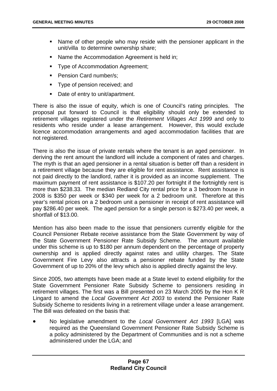- Name of other people who may reside with the pensioner applicant in the unit/villa to determine ownership share;
- Name the Accommodation Agreement is held in;
- **Type of Accommodation Agreement;**
- **Pension Card number/s;**
- **Type of pension received; and**
- Date of entry to unit/apartment.

There is also the issue of equity, which is one of Council's rating principles. The proposal put forward to Council is that eligibility should only be extended to retirement villages registered under the *Retirement Villages Act 1999* and only to residents who reside under a lease arrangement. However, this would exclude licence accommodation arrangements and aged accommodation facilities that are not registered.

There is also the issue of private rentals where the tenant is an aged pensioner. In deriving the rent amount the landlord will include a component of rates and charges. The myth is that an aged pensioner in a rental situation is better off than a resident in a retirement village because they are eligible for rent assistance. Rent assistance is not paid directly to the landlord, rather it is provided as an income supplement. The maximum payment of rent assistance is \$107.20 per fortnight if the fortnightly rent is more than \$238.33. The median Redland City rental price for a 3 bedroom house in 2008 is \$350 per week or \$340 per week for a 2 bedroom unit. Therefore at this year's rental prices on a 2 bedroom unit a pensioner in receipt of rent assistance will pay \$286.40 per week. The aged pension for a single person is \$273.40 per week, a shortfall of \$13.00.

Mention has also been made to the issue that pensioners currently eligible for the Council Pensioner Rebate receive assistance from the State Government by way of the State Government Pensioner Rate Subsidy Scheme. The amount available under this scheme is up to \$180 per annum dependent on the percentage of property ownership and is applied directly against rates and utility charges. The State Government Fire Levy also attracts a pensioner rebate funded by the State Government of up to 20% of the levy which also is applied directly against the levy.

Since 2005, two attempts have been made at a State level to extend eligibility for the State Government Pensioner Rate Subsidy Scheme to pensioners residing in retirement villages. The first was a Bill presented on 23 March 2005 by the Hon K R Lingard to amend the *Local Government Act 2003* to extend the Pensioner Rate Subsidy Scheme to residents living in a retirement village under a lease arrangement. The Bill was defeated on the basis that:

• No legislative amendment to the *Local Government Act 1993* [LGA] was required as the Queensland Government Pensioner Rate Subsidy Scheme is a policy administered by the Department of Communities and is not a scheme administered under the LGA; and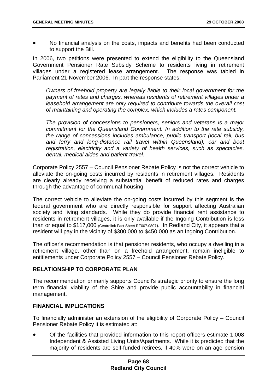• No financial analysis on the costs, impacts and benefits had been conducted to support the Bill.

In 2006, two petitions were presented to extend the eligibility to the Queensland Government Pensioner Rate Subsidy Scheme to residents living in retirement villages under a registered lease arrangement. The response was tabled in Parliament 21 November 2006. In part the response states:

*Owners of freehold property are legally liable to their local government for the payment of rates and charges, whereas residents of retirement villages under a leasehold arrangement are only required to contribute towards the overall cost of maintaining and operating the complex, which includes a rates component.* 

*The provision of concessions to pensioners, seniors and veterans is a major commitment for the Queensland Government. In addition to the rate subsidy, the range of concessions includes ambulance, public transport (local rail, bus and ferry and long-distance rail travel within Queensland), car and boat registration, electricity and a variety of health services, such as spectacles, dental, medical aides and patient travel.* 

Corporate Policy 2557 – Council Pensioner Rebate Policy is not the correct vehicle to alleviate the on-going costs incurred by residents in retirement villages. Residents are clearly already receiving a substantial benefit of reduced rates and charges through the advantage of communal housing.

The correct vehicle to alleviate the on-going costs incurred by this segment is the federal government who are directly responsible for support affecting Australian society and living standards. While they do provide financial rent assistance to residents in retirement villages, it is only available if the Ingoing Contribution is less than or equal to \$117,000 (Centrelink Fact Sheet RT007.0807). In Redland City, it appears that a resident will pay in the vicinity of \$300,000 to \$450,000 as an Ingoing Contribution.

The officer's recommendation is that pensioner residents, who occupy a dwelling in a retirement village, other than on a freehold arrangement, remain ineligible to entitlements under Corporate Policy 2557 – Council Pensioner Rebate Policy.

## **RELATIONSHIP TO CORPORATE PLAN**

The recommendation primarily supports Council's strategic priority to ensure the long term financial viability of the Shire and provide public accountability in financial management.

## **FINANCIAL IMPLICATIONS**

To financially administer an extension of the eligibility of Corporate Policy – Council Pensioner Rebate Policy it is estimated at:

• Of the facilities that provided information to this report officers estimate 1,008 Independent & Assisted Living Units/Apartments. While it is predicted that the majority of residents are self-funded retirees, if 40% were on an age pension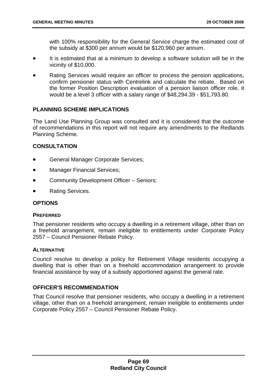with 100% responsibility for the General Service charge the estimated cost of the subsidy at \$300 per annum would be \$120,960 per annum.

- It is estimated that at a minimum to develop a software solution will be in the vicinity of \$10,000.
- Rating Services would require an officer to process the pension applications, confirm pensioner status with Centrelink and calculate the rebate. Based on the former Position Description evaluation of a pension liaison officer role, it would be a level 3 officer with a salary range of \$48,294.39 - \$51,793.80.

## **PLANNING SCHEME IMPLICATIONS**

The Land Use Planning Group was consulted and it is considered that the outcome of recommendations in this report will not require any amendments to the Redlands Planning Scheme.

## **CONSULTATION**

- General Manager Corporate Services;
- Manager Financial Services;
- Community Development Officer Seniors;
- Rating Services.

#### **OPTIONS**

#### **PREFERRED**

That pensioner residents who occupy a dwelling in a retirement village, other than on a freehold arrangement, remain ineligible to entitlements under Corporate Policy 2557 – Council Pensioner Rebate Policy.

#### **ALTERNATIVE**

Council resolve to develop a policy for Retirement Village residents occupying a dwelling that is other than on a freehold accommodation arrangement to provide financial assistance by way of a subsidy apportioned against the general rate.

## **OFFICER'S RECOMMENDATION**

That Council resolve that pensioner residents, who occupy a dwelling in a retirement village, other than on a freehold arrangement, remain ineligible to entitlements under Corporate Policy 2557 – Council Pensioner Rebate Policy.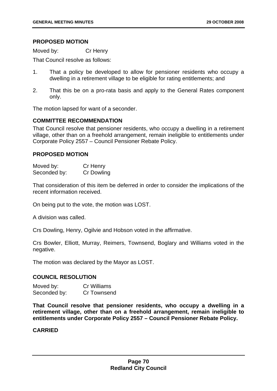## **PROPOSED MOTION**

Moved by: Cr Henry

That Council resolve as follows:

- 1. That a policy be developed to allow for pensioner residents who occupy a dwelling in a retirement village to be eligible for rating entitlements; and
- 2. That this be on a pro-rata basis and apply to the General Rates component only.

The motion lapsed for want of a seconder.

## **COMMITTEE RECOMMENDATION**

That Council resolve that pensioner residents, who occupy a dwelling in a retirement village, other than on a freehold arrangement, remain ineligible to entitlements under Corporate Policy 2557 – Council Pensioner Rebate Policy.

## **PROPOSED MOTION**

| Moved by:    | Cr Henry   |
|--------------|------------|
| Seconded by: | Cr Dowling |

That consideration of this item be deferred in order to consider the implications of the recent information received.

On being put to the vote, the motion was LOST.

A division was called.

Crs Dowling, Henry, Ogilvie and Hobson voted in the affirmative.

Crs Bowler, Elliott, Murray, Reimers, Townsend, Boglary and Williams voted in the negative.

The motion was declared by the Mayor as LOST.

# **COUNCIL RESOLUTION**

| Moved by:    | <b>Cr Williams</b> |
|--------------|--------------------|
| Seconded by: | Cr Townsend        |

**That Council resolve that pensioner residents, who occupy a dwelling in a retirement village, other than on a freehold arrangement, remain ineligible to entitlements under Corporate Policy 2557 – Council Pensioner Rebate Policy.**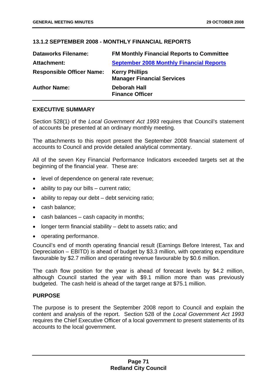# **13.1.2 SEPTEMBER 2008 - MONTHLY FINANCIAL REPORTS**

| <b>Dataworks Filename:</b>       | <b>FM Monthly Financial Reports to Committee</b>           |
|----------------------------------|------------------------------------------------------------|
| <b>Attachment:</b>               | <b>September 2008 Monthly Financial Reports</b>            |
| <b>Responsible Officer Name:</b> | <b>Kerry Phillips</b><br><b>Manager Financial Services</b> |
| <b>Author Name:</b>              | <b>Deborah Hall</b><br><b>Finance Officer</b>              |

## **EXECUTIVE SUMMARY**

Section 528(1) of the *Local Government Act 1993* requires that Council's statement of accounts be presented at an ordinary monthly meeting.

The attachments to this report present the September 2008 financial statement of accounts to Council and provide detailed analytical commentary.

All of the seven Key Financial Performance Indicators exceeded targets set at the beginning of the financial year. These are:

- level of dependence on general rate revenue;
- ability to pay our bills current ratio;
- ability to repay our debt debt servicing ratio;
- cash balance;
- cash balances cash capacity in months;
- longer term financial stability debt to assets ratio; and
- operating performance.

Council's end of month operating financial result (Earnings Before Interest, Tax and Depreciation – EBITD) is ahead of budget by \$3.3 million, with operating expenditure favourable by \$2.7 million and operating revenue favourable by \$0.6 million.

The cash flow position for the year is ahead of forecast levels by \$4.2 million, although Council started the year with \$9.1 million more than was previously budgeted. The cash held is ahead of the target range at \$75.1 million.

#### **PURPOSE**

The purpose is to present the September 2008 report to Council and explain the content and analysis of the report. Section 528 of the *Local Government Act 1993* requires the Chief Executive Officer of a local government to present statements of its accounts to the local government.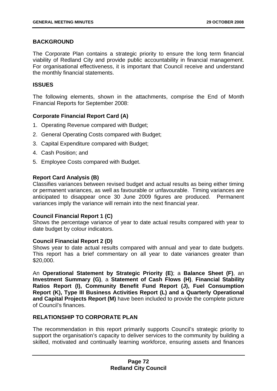## **BACKGROUND**

The Corporate Plan contains a strategic priority to ensure the long term financial viability of Redland City and provide public accountability in financial management. For organisational effectiveness, it is important that Council receive and understand the monthly financial statements.

### **ISSUES**

The following elements, shown in the attachments, comprise the End of Month Financial Reports for September 2008:

## **Corporate Financial Report Card (A)**

- 1. Operating Revenue compared with Budget;
- 2. General Operating Costs compared with Budget;
- 3. Capital Expenditure compared with Budget;
- 4. Cash Position; and
- 5. Employee Costs compared with Budget.

#### **Report Card Analysis (B)**

Classifies variances between revised budget and actual results as being either timing or permanent variances, as well as favourable or unfavourable. Timing variances are anticipated to disappear once 30 June 2009 figures are produced. Permanent variances imply the variance will remain into the next financial year.

#### **Council Financial Report 1 (C)**

Shows the percentage variance of year to date actual results compared with year to date budget by colour indicators.

### **Council Financial Report 2 (D)**

Shows year to date actual results compared with annual and year to date budgets. This report has a brief commentary on all year to date variances greater than \$20,000.

An **Operational Statement by Strategic Priority (E)**; a **Balance Sheet (F)**, an **Investment Summary (G)**, a **Statement of Cash Flows (H)**, **Financial Stability Ratios Report (I), Community Benefit Fund Report (J), Fuel Consumption Report (K), Type III Business Activities Report (L) and a Quarterly Operational and Capital Projects Report (M)** have been included to provide the complete picture of Council's finances.

### **RELATIONSHIP TO CORPORATE PLAN**

The recommendation in this report primarily supports Council's strategic priority to support the organisation's capacity to deliver services to the community by building a skilled, motivated and continually learning workforce, ensuring assets and finances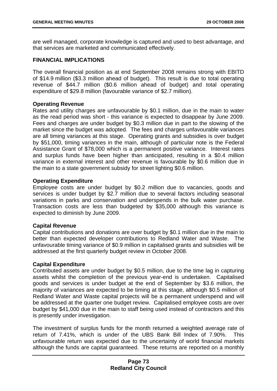are well managed, corporate knowledge is captured and used to best advantage, and that services are marketed and communicated effectively.

## **FINANCIAL IMPLICATIONS**

The overall financial position as at end September 2008 remains strong with EBITD of \$14.9 million (\$3.3 million ahead of budget). This result is due to total operating revenue of \$44.7 million (\$0.6 million ahead of budget) and total operating expenditure of \$29.8 million (favourable variance of \$2.7 million).

## **Operating Revenue**

Rates and utility charges are unfavourable by \$0.1 million, due in the main to water as the read period was short - this variance is expected to disappear by June 2009. Fees and charges are under budget by \$0.3 million due in part to the slowing of the market since the budget was adopted. The fees and charges unfavourable variances are all timing variances at this stage. Operating grants and subsidies is over budget by \$51,000, timing variances in the main, although of particular note is the Federal Assistance Grant of \$78,000 which is a permanent positive variance. Interest rates and surplus funds have been higher than anticipated, resulting in a \$0.4 million variance in external interest and other revenue is favourable by \$0.6 million due in the main to a state government subsidy for street lighting \$0.6 million.

## **Operating Expenditure**

Employee costs are under budget by \$0.2 million due to vacancies, goods and services is under budget by \$2.7 million due to several factors including seasonal variations in parks and conservation and underspends in the bulk water purchase. Transaction costs are less than budgeted by \$35,000 although this variance is expected to diminish by June 2009.

#### **Capital Revenue**

Capital contributions and donations are over budget by \$0.1 million due in the main to better than expected developer contributions to Redland Water and Waste. The unfavourable timing variance of \$0.9 million in capitalised grants and subsidies will be addressed at the first quarterly budget review in October 2008.

#### **Capital Expenditure**

Contributed assets are under budget by \$0.5 million, due to the time lag in capturing assets whilst the completion of the previous year-end is undertaken. Capitalised goods and services is under budget at the end of September by \$3.6 million, the majority of variances are expected to be timing at this stage, although \$0.5 million of Redland Water and Waste capital projects will be a permanent underspend and will be addressed at the quarter one budget review. Capitalised employee costs are over budget by \$41,000 due in the main to staff being used instead of contractors and this is presently under investigation.

The investment of surplus funds for the month returned a weighted average rate of return of 7.41%, which is under of the UBS Bank Bill Index of 7.90%. This unfavourable return was expected due to the uncertainty of world financial markets although the funds are capital guaranteed. These returns are reported on a monthly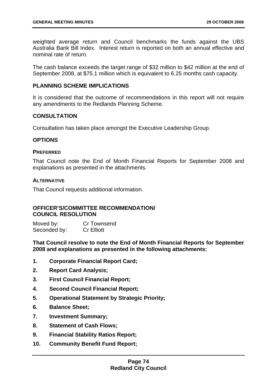weighted average return and Council benchmarks the funds against the UBS Australia Bank Bill Index. Interest return is reported on both an annual effective and nominal rate of return.

The cash balance exceeds the target range of \$32 million to \$42 million at the end of September 2008, at \$75.1 million which is equivalent to 6.25 months cash capacity.

### **PLANNING SCHEME IMPLICATIONS**

It is considered that the outcome of recommendations in this report will not require any amendments to the Redlands Planning Scheme.

## **CONSULTATION**

Consultation has taken place amongst the Executive Leadership Group.

## **OPTIONS**

#### **PREFERRED**

That Council note the End of Month Financial Reports for September 2008 and explanations as presented in the attachments.

### **ALTERNATIVE**

That Council requests additional information.

#### **OFFICER'S/COMMITTEE RECOMMENDATION/ COUNCIL RESOLUTION**

Moved by: Cr Townsend Seconded by: Cr Elliott

**That Council resolve to note the End of Month Financial Reports for September 2008 and explanations as presented in the following attachments:** 

- **1. Corporate Financial Report Card;**
- **2. Report Card Analysis;**
- **3. First Council Financial Report;**
- **4. Second Council Financial Report;**
- **5. Operational Statement by Strategic Priority;**
- **6. Balance Sheet;**
- **7. Investment Summary;**
- **8. Statement of Cash Flows;**
- **9. Financial Stability Ratios Report;**
- **10. Community Benefit Fund Report;**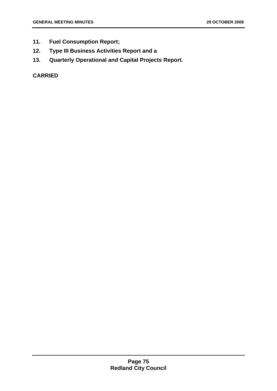- **11. Fuel Consumption Report;**
- **12. Type III Business Activities Report and a**
- **13. Quarterly Operational and Capital Projects Report.**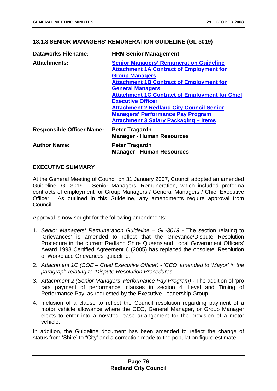# **13.1.3 SENIOR MANAGERS' REMUNERATION GUIDELINE (GL-3019)**

| <b>Dataworks Filename:</b>       | <b>HRM Senior Management</b>                                                                                                                                                                                              |
|----------------------------------|---------------------------------------------------------------------------------------------------------------------------------------------------------------------------------------------------------------------------|
| <b>Attachments:</b>              | <b>Senior Managers' Remuneration Guideline</b><br><b>Attachment 1A Contract of Employment for</b><br><b>Group Managers</b><br><b>Attachment 1B Contract of Employment for</b><br><b>General Managers</b>                  |
|                                  | <b>Attachment 1C Contract of Employment for Chief</b><br><b>Executive Officer</b><br><b>Attachment 2 Redland City Council Senior</b><br><b>Managers' Performance Pay Program</b><br>Attachment 3 Salary Packaging - Items |
| <b>Responsible Officer Name:</b> | <b>Peter Tragardh</b><br><b>Manager - Human Resources</b>                                                                                                                                                                 |
| <b>Author Name:</b>              | Peter Tragardh<br><b>Manager - Human Resources</b>                                                                                                                                                                        |

## **EXECUTIVE SUMMARY**

At the General Meeting of Council on 31 January 2007, Council adopted an amended Guideline, GL-3019 – Senior Managers' Remuneration, which included proforma contracts of employment for Group Managers / General Managers / Chief Executive Officer. As outlined in this Guideline, any amendments require approval from Council.

Approval is now sought for the following amendments:-

- 1. *Senior Managers' Remuneration Guideline GL-3019* The section relating to 'Grievances' is amended to reflect that the Grievance/Dispute Resolution Procedure in the current Redland Shire Queensland Local Government Officers' Award 1998 Certified Agreement 6 (2005) has replaced the obsolete 'Resolution of Workplace Grievances' guideline.
- 2. *Attachment 1C (COE Chief Executive Officer) 'CEO' amended to 'Mayor' in the paragraph relating to 'Dispute Resolution Procedures.*
- 3. *Attachment 2 (Senior Managers' Performance Pay Program)* The addition of 'pro rata payment of performance' clauses in section 4 'Level and Timing of Performance Pay' as requested by the Executive Leadership Group.
- 4. Inclusion of a clause to reflect the Council resolution regarding payment of a motor vehicle allowance where the CEO, General Manager, or Group Manager elects to enter into a novated lease arrangement for the provision of a motor vehicle.

In addition, the Guideline document has been amended to reflect the change of status from 'Shire' to "City' and a correction made to the population figure estimate.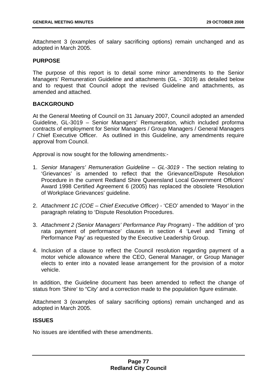Attachment 3 (examples of salary sacrificing options) remain unchanged and as adopted in March 2005.

#### **PURPOSE**

The purpose of this report is to detail some minor amendments to the Senior Managers' Remuneration Guideline and attachments (GL - 3019) as detailed below and to request that Council adopt the revised Guideline and attachments, as amended and attached.

## **BACKGROUND**

At the General Meeting of Council on 31 January 2007, Council adopted an amended Guideline, GL-3019 – Senior Managers' Remuneration, which included proforma contracts of employment for Senior Managers / Group Managers / General Managers / Chief Executive Officer. As outlined in this Guideline, any amendments require approval from Council.

Approval is now sought for the following amendments:-

- 1. *Senior Managers' Remuneration Guideline GL-3019* The section relating to 'Grievances' is amended to reflect that the Grievance/Dispute Resolution Procedure in the current Redland Shire Queensland Local Government Officers' Award 1998 Certified Agreement 6 (2005) has replaced the obsolete 'Resolution of Workplace Grievances' guideline.
- 2. *Attachment 1C (COE Chief Executive Officer)* 'CEO' amended to 'Mayor' in the paragraph relating to 'Dispute Resolution Procedures.
- 3. *Attachment 2 (Senior Managers' Performance Pay Program)* The addition of 'pro rata payment of performance' clauses in section 4 'Level and Timing of Performance Pay' as requested by the Executive Leadership Group.
- 4. Inclusion of a clause to reflect the Council resolution regarding payment of a motor vehicle allowance where the CEO, General Manager, or Group Manager elects to enter into a novated lease arrangement for the provision of a motor vehicle.

In addition, the Guideline document has been amended to reflect the change of status from 'Shire' to "City' and a correction made to the population figure estimate.

Attachment 3 (examples of salary sacrificing options) remain unchanged and as adopted in March 2005.

#### **ISSUES**

No issues are identified with these amendments.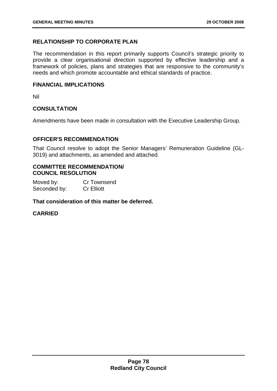# **RELATIONSHIP TO CORPORATE PLAN**

The recommendation in this report primarily supports Council's strategic priority to provide a clear organisational direction supported by effective leadership and a framework of policies, plans and strategies that are responsive to the community's needs and which promote accountable and ethical standards of practice.

## **FINANCIAL IMPLICATIONS**

Nil

## **CONSULTATION**

Amendments have been made in consultation with the Executive Leadership Group.

## **OFFICER'S RECOMMENDATION**

That Council resolve to adopt the Senior Managers' Remuneration Guideline (GL-3019) and attachments, as amended and attached.

## **COMMITTEE RECOMMENDATION/ COUNCIL RESOLUTION**

Moved by: Cr Townsend Seconded by: Cr Elliott

## **That consideration of this matter be deferred.**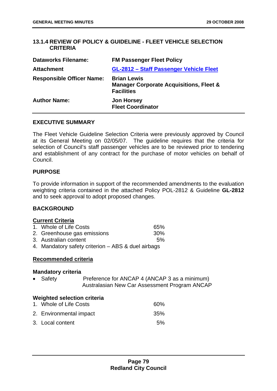# **13.1.4 REVIEW OF POLICY & GUIDELINE - FLEET VEHICLE SELECTION CRITERIA**

| <b>Dataworks Filename:</b>       | <b>FM Passenger Fleet Policy</b>                                                              |
|----------------------------------|-----------------------------------------------------------------------------------------------|
| <b>Attachment</b>                | GL-2812 - Staff Passenger Vehicle Fleet                                                       |
| <b>Responsible Officer Name:</b> | <b>Brian Lewis</b><br><b>Manager Corporate Acquisitions, Fleet &amp;</b><br><b>Facilities</b> |
| <b>Author Name:</b>              | <b>Jon Horsey</b><br><b>Fleet Coordinator</b>                                                 |

#### **EXECUTIVE SUMMARY**

The Fleet Vehicle Guideline Selection Criteria were previously approved by Council at its General Meeting on 02/05/07. The guideline requires that the criteria for selection of Council's staff passenger vehicles are to be reviewed prior to tendering and establishment of any contract for the purchase of motor vehicles on behalf of Council.

## **PURPOSE**

To provide information in support of the recommended amendments to the evaluation weighting criteria contained in the attached Policy POL-2812 & Guideline **GL-2812** and to seek approval to adopt proposed changes.

## **BACKGROUND**

#### **Current Criteria**

- 2. Greenhouse gas emissions 30%
- 3. Australian content 5%
- 4. Mandatory safety criterion ABS & duel airbags

#### **Recommended criteria**

#### **Mandatory criteria**

• Safety Preference for ANCAP 4 (ANCAP 3 as a minimum) Australasian New Car Assessment Program ANCAP

#### **Weighted selection criteria**

| 1. Whole of Life Costs  | 60%    |
|-------------------------|--------|
| 2. Environmental impact | 35%    |
| 3. Local content        | $.5\%$ |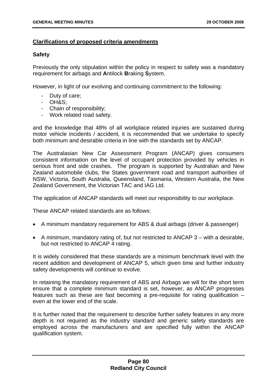## **Clarifications of proposed criteria amendments**

### **Safety**

Previously the only stipulation within the policy in respect to safety was a mandatory requirement for airbags and **A**ntilock **B**raking **S**ystem.

However, in light of our evolving and continuing commitment to the following:

- Duty of care;
- OH&S;
- Chain of responsibility;
- Work related road safety.

and the knowledge that 48% of all workplace related injuries are sustained during motor vehicle incidents / accident, it is recommended that we undertake to specify both minimum and desirable criteria in line with the standards set by ANCAP.

The Australasian New Car Assessment Program (ANCAP) gives consumers consistent information on the level of occupant protection provided by vehicles in serious front and side crashes. The program is supported by Australian and New Zealand automobile clubs, the States government road and transport authorities of NSW, Victoria, South Australia, Queensland, Tasmania, Western Australia, the New Zealand Government, the Victorian TAC and IAG Ltd.

The application of ANCAP standards will meet our responsibility to our workplace.

These ANCAP related standards are as follows:

- A minimum mandatory requirement for ABS & dual airbags (driver & passenger)
- A minimum, mandatory rating of, but not restricted to ANCAP 3 with a desirable, but not restricted to ANCAP 4 rating.

It is widely considered that these standards are a minimum benchmark level with the recent addition and development of ANCAP 5, which given time and further industry safety developments will continue to evolve.

In retaining the mandatory requirement of ABS and Airbags we will for the short term ensure that a complete minimum standard is set, however, as ANCAP progresses features such as these are fast becoming a pre-requisite for rating qualification – even at the lower end of the scale.

It is further noted that the requirement to describe further safety features in any more depth is not required as the industry standard and generic safety standards are employed across the manufacturers and are specified fully within the ANCAP qualification system.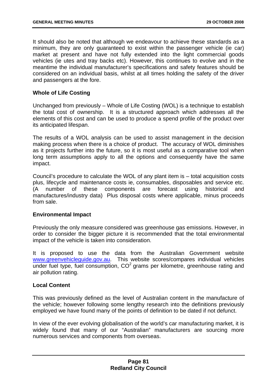It should also be noted that although we endeavour to achieve these standards as a minimum, they are only guaranteed to exist within the passenger vehicle (ie car) market at present and have not fully extended into the light commercial goods vehicles (ie utes and tray backs etc). However, this continues to evolve and in the meantime the individual manufacturer's specifications and safety features should be considered on an individual basis, whilst at all times holding the safety of the driver and passengers at the fore.

## **Whole of Life Costing**

Unchanged from previously – Whole of Life Costing (WOL) is a technique to establish the total cost of ownership. It is a structured approach which addresses all the elements of this cost and can be used to produce a spend profile of the product over its anticipated lifespan.

The results of a WOL analysis can be used to assist management in the decision making process when there is a choice of product. The accuracy of WOL diminishes as it projects further into the future, so it is most useful as a comparative tool when long term assumptions apply to all the options and consequently have the same impact.

Council's procedure to calculate the WOL of any plant item is – total acquisition costs plus, lifecycle and maintenance costs ie, consumables, disposables and service etc. (A number of these components are forecast using historical and manufactures/industry data) Plus disposal costs where applicable, minus proceeds from sale.

#### **Environmental Impact**

Previously the only measure considered was greenhouse gas emissions. However, in order to consider the bigger picture it is recommended that the total environmental impact of the vehicle is taken into consideration.

It is proposed to use the data from the Australian Government website www.greenvehicleguide.gov.au. This website scores/compares individual vehicles under fuel type, fuel consumption,  $CO<sup>2</sup>$  grams per kilometre, greenhouse rating and air pollution rating.

#### **Local Content**

This was previously defined as the level of Australian content in the manufacture of the vehicle; however following some lengthy research into the definitions previously employed we have found many of the points of definition to be dated if not defunct.

In view of the ever evolving globalisation of the world's car manufacturing market, it is widely found that many of our "Australian" manufacturers are sourcing more numerous services and components from overseas.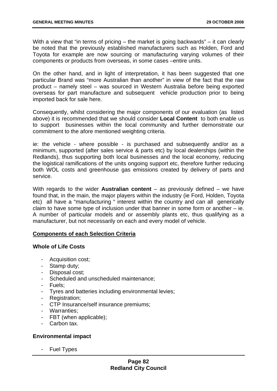With a view that "in terms of pricing – the market is going backwards" – it can clearly be noted that the previously established manufacturers such as Holden, Ford and Toyota for example are now sourcing or manufacturing varying volumes of their components or products from overseas, in some cases –entire units.

On the other hand, and in light of interpretation, it has been suggested that one particular Brand was "more Australian than another" in view of the fact that the raw product – namely steel – was sourced in Western Australia before being exported overseas for part manufacture and subsequent vehicle production prior to being imported back for sale here.

Consequently, whilst considering the major components of our evaluation (as listed above) it is recommended that we should consider **Local Content** to both enable us to support businesses within the local community and further demonstrate our commitment to the afore mentioned weighting criteria.

ie: the vehicle - where possible - is purchased and subsequently and/or as a minimum, supported (after sales service & parts etc) by local dealerships (within the Redlands), thus supporting both local businesses and the local economy, reducing the logistical ramifications of the units ongoing support etc, therefore further reducing both WOL costs and greenhouse gas emissions created by delivery of parts and service.

With regards to the wider **Australian content** – as previously defined – we have found that, in the main, the major players within the industry (ie Ford, Holden, Toyota etc) all have a "manufacturing " interest within the country and can all generically claim to have some type of inclusion under that banner in some form or another – ie. A number of particular models and or assembly plants etc, thus qualifying as a manufacturer, but not necessarily on each and every model of vehicle.

# **Components of each Selection Criteria**

#### **Whole of Life Costs**

- Acquisition cost;
- Stamp duty;
- Disposal cost;
- Scheduled and unscheduled maintenance;
- Fuels;
- Tyres and batteries including environmental levies;
- Registration;
- CTP Insurance/self insurance premiums;
- Warranties;
- FBT (when applicable);
- Carbon tax.

## **Environmental impact**

- Fuel Types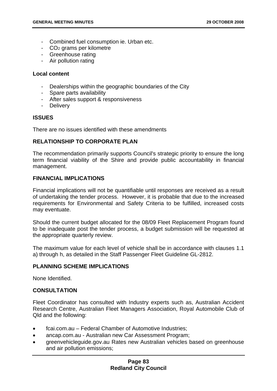- Combined fuel consumption ie. Urban etc.
- CO2 grams per kilometre
- Greenhouse rating
- Air pollution rating

### **Local content**

- Dealerships within the geographic boundaries of the City
- Spare parts availability
- After sales support & responsiveness
- Delivery

## **ISSUES**

There are no issues identified with these amendments

## **RELATIONSHIP TO CORPORATE PLAN**

The recommendation primarily supports Council's strategic priority to ensure the long term financial viability of the Shire and provide public accountability in financial management.

## **FINANCIAL IMPLICATIONS**

Financial implications will not be quantifiable until responses are received as a result of undertaking the tender process. However, it is probable that due to the increased requirements for Environmental and Safety Criteria to be fulfilled, increased costs may eventuate.

Should the current budget allocated for the 08/09 Fleet Replacement Program found to be inadequate post the tender process, a budget submission will be requested at the appropriate quarterly review.

The maximum value for each level of vehicle shall be in accordance with clauses 1.1 a) through h, as detailed in the Staff Passenger Fleet Guideline GL-2812.

#### **PLANNING SCHEME IMPLICATIONS**

None Identified.

#### **CONSULTATION**

Fleet Coordinator has consulted with Industry experts such as, Australian Accident Research Centre, Australian Fleet Managers Association, Royal Automobile Club of Qld and the following:

- fcai.com.au Federal Chamber of Automotive Industries;
- ancap.com.au Australian new Car Assessment Program;
- greenvehicleguide.gov.au Rates new Australian vehicles based on greenhouse and air pollution emissions;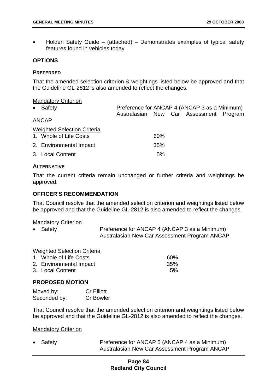• Holden Safety Guide – (attached) – Demonstrates examples of typical safety features found in vehicles today

### **OPTIONS**

#### **PREFERRED**

That the amended selection criterion & weightings listed below be approved and that the Guideline GL-2812 is also amended to reflect the changes.

#### Mandatory Criterion

| Preference for ANCAP 4 (ANCAP 3 as a Minimum)<br>• Safety |  |     |  |                                         |  |
|-----------------------------------------------------------|--|-----|--|-----------------------------------------|--|
|                                                           |  |     |  | Australasian New Car Assessment Program |  |
| <b>ANCAP</b>                                              |  |     |  |                                         |  |
| <b>Weighted Selection Criteria</b>                        |  |     |  |                                         |  |
| 1. Whole of Life Costs                                    |  | 60% |  |                                         |  |
| 2. Environmental Impact                                   |  | 35% |  |                                         |  |
| 3. Local Content                                          |  | 5%  |  |                                         |  |
|                                                           |  |     |  |                                         |  |

#### **ALTERNATIVE**

That the current criteria remain unchanged or further criteria and weightings be approved.

#### **OFFICER'S RECOMMENDATION**

That Council resolve that the amended selection criterion and weightings listed below be approved and that the Guideline GL-2812 is also amended to reflect the changes.

#### Mandatory Criterion

• Safety **Preference for ANCAP 4 (ANCAP 3 as a Minimum)** Australasian New Car Assessment Program ANCAP

Weighted Selection Criteria

| 1. Whole of Life Costs  | 60%  |
|-------------------------|------|
| 2. Environmental Impact | .35% |
| 3. Local Content        | 5%   |

#### **PROPOSED MOTION**

| Moved by:    | <b>Cr Elliott</b> |
|--------------|-------------------|
| Seconded by: | <b>Cr Bowler</b>  |

That Council resolve that the amended selection criterion and weightings listed below be approved and that the Guideline GL-2812 is also amended to reflect the changes.

#### Mandatory Criterion

Safety **Preference for ANCAP 5 (ANCAP 4 as a Minimum)** Australasian New Car Assessment Program ANCAP

## **Page 84 Redland City Council**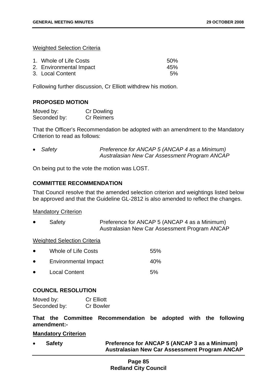Weighted Selection Criteria

| 1. Whole of Life Costs  | .50% |
|-------------------------|------|
| 2. Environmental Impact | 45%  |
| 3. Local Content        | 5%   |

Following further discussion, Cr Elliott withdrew his motion.

#### **PROPOSED MOTION**

| Moved by:    | <b>Cr Dowling</b> |
|--------------|-------------------|
| Seconded by: | <b>Cr Reimers</b> |

That the Officer's Recommendation be adopted with an amendment to the Mandatory Criterion to read as follows:

• *Safety Preference for ANCAP 5 (ANCAP 4 as a Minimum) Australasian New Car Assessment Program ANCAP* 

On being put to the vote the motion was LOST.

## **COMMITTEE RECOMMENDATION**

That Council resolve that the amended selection criterion and weightings listed below be approved and that the Guideline GL-2812 is also amended to reflect the changes.

### Mandatory Criterion

Safety **Preference for ANCAP 5 (ANCAP 4 as a Minimum)** Australasian New Car Assessment Program ANCAP

#### Weighted Selection Criteria

| $\bullet$ | Whole of Life Costs         | 55%             |
|-----------|-----------------------------|-----------------|
| $\bullet$ | <b>Environmental Impact</b> | 40 <sub>%</sub> |
| $\bullet$ | <b>Local Content</b>        | 5%              |

#### **COUNCIL RESOLUTION**

| Moved by:    | <b>Cr Elliott</b> |
|--------------|-------------------|
| Seconded by: | <b>Cr Bowler</b>  |

**That the Committee Recommendation be adopted with the following amendment:-** 

#### **Mandatory Criterion**

• **Safety Preference for ANCAP 5 (ANCAP 3 as a Minimum) Australasian New Car Assessment Program ANCAP** 

# **Page 85 Redland City Council**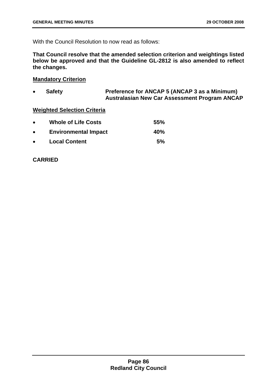With the Council Resolution to now read as follows:

**That Council resolve that the amended selection criterion and weightings listed below be approved and that the Guideline GL-2812 is also amended to reflect the changes.** 

## **Mandatory Criterion**

• **Safety Preference for ANCAP 5 (ANCAP 3 as a Minimum) Australasian New Car Assessment Program ANCAP** 

## **Weighted Selection Criteria**

| $\bullet$ | <b>Whole of Life Costs</b>  | 55% |
|-----------|-----------------------------|-----|
| $\bullet$ | <b>Environmental Impact</b> | 40% |
| $\bullet$ | <b>Local Content</b>        | 5%  |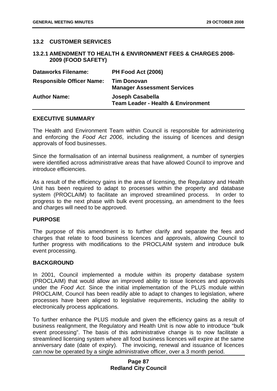## **13.2 CUSTOMER SERVICES**

#### **13.2.1 AMENDMENT TO HEALTH & ENVIRONMENT FEES & CHARGES 2008- 2009 (FOOD SAFETY)**

| <b>Dataworks Filename:</b>       | PH Food Act (2006)                                                |
|----------------------------------|-------------------------------------------------------------------|
| <b>Responsible Officer Name:</b> | <b>Tim Donovan</b><br><b>Manager Assessment Services</b>          |
| <b>Author Name:</b>              | Joseph Casabella<br><b>Team Leader - Health &amp; Environment</b> |

#### **EXECUTIVE SUMMARY**

The Health and Environment Team within Council is responsible for administering and enforcing the *Food Act 2006*, including the issuing of licences and design approvals of food businesses.

Since the formalisation of an internal business realignment, a number of synergies were identified across administrative areas that have allowed Council to improve and introduce efficiencies.

As a result of the efficiency gains in the area of licensing, the Regulatory and Health Unit has been required to adapt to processes within the property and database system (PROCLAIM) to facilitate an improved streamlined process. In order to progress to the next phase with bulk event processing, an amendment to the fees and charges will need to be approved.

#### **PURPOSE**

The purpose of this amendment is to further clarify and separate the fees and charges that relate to food business licences and approvals, allowing Council to further progress with modifications to the PROCLAIM system and introduce bulk event processing.

#### **BACKGROUND**

In 2001, Council implemented a module within its property database system (PROCLAIM) that would allow an improved ability to issue licences and approvals under the *Food Act.* Since the initial implementation of the PLUS module within PROCLAIM, Council has been readily able to adapt to changes to legislation, where processes have been aligned to legislative requirements, including the ability to electronically process applications.

To further enhance the PLUS module and given the efficiency gains as a result of business realignment, the Regulatory and Health Unit is now able to introduce "bulk event processing". The basis of this administrative change is to now facilitate a streamlined licensing system where all food business licences will expire at the same anniversary date (date of expiry). The invoicing, renewal and issuance of licences can now be operated by a single administrative officer, over a 3 month period.

#### **Page 87 Redland City Council**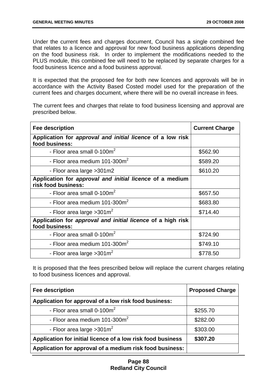Under the current fees and charges document, Council has a single combined fee that relates to a licence and approval for new food business applications depending on the food business risk. In order to implement the modifications needed to the PLUS module, this combined fee will need to be replaced by separate charges for a food business licence and a food business approval.

It is expected that the proposed fee for both new licences and approvals will be in accordance with the Activity Based Costed model used for the preparation of the current fees and charges document, where there will be no overall increase in fees.

The current fees and charges that relate to food business licensing and approval are prescribed below.

| <b>Fee description</b>                                                          | <b>Current Charge</b> |  |
|---------------------------------------------------------------------------------|-----------------------|--|
| Application for approval and initial licence of a low risk<br>food business:    |                       |  |
| - Floor area small 0-100 $m2$                                                   | \$562.90              |  |
| - Floor area medium 101-300m <sup>2</sup>                                       | \$589.20              |  |
| - Floor area large > 301 m2                                                     | \$610.20              |  |
| Application for approval and initial licence of a medium<br>risk food business: |                       |  |
| - Floor area small 0-100m <sup>2</sup>                                          | \$657.50              |  |
| - Floor area medium 101-300m <sup>2</sup>                                       | \$683.80              |  |
| - Floor area large $>301$ m <sup>2</sup>                                        | \$714.40              |  |
| Application for approval and initial licence of a high risk<br>food business:   |                       |  |
| - Floor area small 0-100m <sup>2</sup>                                          | \$724.90              |  |
| - Floor area medium 101-300m <sup>2</sup>                                       | \$749.10              |  |
| - Floor area large $>301 \text{m}^2$                                            | \$778.50              |  |

It is proposed that the fees prescribed below will replace the current charges relating to food business licences and approval.

| <b>Fee description</b>                                      | <b>Proposed Charge</b> |  |
|-------------------------------------------------------------|------------------------|--|
| Application for approval of a low risk food business:       |                        |  |
| - Floor area small $0-100m^2$                               | \$255.70               |  |
| - Floor area medium $101-300m^2$                            | \$282.00               |  |
| - Floor area large $>301$ m <sup>2</sup>                    | \$303.00               |  |
| Application for initial licence of a low risk food business | \$307.20               |  |
| Application for approval of a medium risk food business:    |                        |  |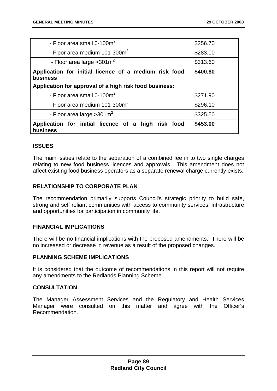| - Floor area small $0-100m^2$                                            | \$256.70 |  |  |  |
|--------------------------------------------------------------------------|----------|--|--|--|
| - Floor area medium 101-300 $m2$                                         | \$283.00 |  |  |  |
| - Floor area large $>301 \text{m}^2$                                     | \$313.60 |  |  |  |
| Application for initial licence of a medium risk food<br><b>business</b> | \$400.80 |  |  |  |
| Application for approval of a high risk food business:                   |          |  |  |  |
| - Floor area small 0-100m <sup>2</sup>                                   | \$271.90 |  |  |  |
| - Floor area medium $101-300m^2$                                         | \$296.10 |  |  |  |
| - Floor area large $>301$ m <sup>2</sup>                                 | \$325.50 |  |  |  |
| Application for initial licence of a high risk food<br>business          | \$453.00 |  |  |  |

## **ISSUES**

The main issues relate to the separation of a combined fee in to two single charges relating to new food business licences and approvals. This amendment does not affect existing food business operators as a separate renewal charge currently exists.

## **RELATIONSHIP TO CORPORATE PLAN**

The recommendation primarily supports Council's strategic priority to build safe, strong and self reliant communities with access to community services, infrastructure and opportunities for participation in community life.

## **FINANCIAL IMPLICATIONS**

There will be no financial implications with the proposed amendments. There will be no increased or decrease in revenue as a result of the proposed changes.

#### **PLANNING SCHEME IMPLICATIONS**

It is considered that the outcome of recommendations in this report will not require any amendments to the Redlands Planning Scheme.

## **CONSULTATION**

The Manager Assessment Services and the Regulatory and Health Services Manager were consulted on this matter and agree with the Officer's Recommendation.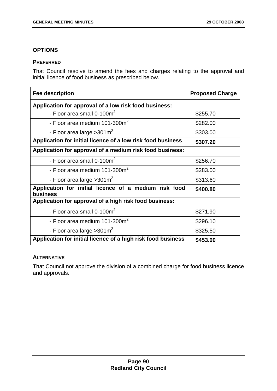# **OPTIONS**

## **PREFERRED**

That Council resolve to amend the fees and charges relating to the approval and initial licence of food business as prescribed below.

| <b>Fee description</b>                                                   | <b>Proposed Charge</b> |  |
|--------------------------------------------------------------------------|------------------------|--|
| Application for approval of a low risk food business:                    |                        |  |
| - Floor area small 0-100 $m2$                                            | \$255.70               |  |
| - Floor area medium 101-300m <sup>2</sup>                                | \$282.00               |  |
| - Floor area large $>301$ m <sup>2</sup>                                 | \$303.00               |  |
| Application for initial licence of a low risk food business              | \$307.20               |  |
| Application for approval of a medium risk food business:                 |                        |  |
| - Floor area small 0-100m <sup>2</sup>                                   | \$256.70               |  |
| - Floor area medium $101-300m^2$                                         | \$283.00               |  |
| - Floor area large $>301 \text{m}^2$                                     | \$313.60               |  |
| Application for initial licence of a medium risk food<br><b>business</b> | \$400.80               |  |
| Application for approval of a high risk food business:                   |                        |  |
| - Floor area small $0-100m^2$                                            | \$271.90               |  |
| - Floor area medium 101-300 $m2$                                         | \$296.10               |  |
| - Floor area large $>301 \text{m}^2$                                     | \$325.50               |  |
| Application for initial licence of a high risk food business             | \$453.00               |  |

## **ALTERNATIVE**

That Council not approve the division of a combined charge for food business licence and approvals.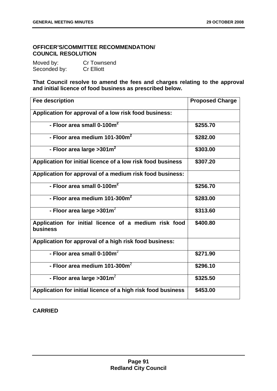# **OFFICER'S/COMMITTEE RECOMMENDATION/ COUNCIL RESOLUTION**

| Moved by:    | <b>Cr Townsend</b> |
|--------------|--------------------|
| Seconded by: | <b>Cr Elliott</b>  |

**That Council resolve to amend the fees and charges relating to the approval and initial licence of food business as prescribed below.** 

| <b>Fee description</b>                                            | <b>Proposed Charge</b> |
|-------------------------------------------------------------------|------------------------|
| Application for approval of a low risk food business:             |                        |
| - Floor area small 0-100m <sup>2</sup>                            | \$255.70               |
| - Floor area medium 101-300m <sup>2</sup>                         | \$282.00               |
| - Floor area large > 301 $m2$                                     | \$303.00               |
| Application for initial licence of a low risk food business       | \$307.20               |
| Application for approval of a medium risk food business:          |                        |
| - Floor area small $0-100m^2$                                     | \$256.70               |
| - Floor area medium 101-300 $m2$                                  | \$283.00               |
| - Floor area large $>301m^2$                                      | \$313.60               |
| Application for initial licence of a medium risk food<br>business | \$400.80               |
| Application for approval of a high risk food business:            |                        |
| - Floor area small $0-100m^2$                                     | \$271.90               |
| - Floor area medium 101-300 $m^2$                                 | \$296.10               |
| - Floor area large > 301 $m^2$                                    | \$325.50               |
| Application for initial licence of a high risk food business      | \$453.00               |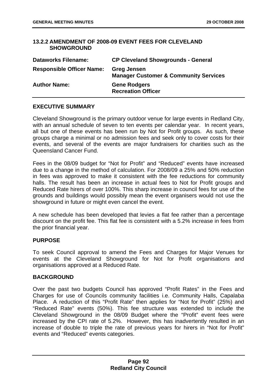## **13.2.2 AMENDMENT OF 2008-09 EVENT FEES FOR CLEVELAND SHOWGROUND**

| <b>Dataworks Filename:</b>       | <b>CP Cleveland Showgrounds - General</b>                              |
|----------------------------------|------------------------------------------------------------------------|
| <b>Responsible Officer Name:</b> | <b>Greg Jensen</b><br><b>Manager Customer &amp; Community Services</b> |
| <b>Author Name:</b>              | <b>Gene Rodgers</b><br><b>Recreation Officer</b>                       |

## **EXECUTIVE SUMMARY**

Cleveland Showground is the primary outdoor venue for large events in Redland City, with an annual schedule of seven to ten events per calendar year. In recent years, all but one of these events has been run by Not for Profit groups. As such, these groups charge a minimal or no admission fees and seek only to cover costs for their events, and several of the events are major fundraisers for charities such as the Queensland Cancer Fund.

Fees in the 08/09 budget for "Not for Profit" and "Reduced" events have increased due to a change in the method of calculation. For 2008/09 a 25% and 50% reduction in fees was approved to make it consistent with the fee reductions for community halls. The result has been an increase in actual fees to Not for Profit groups and Reduced Rate hirers of over 100%. This sharp increase in council fees for use of the grounds and buildings would possibly mean the event organisers would not use the showground in future or might even cancel the event.

A new schedule has been developed that levies a flat fee rather than a percentage discount on the profit fee. This flat fee is consistent with a 5.2% increase in fees from the prior financial year.

#### **PURPOSE**

To seek Council approval to amend the Fees and Charges for Major Venues for events at the Cleveland Showground for Not for Profit organisations and organisations approved at a Reduced Rate.

#### **BACKGROUND**

Over the past two budgets Council has approved "Profit Rates" in the Fees and Charges for use of Councils community facilities i.e. Community Halls, Capalaba Place. A reduction of this "Profit Rate" then applies for "Not for Profit" (25%) and "Reduced Rate" events (50%). This fee structure was extended to include the Cleveland Showground in the 08/09 Budget where the "Profit" event fees were increased by the CPI rate of 5.2%. However, this has inadvertently resulted in an increase of double to triple the rate of previous years for hirers in "Not for Profit" events and "Reduced" events categories.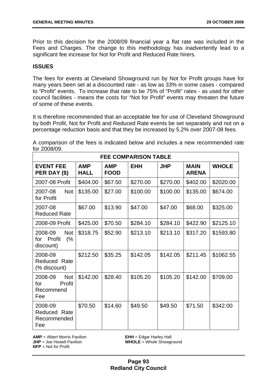Prior to this decision for the 2008/09 financial year a flat rate was included in the Fees and Charges. The change to this methodology has inadvertently lead to a significant fee increase for Not for Profit and Reduced Rate hirers.

## **ISSUES**

The fees for events at Cleveland Showground run by Not for Profit groups have for many years been set at a discounted rate - as low as 33% in some cases - compared to "Profit" events. To increase that rate to be 75% of "Profit" rates - as used for other council facilities - means the costs for "Not for Profit" events may threaten the future of some of these events.

It is therefore recommended that an acceptable fee for use of Cleveland Showground by both Profit, Not for Profit and Reduced Rate events be set separately and not on a percentage reduction basis and that they be increased by 5.2% over 2007-08 fees.

A comparison of the fees is indicated below and includes a new recommended rate for 2008/09.

| <b>FEE COMPARISON TABLE</b>                                |                           |                           |            |            |                             |              |  |
|------------------------------------------------------------|---------------------------|---------------------------|------------|------------|-----------------------------|--------------|--|
| <b>EVENT FEE</b><br>PER DAY (\$)                           | <b>AMP</b><br><b>HALL</b> | <b>AMP</b><br><b>FOOD</b> | <b>EHH</b> | <b>JHP</b> | <b>MAIN</b><br><b>ARENA</b> | <b>WHOLE</b> |  |
| 2007-08 Profit                                             | \$404.00                  | \$67.50                   | \$270.00   | \$270.00   | \$402.00                    | \$2020.00    |  |
| <b>Not</b><br>2007-08<br>for Profit                        | \$135.00                  | \$27.00                   | \$100.00   | \$100.00   | \$135.00                    | \$674.00     |  |
| 2007-08<br><b>Reduced Rate</b>                             | \$67.00                   | \$13.90                   | \$47.00    | \$47.00    | \$68.00                     | \$325.00     |  |
| 2008-09 Profit                                             | \$425.00                  | \$70.50                   | \$284.10   | \$284.10   | \$422.90                    | \$2125.10    |  |
| 2008-09<br><b>Not</b><br>Profit<br>(%<br>for<br>discount)  | \$318.75                  | \$52.90                   | \$213.10   | \$213.10   | \$317.20                    | \$1593.80    |  |
| 2008-09<br>Reduced Rate<br>(% discount)                    | \$212.50                  | \$35.25                   | \$142.05   | \$142.05   | \$211.45                    | \$1062.55    |  |
| <b>Not</b><br>2008-09<br>for<br>Profit<br>Recommend<br>Fee | \$142.00                  | \$28.40                   | \$105.20   | \$105.20   | \$142.00                    | \$709.00     |  |
| 2008-09<br>Reduced Rate<br>Recommended<br>Fee              | \$70.50                   | \$14.60                   | \$49.50    | \$49.50    | \$71.50                     | \$342.00     |  |

**AMP** = Albert Morris Pavilion **EHH** = Edgar Harley Hall **JHP** = Joe Howell Pavilion **WHOLE** = Whole Showground **NFP** = Not for Profit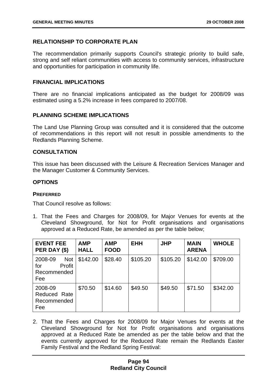# **RELATIONSHIP TO CORPORATE PLAN**

The recommendation primarily supports Council's strategic priority to build safe, strong and self reliant communities with access to community services, infrastructure and opportunities for participation in community life.

## **FINANCIAL IMPLICATIONS**

There are no financial implications anticipated as the budget for 2008/09 was estimated using a 5.2% increase in fees compared to 2007/08.

## **PLANNING SCHEME IMPLICATIONS**

The Land Use Planning Group was consulted and it is considered that the outcome of recommendations in this report will not result in possible amendments to the Redlands Planning Scheme.

#### **CONSULTATION**

This issue has been discussed with the Leisure & Recreation Services Manager and the Manager Customer & Community Services.

## **OPTIONS**

### **PREFERRED**

That Council resolve as follows:

1. That the Fees and Charges for 2008/09, for Major Venues for events at the Cleveland Showground, for Not for Profit organisations and organisations approved at a Reduced Rate, be amended as per the table below;

| <b>EVENT FEE</b><br>PER DAY (\$)                             | <b>AMP</b><br><b>HALL</b> | <b>AMP</b><br><b>FOOD</b> | <b>EHH</b> | <b>JHP</b> | <b>MAIN</b><br><b>ARENA</b> | <b>WHOLE</b> |
|--------------------------------------------------------------|---------------------------|---------------------------|------------|------------|-----------------------------|--------------|
| <b>Not</b><br>2008-09<br>Profit<br>for<br>Recommended<br>Fee | \$142.00                  | \$28.40                   | \$105.20   | \$105.20   | \$142.00                    | \$709.00     |
| 2008-09<br>Reduced Rate<br>Recommended<br>Fee                | \$70.50                   | \$14.60                   | \$49.50    | \$49.50    | \$71.50                     | \$342.00     |

2. That the Fees and Charges for 2008/09 for Major Venues for events at the Cleveland Showground for Not for Profit organisations and organisations approved at a Reduced Rate be amended as per the table below and that the events currently approved for the Reduced Rate remain the Redlands Easter Family Festival and the Redland Spring Festival: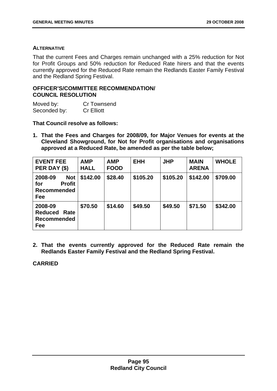## **ALTERNATIVE**

That the current Fees and Charges remain unchanged with a 25% reduction for Not for Profit Groups and 50% reduction for Reduced Rate hirers and that the events currently approved for the Reduced Rate remain the Redlands Easter Family Festival and the Redland Spring Festival.

## **OFFICER'S/COMMITTEE RECOMMENDATION/ COUNCIL RESOLUTION**

| Moved by:    | <b>Cr Townsend</b> |
|--------------|--------------------|
| Seconded by: | <b>Cr Elliott</b>  |

## **That Council resolve as follows:**

**1. That the Fees and Charges for 2008/09, for Major Venues for events at the Cleveland Showground, for Not for Profit organisations and organisations approved at a Reduced Rate, be amended as per the table below;** 

| <b>EVENT FEE</b><br>PER DAY (\$)                                           | <b>AMP</b><br><b>HALL</b> | <b>AMP</b><br><b>FOOD</b> | <b>EHH</b> | <b>JHP</b> | <b>MAIN</b><br><b>ARENA</b> | <b>WHOLE</b> |
|----------------------------------------------------------------------------|---------------------------|---------------------------|------------|------------|-----------------------------|--------------|
| 2008-09<br><b>Not</b><br><b>Profit</b><br>for<br><b>Recommended</b><br>Fee | \$142.00                  | \$28.40                   | \$105.20   | \$105.20   | \$142.00                    | \$709.00     |
| 2008-09<br><b>Reduced Rate</b><br><b>Recommended</b><br>Fee                | \$70.50                   | \$14.60                   | \$49.50    | \$49.50    | \$71.50                     | \$342.00     |

**2. That the events currently approved for the Reduced Rate remain the Redlands Easter Family Festival and the Redland Spring Festival.**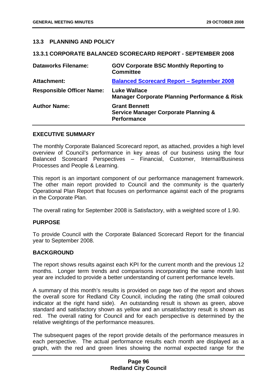## **13.3 PLANNING AND POLICY**

#### **13.3.1 CORPORATE BALANCED SCORECARD REPORT - SEPTEMBER 2008**

| <b>Dataworks Filename:</b>       | <b>GOV Corporate BSC Monthly Reporting to</b><br><b>Committee</b>                             |
|----------------------------------|-----------------------------------------------------------------------------------------------|
| <b>Attachment:</b>               | <b>Balanced Scorecard Report - September 2008</b>                                             |
| <b>Responsible Officer Name:</b> | <b>Luke Wallace</b><br><b>Manager Corporate Planning Performance &amp; Risk</b>               |
| <b>Author Name:</b>              | <b>Grant Bennett</b><br><b>Service Manager Corporate Planning &amp;</b><br><b>Performance</b> |

#### **EXECUTIVE SUMMARY**

The monthly Corporate Balanced Scorecard report, as attached, provides a high level overview of Council's performance in key areas of our business using the four Balanced Scorecard Perspectives – Financial, Customer, Internal/Business Processes and People & Learning.

This report is an important component of our performance management framework. The other main report provided to Council and the community is the quarterly Operational Plan Report that focuses on performance against each of the programs in the Corporate Plan.

The overall rating for September 2008 is Satisfactory, with a weighted score of 1.90.

#### **PURPOSE**

To provide Council with the Corporate Balanced Scorecard Report for the financial year to September 2008.

#### **BACKGROUND**

The report shows results against each KPI for the current month and the previous 12 months. Longer term trends and comparisons incorporating the same month last year are included to provide a better understanding of current performance levels.

A summary of this month's results is provided on page two of the report and shows the overall score for Redland City Council, including the rating (the small coloured indicator at the right hand side). An outstanding result is shown as green, above standard and satisfactory shown as yellow and an unsatisfactory result is shown as red. The overall rating for Council and for each perspective is determined by the relative weightings of the performance measures.

The subsequent pages of the report provide details of the performance measures in each perspective. The actual performance results each month are displayed as a graph, with the red and green lines showing the normal expected range for the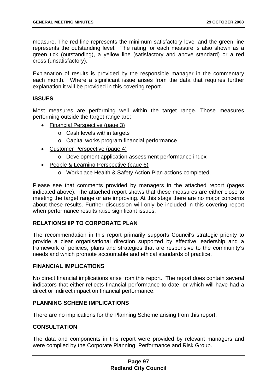measure. The red line represents the minimum satisfactory level and the green line represents the outstanding level. The rating for each measure is also shown as a green tick (outstanding), a yellow line (satisfactory and above standard) or a red cross (unsatisfactory).

Explanation of results is provided by the responsible manager in the commentary each month. Where a significant issue arises from the data that requires further explanation it will be provided in this covering report.

## **ISSUES**

Most measures are performing well within the target range. Those measures performing outside the target range are:

- Financial Perspective (page 3)
	- o Cash levels within targets
	- o Capital works program financial performance
- Customer Perspective (page 4)
	- o Development application assessment performance index
- People & Learning Perspective (page 6)
	- o Workplace Health & Safety Action Plan actions completed.

Please see that comments provided by managers in the attached report (pages indicated above). The attached report shows that these measures are either close to meeting the target range or are improving. At this stage there are no major concerns about these results. Further discussion will only be included in this covering report when performance results raise significant issues.

## **RELATIONSHIP TO CORPORATE PLAN**

The recommendation in this report primarily supports Council's strategic priority to provide a clear organisational direction supported by effective leadership and a framework of policies, plans and strategies that are responsive to the community's needs and which promote accountable and ethical standards of practice.

#### **FINANCIAL IMPLICATIONS**

No direct financial implications arise from this report. The report does contain several indicators that either reflects financial performance to date, or which will have had a direct or indirect impact on financial performance.

## **PLANNING SCHEME IMPLICATIONS**

There are no implications for the Planning Scheme arising from this report.

#### **CONSULTATION**

The data and components in this report were provided by relevant managers and were complied by the Corporate Planning, Performance and Risk Group.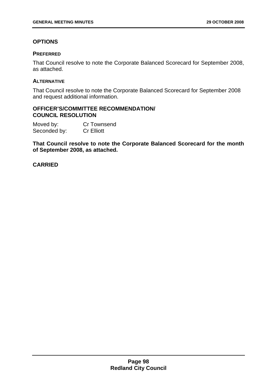# **OPTIONS**

## **PREFERRED**

That Council resolve to note the Corporate Balanced Scorecard for September 2008, as attached.

## **ALTERNATIVE**

That Council resolve to note the Corporate Balanced Scorecard for September 2008 and request additional information.

### **OFFICER'S/COMMITTEE RECOMMENDATION/ COUNCIL RESOLUTION**

Moved by: Cr Townsend Seconded by: Cr Elliott

**That Council resolve to note the Corporate Balanced Scorecard for the month of September 2008, as attached.**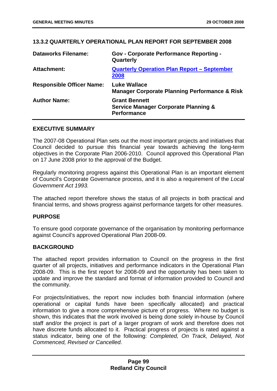## **13.3.2 QUARTERLY OPERATIONAL PLAN REPORT FOR SEPTEMBER 2008**

| <b>Dataworks Filename:</b>       | <b>Gov - Corporate Performance Reporting -</b><br>Quarterly                                   |
|----------------------------------|-----------------------------------------------------------------------------------------------|
| <b>Attachment:</b>               | <b>Quarterly Operation Plan Report - September</b><br>2008                                    |
| <b>Responsible Officer Name:</b> | <b>Luke Wallace</b><br><b>Manager Corporate Planning Performance &amp; Risk</b>               |
| <b>Author Name:</b>              | <b>Grant Bennett</b><br><b>Service Manager Corporate Planning &amp;</b><br><b>Performance</b> |

#### **EXECUTIVE SUMMARY**

The 2007-08 Operational Plan sets out the most important projects and initiatives that Council decided to pursue this financial year towards achieving the long-term objectives in the Corporate Plan 2006-2010. Council approved this Operational Plan on 17 June 2008 prior to the approval of the Budget.

Regularly monitoring progress against this Operational Plan is an important element of Council's Corporate Governance process, and it is also a requirement of the *Local Government Act 1993.*

The attached report therefore shows the status of all projects in both practical and financial terms, and shows progress against performance targets for other measures.

## **PURPOSE**

To ensure good corporate governance of the organisation by monitoring performance against Council's approved Operational Plan 2008-09.

## **BACKGROUND**

The attached report provides information to Council on the progress in the first quarter of all projects, initiatives and performance indicators in the Operational Plan 2008-09. This is the first report for 2008-09 and the opportunity has been taken to update and improve the standard and format of information provided to Council and the community.

For projects/initiatives, the report now includes both financial information (where operational or capital funds have been specifically allocated) and practical information to give a more comprehensive picture of progress. Where no budget is shown, this indicates that the work involved is being done solely in-house by Council staff and/or the project is part of a larger program of work and therefore does not have discrete funds allocated to it. Practical progress of projects is rated against a status indicator, being one of the following: *Completed, On Track, Delayed, Not Commenced, Revised or Cancelled*.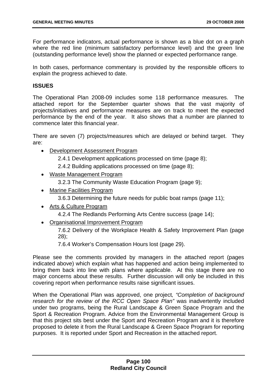For performance indicators, actual performance is shown as a blue dot on a graph where the red line (minimum satisfactory performance level) and the green line (outstanding performance level) show the planned or expected performance range.

In both cases, performance commentary is provided by the responsible officers to explain the progress achieved to date.

#### **ISSUES**

The Operational Plan 2008-09 includes some 118 performance measures. The attached report for the September quarter shows that the vast majority of projects/initiatives and performance measures are on track to meet the expected performance by the end of the year. It also shows that a number are planned to commence later this financial year.

There are seven (7) projects/measures which are delayed or behind target. They are:

- Development Assessment Program
	- 2.4.1 Development applications processed on time (page 8);
	- 2.4.2 Building applications processed on time (page 8);
- Waste Management Program
	- 3.2.3 The Community Waste Education Program (page 9);
- Marine Facilities Program
	- 3.6.3 Determining the future needs for public boat ramps (page 11);
- Arts & Culture Program
	- 4.2.4 The Redlands Performing Arts Centre success (page 14);
- Organisational Improvement Program

7.6.2 Delivery of the Workplace Health & Safety Improvement Plan (page 28);

7.6.4 Worker's Compensation Hours lost (page 29).

Please see the comments provided by managers in the attached report (pages indicated above) which explain what has happened and action being implemented to bring them back into line with plans where applicable. At this stage there are no major concerns about these results. Further discussion will only be included in this covering report when performance results raise significant issues.

When the Operational Plan was approved, one project*, "Completion of background research for the review of the RCC Open Space Plan"* was inadvertently included under two programs, being the Rural Landscape & Green Space Program and the Sport & Recreation Program. Advice from the Environmental Management Group is that this project sits best under the Sport and Recreation Program and it is therefore proposed to delete it from the Rural Landscape & Green Space Program for reporting purposes. It is reported under Sport and Recreation in the attached report.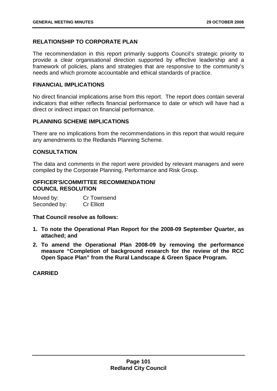# **RELATIONSHIP TO CORPORATE PLAN**

The recommendation in this report primarily supports Council's strategic priority to provide a clear organisational direction supported by effective leadership and a framework of policies, plans and strategies that are responsive to the community's needs and which promote accountable and ethical standards of practice.

### **FINANCIAL IMPLICATIONS**

No direct financial implications arise from this report. The report does contain several indicators that either reflects financial performance to date or which will have had a direct or indirect impact on financial performance.

## **PLANNING SCHEME IMPLICATIONS**

There are no implications from the recommendations in this report that would require any amendments to the Redlands Planning Scheme.

## **CONSULTATION**

The data and comments in the report were provided by relevant managers and were compiled by the Corporate Planning, Performance and Risk Group.

### **OFFICER'S/COMMITTEE RECOMMENDATION/ COUNCIL RESOLUTION**

Moved by: Cr Townsend Seconded by: Cr Elliott

**That Council resolve as follows:** 

- **1. To note the Operational Plan Report for the 2008-09 September Quarter, as attached; and**
- **2. To amend the Operational Plan 2008-09 by removing the performance measure "Completion of background research for the review of the RCC Open Space Plan" from the Rural Landscape & Green Space Program.**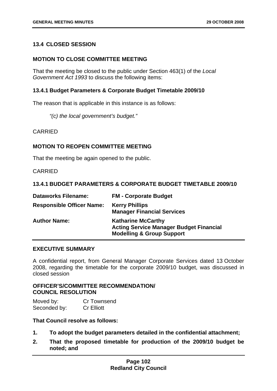# **13.4 CLOSED SESSION**

## **MOTION TO CLOSE COMMITTEE MEETING**

That the meeting be closed to the public under Section 463(1) of the *Local Government Act 1993* to discuss the following items:

## **13.4.1 Budget Parameters & Corporate Budget Timetable 2009/10**

The reason that is applicable in this instance is as follows:

*"(c) the local government's budget."* 

CARRIED

## **MOTION TO REOPEN COMMITTEE MEETING**

That the meeting be again opened to the public.

**CARRIED** 

#### **13.4.1 BUDGET PARAMETERS & CORPORATE BUDGET TIMETABLE 2009/10**

| <b>Dataworks Filename:</b>       | <b>FM - Corporate Budget</b>                                                                                        |
|----------------------------------|---------------------------------------------------------------------------------------------------------------------|
| <b>Responsible Officer Name:</b> | <b>Kerry Phillips</b><br><b>Manager Financial Services</b>                                                          |
| <b>Author Name:</b>              | <b>Katharine McCarthy</b><br><b>Acting Service Manager Budget Financial</b><br><b>Modelling &amp; Group Support</b> |

### **EXECUTIVE SUMMARY**

A confidential report, from General Manager Corporate Services dated 13 October 2008, regarding the timetable for the corporate 2009/10 budget, was discussed in closed session

## **OFFICER'S/COMMITTEE RECOMMENDATION/ COUNCIL RESOLUTION**

Moved by: Cr Townsend Seconded by: Cr Elliott

**That Council resolve as follows:** 

- **1. To adopt the budget parameters detailed in the confidential attachment;**
- **2. That the proposed timetable for production of the 2009/10 budget be noted; and**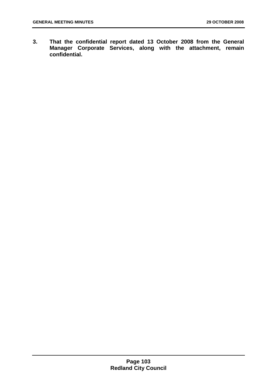**3. That the confidential report dated 13 October 2008 from the General Manager Corporate Services, along with the attachment, remain confidential.**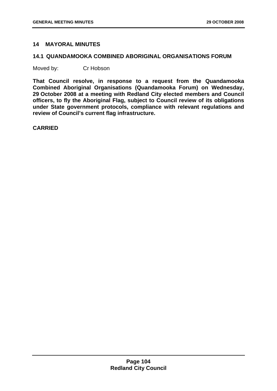# **14 MAYORAL MINUTES**

#### **14.1 QUANDAMOOKA COMBINED ABORIGINAL ORGANISATIONS FORUM**

Moved by: Cr Hobson

**That Council resolve, in response to a request from the Quandamooka Combined Aboriginal Organisations (Quandamooka Forum) on Wednesday, 29 October 2008 at a meeting with Redland City elected members and Council officers, to fly the Aboriginal Flag, subject to Council review of its obligations under State government protocols, compliance with relevant regulations and review of Council's current flag infrastructure.** 

**CARRIED**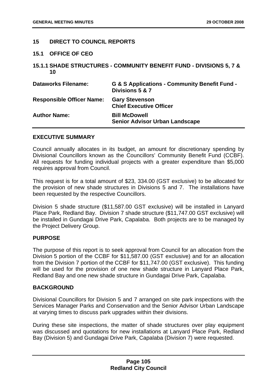# **15 DIRECT TO COUNCIL REPORTS**

### **15.1 OFFICE OF CEO**

**15.1.1 SHADE STRUCTURES - COMMUNITY BENEFIT FUND - DIVISIONS 5, 7 & 10** 

| <b>Dataworks Filename:</b>       | G & S Applications - Community Benefit Fund -<br>Divisions 5 & 7 |
|----------------------------------|------------------------------------------------------------------|
| <b>Responsible Officer Name:</b> | <b>Gary Stevenson</b><br><b>Chief Executive Officer</b>          |
| <b>Author Name:</b>              | <b>Bill McDowell</b><br><b>Senior Advisor Urban Landscape</b>    |

### **EXECUTIVE SUMMARY**

Council annually allocates in its budget, an amount for discretionary spending by Divisional Councillors known as the Councillors' Community Benefit Fund (CCBF). All requests for funding individual projects with a greater expenditure than \$5,000 requires approval from Council.

This request is for a total amount of \$23, 334.00 (GST exclusive) to be allocated for the provision of new shade structures in Divisions 5 and 7. The installations have been requested by the respective Councillors.

Division 5 shade structure (\$11,587.00 GST exclusive) will be installed in Lanyard Place Park, Redland Bay. Division 7 shade structure (\$11,747.00 GST exclusive) will be installed in Gundagai Drive Park, Capalaba. Both projects are to be managed by the Project Delivery Group.

### **PURPOSE**

The purpose of this report is to seek approval from Council for an allocation from the Division 5 portion of the CCBF for \$11,587.00 (GST exclusive) and for an allocation from the Division 7 portion of the CCBF for \$11,747.00 (GST exclusive). This funding will be used for the provision of one new shade structure in Lanyard Place Park, Redland Bay and one new shade structure in Gundagai Drive Park, Capalaba.

### **BACKGROUND**

Divisional Councillors for Division 5 and 7 arranged on site park inspections with the Services Manager Parks and Conservation and the Senior Advisor Urban Landscape at varying times to discuss park upgrades within their divisions.

During these site inspections, the matter of shade structures over play equipment was discussed and quotations for new installations at Lanyard Place Park, Redland Bay (Division 5) and Gundagai Drive Park, Capalaba (Division 7) were requested.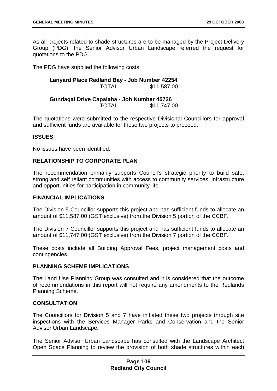As all projects related to shade structures are to be managed by the Project Delivery Group (PDG), the Senior Advisor Urban Landscape referred the request for quotations to the PDG.

The PDG have supplied the following costs:

**Lanyard Place Redland Bay - Job Number 42254**  TOTAL \$11,587.00

**Gundagai Drive Capalaba - Job Number 45726** TOTAL \$11,747.00

The quotations were submitted to the respective Divisional Councillors for approval and sufficient funds are available for these two projects to proceed.

### **ISSUES**

No issues have been identified.

# **RELATIONSHIP TO CORPORATE PLAN**

The recommendation primarily supports Council's strategic priority to build safe, strong and self reliant communities with access to community services, infrastructure and opportunities for participation in community life.

#### **FINANCIAL IMPLICATIONS**

The Division 5 Councillor supports this project and has sufficient funds to allocate an amount of \$11,587.00 (GST exclusive) from the Division 5 portion of the CCBF.

The Division 7 Councillor supports this project and has sufficient funds to allocate an amount of \$11,747.00 (GST exclusive) from the Division 7 portion of the CCBF.

These costs include all Building Approval Fees, project management costs and contingencies.

### **PLANNING SCHEME IMPLICATIONS**

The Land Use Planning Group was consulted and it is considered that the outcome of recommendations in this report will not require any amendments to the Redlands Planning Scheme.

### **CONSULTATION**

The Councillors for Division 5 and 7 have initiated these two projects through site inspections with the Services Manager Parks and Conservation and the Senior Advisor Urban Landscape.

The Senior Advisor Urban Landscape has consulted with the Landscape Architect Open Space Planning to review the provision of both shade structures within each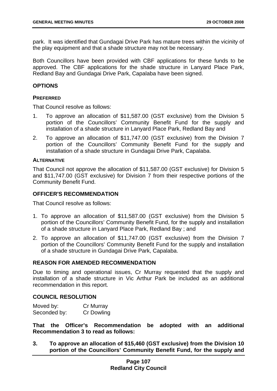park. It was identified that Gundagai Drive Park has mature trees within the vicinity of the play equipment and that a shade structure may not be necessary.

Both Councillors have been provided with CBF applications for these funds to be approved. The CBF applications for the shade structure in Lanyard Place Park, Redland Bay and Gundagai Drive Park, Capalaba have been signed.

### **OPTIONS**

### **PREFERRED**

That Council resolve as follows:

- 1. To approve an allocation of \$11,587.00 (GST exclusive) from the Division 5 portion of the Councillors' Community Benefit Fund for the supply and installation of a shade structure in Lanyard Place Park, Redland Bay and
- 2. To approve an allocation of \$11,747.00 (GST exclusive) from the Division 7 portion of the Councillors' Community Benefit Fund for the supply and installation of a shade structure in Gundagai Drive Park, Capalaba.

### **ALTERNATIVE**

That Council not approve the allocation of \$11,587.00 (GST exclusive) for Division 5 and \$11,747.00 (GST exclusive) for Division 7 from their respective portions of the Community Benefit Fund.

### **OFFICER'S RECOMMENDATION**

That Council resolve as follows:

- 1. To approve an allocation of \$11,587.00 (GST exclusive) from the Division 5 portion of the Councillors' Community Benefit Fund, for the supply and installation of a shade structure in Lanyard Place Park, Redland Bay ; and
- 2. To approve an allocation of \$11,747.00 (GST exclusive) from the Division 7 portion of the Councillors' Community Benefit Fund for the supply and installation of a shade structure in Gundagai Drive Park, Capalaba.

### **REASON FOR AMENDED RECOMMENDATION**

Due to timing and operational issues, Cr Murray requested that the supply and installation of a shade structure in Vic Arthur Park be included as an additional recommendation in this report.

### **COUNCIL RESOLUTION**

| Moved by:    | Cr Murray         |
|--------------|-------------------|
| Seconded by: | <b>Cr Dowling</b> |

**That the Officer's Recommendation be adopted with an additional Recommendation 3 to read as follows:** 

**3. To approve an allocation of \$15,460 (GST exclusive) from the Division 10 portion of the Councillors' Community Benefit Fund, for the supply and**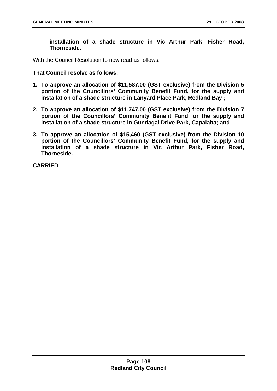**installation of a shade structure in Vic Arthur Park, Fisher Road, Thorneside.** 

With the Council Resolution to now read as follows:

**That Council resolve as follows:** 

- **1. To approve an allocation of \$11,587.00 (GST exclusive) from the Division 5 portion of the Councillors' Community Benefit Fund, for the supply and installation of a shade structure in Lanyard Place Park, Redland Bay ;**
- **2. To approve an allocation of \$11,747.00 (GST exclusive) from the Division 7 portion of the Councillors' Community Benefit Fund for the supply and installation of a shade structure in Gundagai Drive Park, Capalaba; and**
- **3. To approve an allocation of \$15,460 (GST exclusive) from the Division 10 portion of the Councillors' Community Benefit Fund, for the supply and installation of a shade structure in Vic Arthur Park, Fisher Road, Thorneside.**

**CARRIED**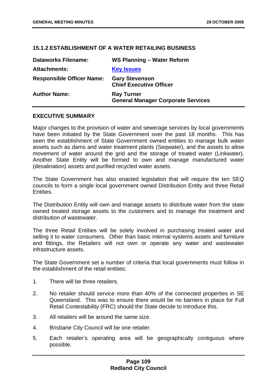## **15.1.2 ESTABLISHMENT OF A WATER RETAILING BUSINESS**

| <b>Dataworks Filename:</b>       | WS Planning - Water Reform                                     |
|----------------------------------|----------------------------------------------------------------|
| <b>Attachments:</b>              | <b>Key Issues</b>                                              |
| <b>Responsible Officer Name:</b> | <b>Gary Stevenson</b><br><b>Chief Executive Officer</b>        |
| <b>Author Name:</b>              | <b>Ray Turner</b><br><b>General Manager Corporate Services</b> |

### **EXECUTIVE SUMMARY**

Major changes to the provision of water and sewerage services by local governments have been initiated by the State Government over the past 18 months. This has seen the establishment of State Government owned entities to manage bulk water assets such as dams and water treatment plants (Seqwater), and the assets to allow movement of water around the grid and the storage of treated water (Linkwater). Another State Entity will be formed to own and manage manufactured water (desalination) assets and purified recycled water assets.

The State Government has also enacted legislation that will require the ten SEQ councils to form a single local government owned Distribution Entity and three Retail Entities.

The Distribution Entity will own and manage assets to distribute water from the state owned treated storage assets to the customers and to manage the treatment and distribution of wastewater.

The three Retail Entities will be solely involved in purchasing treated water and selling it to water consumers. Other than basic internal systems assets and furniture and fittings, the Retailers will not own or operate any water and wastewater infrastructure assets.

The State Government set a number of criteria that local governments must follow in the establishment of the retail entities:

- 1. There will be three retailers.
- 2. No retailer should service more than 40% of the connected properties in SE Queensland. This was to ensure there would be no barriers in place for Full Retail Contestability (FRC) should the State decide to introduce this.
- 3. All retailers will be around the same size.
- 4. Brisbane City Council will be one retailer.
- 5. Each retailer's operating area will be geographically contiguous where possible.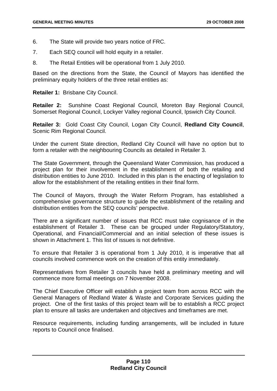- 6. The State will provide two years notice of FRC.
- 7. Each SEQ council will hold equity in a retailer.
- 8. The Retail Entities will be operational from 1 July 2010.

Based on the directions from the State, the Council of Mayors has identified the preliminary equity holders of the three retail entities as:

**Retailer 1:** Brisbane City Council.

**Retailer 2:** Sunshine Coast Regional Council, Moreton Bay Regional Council, Somerset Regional Council, Lockyer Valley regional Council, Ipswich City Council.

**Retailer 3:** Gold Coast City Council, Logan City Council, **Redland City Council**, Scenic Rim Regional Council.

Under the current State direction, Redland City Council will have no option but to form a retailer with the neighbouring Councils as detailed in Retailer 3.

The State Government, through the Queensland Water Commission, has produced a project plan for their involvement in the establishment of both the retailing and distribution entities to June 2010. Included in this plan is the enacting of legislation to allow for the establishment of the retailing entities in their final form.

The Council of Mayors, through the Water Reform Program, has established a comprehensive governance structure to guide the establishment of the retailing and distribution entities from the SEQ councils' perspective.

There are a significant number of issues that RCC must take cognisance of in the establishment of Retailer 3. These can be grouped under Regulatory/Statutory, Operational, and Financial/Commercial and an initial selection of these issues is shown in Attachment 1. This list of issues is not definitive.

To ensure that Retailer 3 is operational from 1 July 2010, it is imperative that all councils involved commence work on the creation of this entity immediately.

Representatives from Retailer 3 councils have held a preliminary meeting and will commence more formal meetings on 7 November 2008.

The Chief Executive Officer will establish a project team from across RCC with the General Managers of Redland Water & Waste and Corporate Services guiding the project. One of the first tasks of this project team will be to establish a RCC project plan to ensure all tasks are undertaken and objectives and timeframes are met.

Resource requirements, including funding arrangements, will be included in future reports to Council once finalised.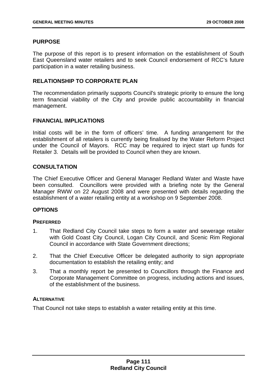# **PURPOSE**

The purpose of this report is to present information on the establishment of South East Queensland water retailers and to seek Council endorsement of RCC's future participation in a water retailing business.

# **RELATIONSHIP TO CORPORATE PLAN**

The recommendation primarily supports Council's strategic priority to ensure the long term financial viability of the City and provide public accountability in financial management.

# **FINANCIAL IMPLICATIONS**

Initial costs will be in the form of officers' time. A funding arrangement for the establishment of all retailers is currently being finalised by the Water Reform Project under the Council of Mayors. RCC may be required to inject start up funds for Retailer 3. Details will be provided to Council when they are known.

# **CONSULTATION**

The Chief Executive Officer and General Manager Redland Water and Waste have been consulted. Councillors were provided with a briefing note by the General Manager RWW on 22 August 2008 and were presented with details regarding the establishment of a water retailing entity at a workshop on 9 September 2008.

# **OPTIONS**

# **PREFERRED**

- 1. That Redland City Council take steps to form a water and sewerage retailer with Gold Coast City Council, Logan City Council, and Scenic Rim Regional Council in accordance with State Government directions;
- 2. That the Chief Executive Officer be delegated authority to sign appropriate documentation to establish the retailing entity; and
- 3. That a monthly report be presented to Councillors through the Finance and Corporate Management Committee on progress, including actions and issues, of the establishment of the business.

# **ALTERNATIVE**

That Council not take steps to establish a water retailing entity at this time.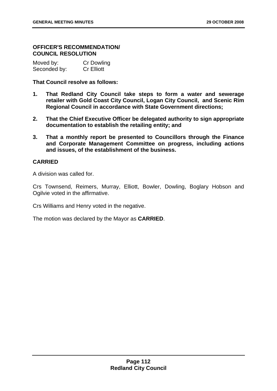## **OFFICER'S RECOMMENDATION/ COUNCIL RESOLUTION**

| Moved by:    | Cr Dowling        |
|--------------|-------------------|
| Seconded by: | <b>Cr Elliott</b> |

## **That Council resolve as follows:**

- **1. That Redland City Council take steps to form a water and sewerage retailer with Gold Coast City Council, Logan City Council, and Scenic Rim Regional Council in accordance with State Government directions;**
- **2. That the Chief Executive Officer be delegated authority to sign appropriate documentation to establish the retailing entity; and**
- **3. That a monthly report be presented to Councillors through the Finance and Corporate Management Committee on progress, including actions and issues, of the establishment of the business.**

# **CARRIED**

A division was called for.

Crs Townsend, Reimers, Murray, Elliott, Bowler, Dowling, Boglary Hobson and Ogilvie voted in the affirmative.

Crs Williams and Henry voted in the negative.

The motion was declared by the Mayor as **CARRIED**.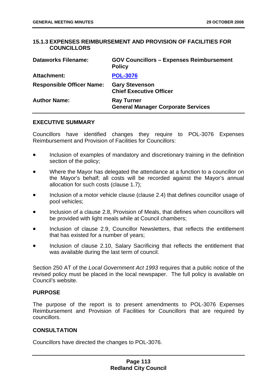## **15.1.3 EXPENSES REIMBURSEMENT AND PROVISION OF FACILITIES FOR COUNCILLORS**

| <b>Dataworks Filename:</b>       | <b>GOV Councillors - Expenses Reimbursement</b><br><b>Policy</b> |
|----------------------------------|------------------------------------------------------------------|
| <b>Attachment:</b>               | <b>POL-3076</b>                                                  |
| <b>Responsible Officer Name:</b> | <b>Gary Stevenson</b><br><b>Chief Executive Officer</b>          |
| <b>Author Name:</b>              | <b>Ray Turner</b><br><b>General Manager Corporate Services</b>   |

#### **EXECUTIVE SUMMARY**

Councillors have identified changes they require to POL-3076 Expenses Reimbursement and Provision of Facilities for Councillors:

- Inclusion of examples of mandatory and discretionary training in the definition section of the policy;
- Where the Mayor has delegated the attendance at a function to a councillor on the Mayor's behalf; all costs will be recorded against the Mayor's annual allocation for such costs (clause 1.7);
- Inclusion of a motor vehicle clause (clause 2.4) that defines councillor usage of pool vehicles;
- Inclusion of a clause 2.8, Provision of Meals, that defines when councillors will be provided with light meals while at Council chambers;
- Inclusion of clause 2.9, Councillor Newsletters, that reflects the entitlement that has existed for a number of years;
- Inclusion of clause 2.10, Salary Sacrificing that reflects the entitlement that was available during the last term of council.

Section 250 AT of the *Local Government Act 1993* requires that a public notice of the revised policy must be placed in the local newspaper. The full policy is available on Council's website.

## **PURPOSE**

The purpose of the report is to present amendments to POL-3076 Expenses Reimbursement and Provision of Facilities for Councillors that are required by councillors.

### **CONSULTATION**

Councillors have directed the changes to POL-3076.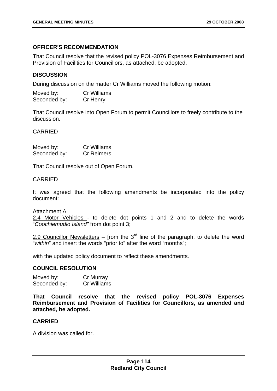### **OFFICER'S RECOMMENDATION**

That Council resolve that the revised policy POL-3076 Expenses Reimbursement and Provision of Facilities for Councillors, as attached, be adopted.

## **DISCUSSION**

During discussion on the matter Cr Williams moved the following motion:

| Moved by:    | Cr Williams |
|--------------|-------------|
| Seconded by: | Cr Henry    |

That Council resolve into Open Forum to permit Councillors to freely contribute to the discussion.

CARRIED

| Moved by:    | <b>Cr Williams</b> |
|--------------|--------------------|
| Seconded by: | <b>Cr Reimers</b>  |

That Council resolve out of Open Forum.

#### CARRIED

It was agreed that the following amendments be incorporated into the policy document:

Attachment A 2.4 Motor Vehicles - to delete dot points 1 and 2 and to delete the words "*Coochiemudlo Island"* from dot point 3;

2.9 Councillor Newsletters – from the 3<sup>rd</sup> line of the paragraph, to delete the word "*within*" and insert the words "prior to" after the word "months";

with the updated policy document to reflect these amendments.

# **COUNCIL RESOLUTION**

| Moved by:    | Cr Murray   |
|--------------|-------------|
| Seconded by: | Cr Williams |

**That Council resolve that the revised policy POL-3076 Expenses Reimbursement and Provision of Facilities for Councillors, as amended and attached, be adopted.** 

### **CARRIED**

A division was called for.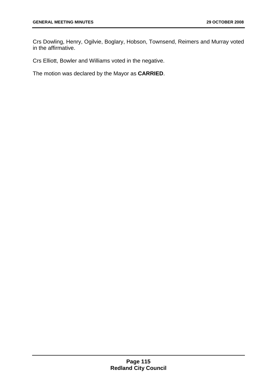Crs Dowling, Henry, Ogilvie, Boglary, Hobson, Townsend, Reimers and Murray voted in the affirmative.

Crs Elliott, Bowler and Williams voted in the negative.

The motion was declared by the Mayor as **CARRIED**.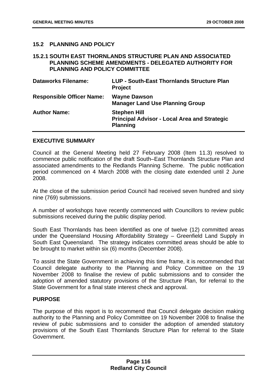# **15.2 PLANNING AND POLICY**

### **15.2.1 SOUTH EAST THORNLANDS STRUCTURE PLAN AND ASSOCIATED PLANNING SCHEME AMENDMENTS - DELEGATED AUTHORITY FOR PLANNING AND POLICY COMMITTEE**

| <b>Dataworks Filename:</b>       | LUP - South-East Thornlands Structure Plan<br><b>Project</b>                                  |
|----------------------------------|-----------------------------------------------------------------------------------------------|
| <b>Responsible Officer Name:</b> | <b>Wayne Dawson</b><br><b>Manager Land Use Planning Group</b>                                 |
| <b>Author Name:</b>              | <b>Stephen Hill</b><br><b>Principal Advisor - Local Area and Strategic</b><br><b>Planning</b> |

### **EXECUTIVE SUMMARY**

Council at the General Meeting held 27 February 2008 (Item 11.3) resolved to commence public notification of the draft South–East Thornlands Structure Plan and associated amendments to the Redlands Planning Scheme. The public notification period commenced on 4 March 2008 with the closing date extended until 2 June 2008.

At the close of the submission period Council had received seven hundred and sixty nine (769) submissions.

A number of workshops have recently commenced with Councillors to review public submissions received during the public display period.

South East Thornlands has been identified as one of twelve (12) committed areas under the Queensland Housing Affordability Strategy – Greenfield Land Supply in South East Queensland. The strategy indicates committed areas should be able to be brought to market within six (6) months (December 2008).

To assist the State Government in achieving this time frame, it is recommended that Council delegate authority to the Planning and Policy Committee on the 19 November 2008 to finalise the review of public submissions and to consider the adoption of amended statutory provisions of the Structure Plan, for referral to the State Government for a final state interest check and approval.

### **PURPOSE**

The purpose of this report is to recommend that Council delegate decision making authority to the Planning and Policy Committee on 19 November 2008 to finalise the review of pubic submissions and to consider the adoption of amended statutory provisions of the South East Thornlands Structure Plan for referral to the State Government.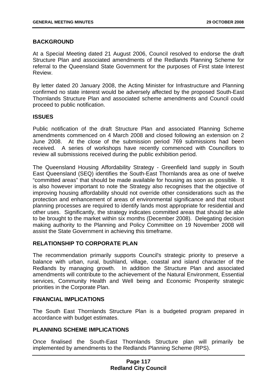# **BACKGROUND**

At a Special Meeting dated 21 August 2006, Council resolved to endorse the draft Structure Plan and associated amendments of the Redlands Planning Scheme for referral to the Queensland State Government for the purposes of First state Interest Review.

By letter dated 20 January 2008, the Acting Minister for Infrastructure and Planning confirmed no state interest would be adversely affected by the proposed South-East Thornlands Structure Plan and associated scheme amendments and Council could proceed to public notification.

### **ISSUES**

Public notification of the draft Structure Plan and associated Planning Scheme amendments commenced on 4 March 2008 and closed following an extension on 2 June 2008. At the close of the submission period 769 submissions had been received. A series of workshops have recently commenced with Councillors to review all submissions received during the public exhibition period.

The Queensland Housing Affordability Strategy - Greenfield land supply in South East Queensland (SEQ) identifies the South-East Thornlands area as one of twelve "committed areas" that should be made available for housing as soon as possible. It is also however important to note the Strategy also recognises that the objective of improving housing affordability should not override other considerations such as the protection and enhancement of areas of environmental significance and that robust planning processes are required to identify lands most appropriate for residential and other uses. Significantly, the strategy indicates committed areas that should be able to be brought to the market within six months (December 2008). Delegating decision making authority to the Planning and Policy Committee on 19 November 2008 will assist the State Government in achieving this timeframe.

### **RELATIONSHIP TO CORPORATE PLAN**

The recommendation primarily supports Council's strategic priority to preserve a balance with urban, rural, bushland, village, coastal and island character of the Redlands by managing growth. In addition the Structure Plan and associated amendments will contribute to the achievement of the Natural Environment, Essential services, Community Health and Well being and Economic Prosperity strategic priorities in the Corporate Plan.

### **FINANCIAL IMPLICATIONS**

The South East Thornlands Structure Plan is a budgeted program prepared in accordance with budget estimates.

### **PLANNING SCHEME IMPLICATIONS**

Once finalised the South-East Thornlands Structure plan will primarily be implemented by amendments to the Redlands Planning Scheme (RPS).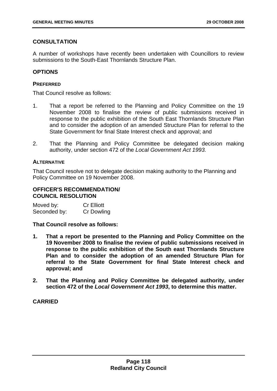# **CONSULTATION**

A number of workshops have recently been undertaken with Councillors to review submissions to the South-East Thornlands Structure Plan.

## **OPTIONS**

### **PREFERRED**

That Council resolve as follows:

- 1. That a report be referred to the Planning and Policy Committee on the 19 November 2008 to finalise the review of public submissions received in response to the public exhibition of the South East Thornlands Structure Plan and to consider the adoption of an amended Structure Plan for referral to the State Government for final State Interest check and approval; and
- 2. That the Planning and Policy Committee be delegated decision making authority, under section 472 of the *Local Government Act 1993.*

### **ALTERNATIVE**

That Council resolve not to delegate decision making authority to the Planning and Policy Committee on 19 November 2008.

## **OFFICER'S RECOMMENDATION/ COUNCIL RESOLUTION**

| Moved by:    | <b>Cr Elliott</b> |
|--------------|-------------------|
| Seconded by: | <b>Cr Dowling</b> |

### **That Council resolve as follows:**

- **1. That a report be presented to the Planning and Policy Committee on the 19 November 2008 to finalise the review of public submissions received in response to the public exhibition of the South east Thornlands Structure Plan and to consider the adoption of an amended Structure Plan for referral to the State Government for final State Interest check and approval; and**
- **2. That the Planning and Policy Committee be delegated authority, under section 472 of the** *Local Government Act 1993***, to determine this matter.**

# **CARRIED**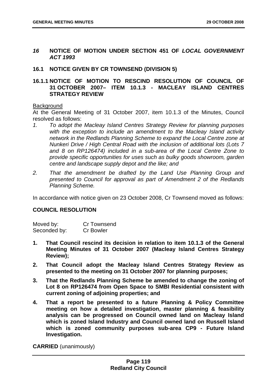- *16* **NOTICE OF MOTION UNDER SECTION 451 OF** *LOCAL GOVERNMENT ACT 1993*
- **16.1 NOTICE GIVEN BY CR TOWNSEND (DIVISION 5)**

## **16.1.1 NOTICE OF MOTION TO RESCIND RESOLUTION OF COUNCIL OF 31 OCTOBER 2007– ITEM 10.1.3 - MACLEAY ISLAND CENTRES STRATEGY REVIEW**

### **Background**

At the General Meeting of 31 October 2007, item 10.1.3 of the Minutes, Council resolved as follows:

- *1. To adopt the Macleay Island Centres Strategy Review for planning purposes with the exception to include an amendment to the Macleay Island activity network in the Redlands Planning Scheme to expand the Local Centre zone at Nunkeri Drive / High Central Road with the inclusion of additional lots (Lots 7 and 8 on RP126474) included in a sub-area of the Local Centre Zone to provide specific opportunities for uses such as bulky goods showroom, garden centre and landscape supply depot and the like; and*
- *2. That the amendment be drafted by the Land Use Planning Group and presented to Council for approval as part of Amendment 2 of the Redlands Planning Scheme.*

In accordance with notice given on 23 October 2008, Cr Townsend moved as follows:

### **COUNCIL RESOLUTION**

| Moved by:    | Cr Townsend      |
|--------------|------------------|
| Seconded by: | <b>Cr Bowler</b> |

- **1. That Council rescind its decision in relation to item 10.1.3 of the General Meeting Minutes of 31 October 2007 (Macleay Island Centres Strategy Review);**
- **2. That Council adopt the Macleay Island Centres Strategy Review as presented to the meeting on 31 October 2007 for planning purposes;**
- **3. That the Redlands Planning Scheme be amended to change the zoning of Lot 8 on RP126474 from Open Space to SMBI Residential consistent with current zoning of adjoining properties; and**
- **4. That a report be presented to a future Planning & Policy Committee meeting on how a detailed investigation, master planning & feasibility analysis can be progressed on Council owned land on Macleay Island which is zoned Island Industry and Council owned land on Russell Island which is zoned community purposes sub-area CP9 - Future Island Investigation.**

**CARRIED** (unanimously)